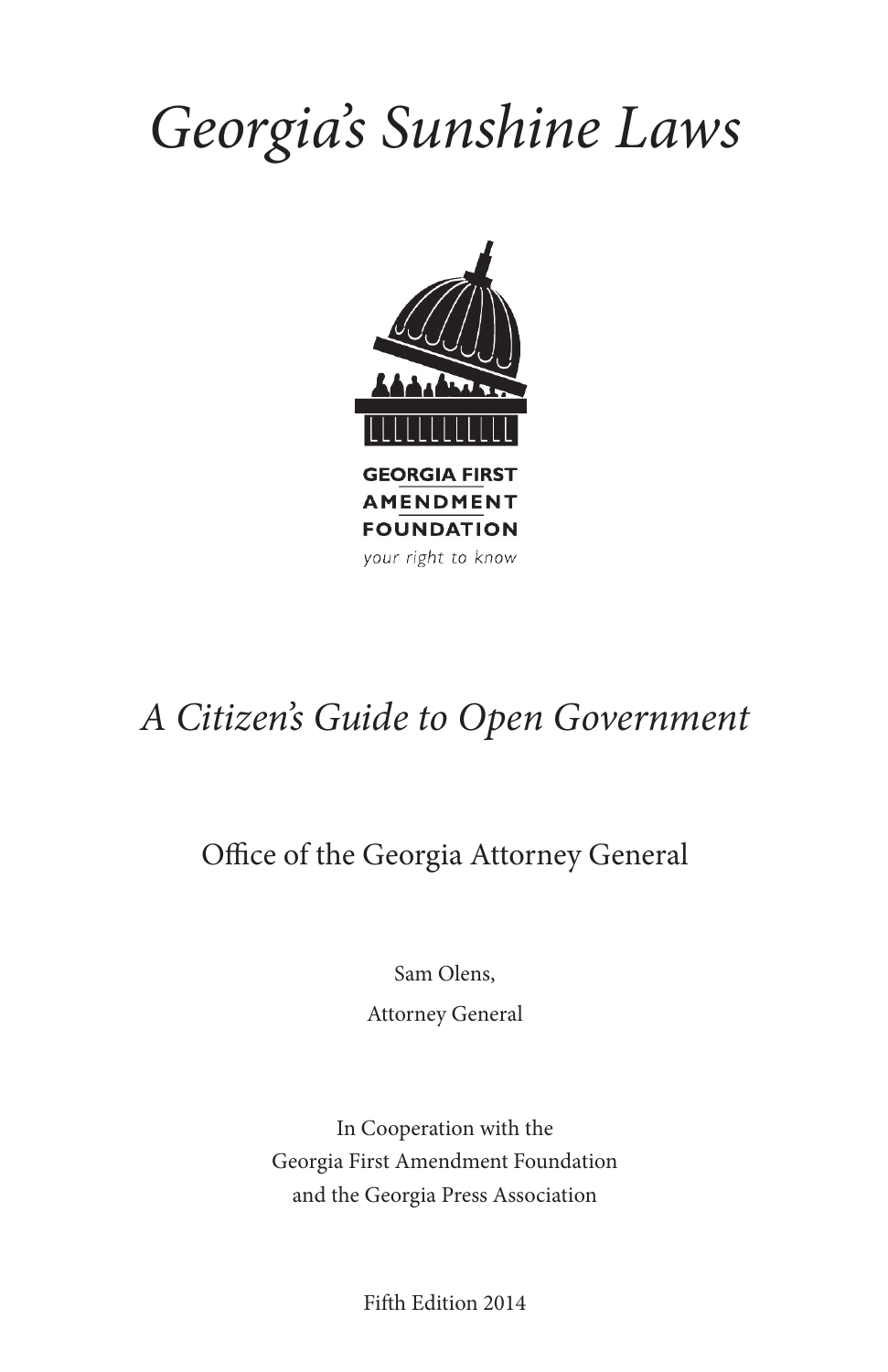# *Georgia's Sunshine Laws*



## *A Citizen's Guide to Open Government*

### Office of the Georgia Attorney General

Sam Olens,

Attorney General

In Cooperation with the Georgia First Amendment Foundation and the Georgia Press Association

Fifth Edition 2014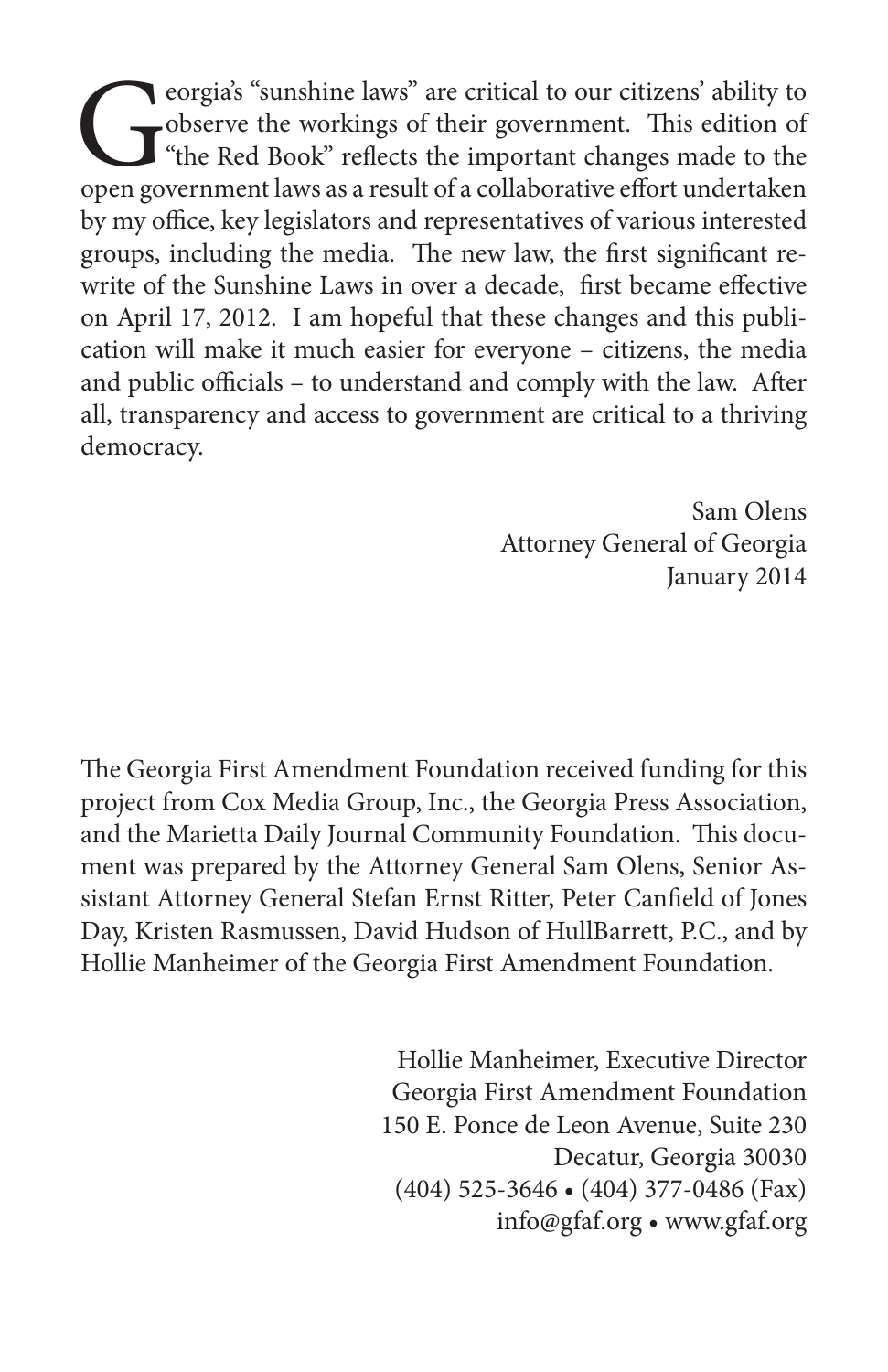Cobserve the workings of their government. This edition of "the Red Book" reflects the important changes made to the open government laws as a result of a collaborative effort undertaken observe the workings of their government. This edition of the Red Book" reflects the important changes made to the by my office, key legislators and representatives of various interested groups, including the media. The new law, the first significant rewrite of the Sunshine Laws in over a decade, first became effective on April 17, 2012. I am hopeful that these changes and this publication will make it much easier for everyone – citizens, the media and public officials – to understand and comply with the law. After all, transparency and access to government are critical to a thriving democracy.

> Sam Olens Attorney General of Georgia January 2014

The Georgia First Amendment Foundation received funding for this project from Cox Media Group, Inc., the Georgia Press Association, and the Marietta Daily Journal Community Foundation. This document was prepared by the Attorney General Sam Olens, Senior Assistant Attorney General Stefan Ernst Ritter, Peter Canfield of Jones Day, Kristen Rasmussen, David Hudson of HullBarrett, P.C., and by Hollie Manheimer of the Georgia First Amendment Foundation.

> Hollie Manheimer, Executive Director Georgia First Amendment Foundation 150 E. Ponce de Leon Avenue, Suite 230 Decatur, Georgia 30030 (404) 525-3646 • (404) 377-0486 (Fax) info@gfaf.org • www.gfaf.org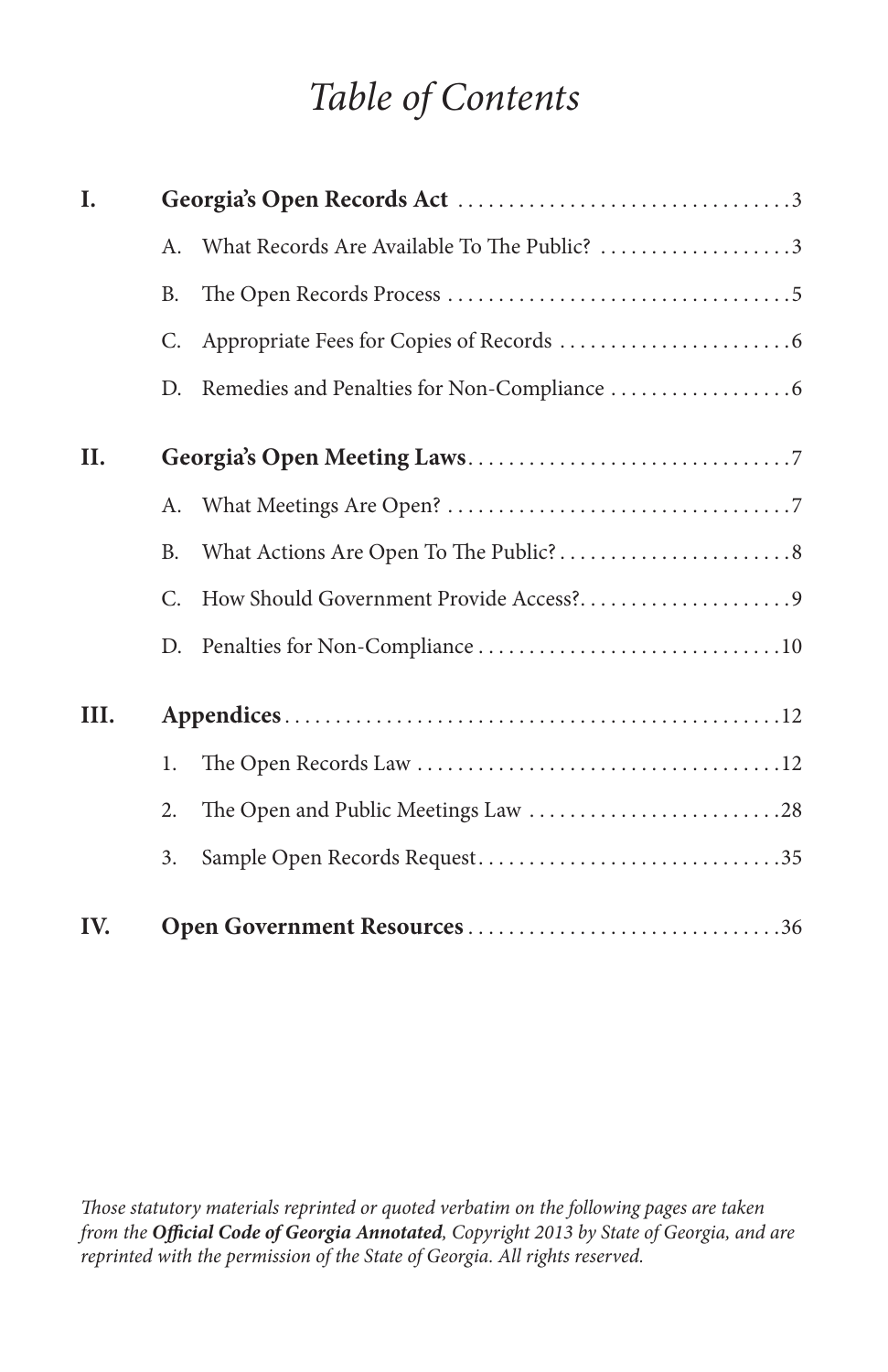## *Table of Contents*

| I.   |           |                                             |  |
|------|-----------|---------------------------------------------|--|
|      | A.        | What Records Are Available To The Public? 3 |  |
|      | В.        |                                             |  |
|      | C.        |                                             |  |
|      | D.        |                                             |  |
| II.  |           |                                             |  |
|      |           |                                             |  |
|      | <b>B.</b> |                                             |  |
|      | C.        |                                             |  |
|      | D.        |                                             |  |
| III. |           |                                             |  |
|      | 1.        |                                             |  |
|      | 2.        | The Open and Public Meetings Law 28         |  |
|      | 3.        | Sample Open Records Request35               |  |
| IV.  |           | Open Government Resources 36                |  |

*Those statutory materials reprinted or quoted verbatim on the following pages are taken from the Official Code of Georgia Annotated, Copyright 2013 by State of Georgia, and are reprinted with the permission of the State of Georgia. All rights reserved.*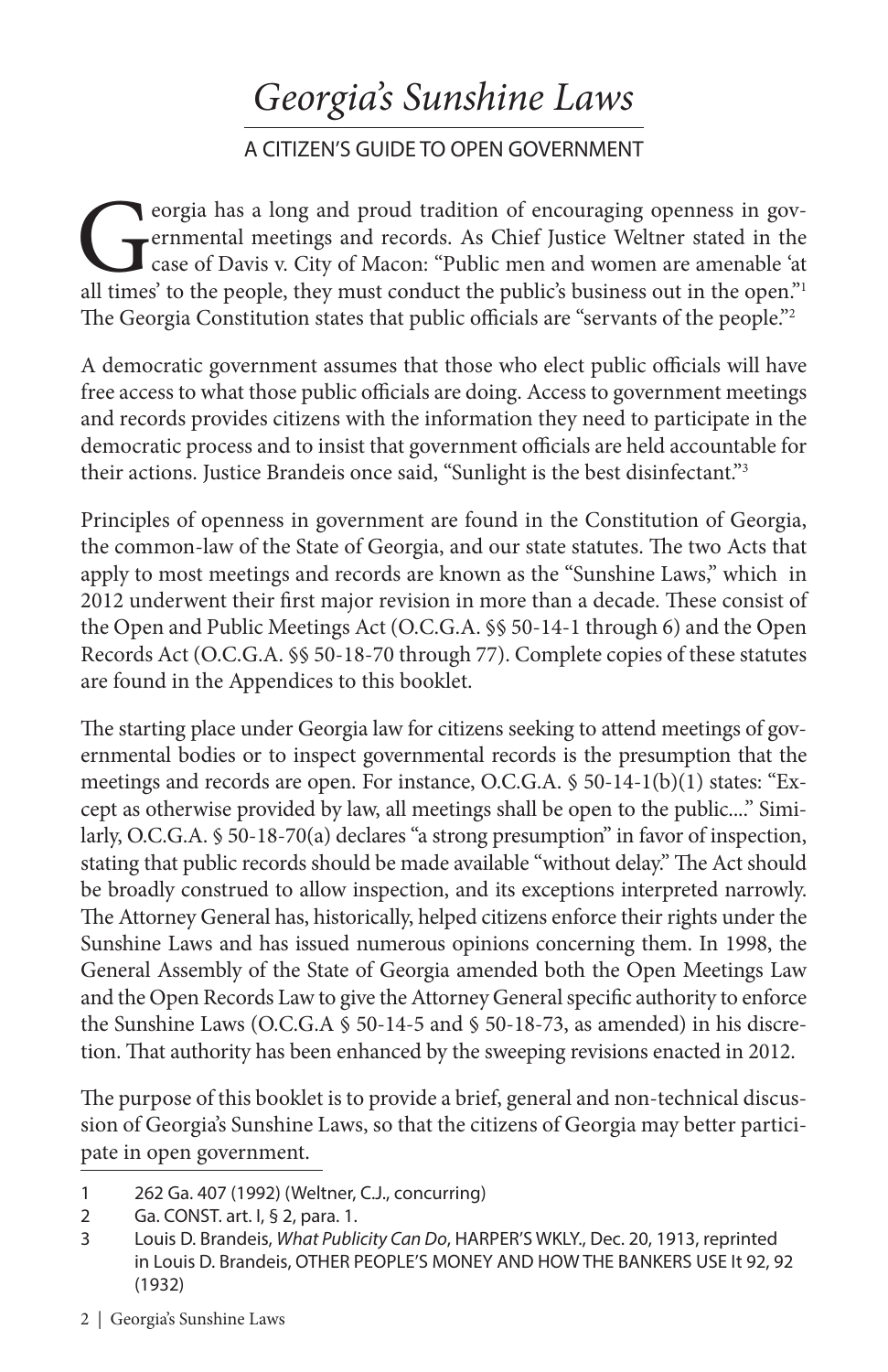## *Georgia's Sunshine Laws*

### A CITIZEN'S GUIDE TO OPEN GOVERNMENT

eorgia has a long and proud tradition of encouraging openness in governmental meetings and records. As Chief Justice Weltner stated in the case of Davis v. City of Macon: "Public men and women are amenable 'at all times' t ernmental meetings and records. As Chief Justice Weltner stated in the case of Davis v. City of Macon: "Public men and women are amenable 'at all times' to the people, they must conduct the public's business out in the open."1 The Georgia Constitution states that public officials are "servants of the people."2

A democratic government assumes that those who elect public officials will have free access to what those public officials are doing. Access to government meetings and records provides citizens with the information they need to participate in the democratic process and to insist that government officials are held accountable for their actions. Justice Brandeis once said, "Sunlight is the best disinfectant."3

Principles of openness in government are found in the Constitution of Georgia, the common-law of the State of Georgia, and our state statutes. The two Acts that apply to most meetings and records are known as the "Sunshine Laws," which in 2012 underwent their first major revision in more than a decade. These consist of the Open and Public Meetings Act (O.C.G.A. §§ 50-14-1 through 6) and the Open Records Act (O.C.G.A. §§ 50-18-70 through 77). Complete copies of these statutes are found in the Appendices to this booklet.

The starting place under Georgia law for citizens seeking to attend meetings of governmental bodies or to inspect governmental records is the presumption that the meetings and records are open. For instance, O.C.G.A. § 50-14-1(b)(1) states: "Except as otherwise provided by law, all meetings shall be open to the public...." Similarly, O.C.G.A. § 50-18-70(a) declares "a strong presumption" in favor of inspection, stating that public records should be made available "without delay." The Act should be broadly construed to allow inspection, and its exceptions interpreted narrowly. The Attorney General has, historically, helped citizens enforce their rights under the Sunshine Laws and has issued numerous opinions concerning them. In 1998, the General Assembly of the State of Georgia amended both the Open Meetings Law and the Open Records Law to give the Attorney General specific authority to enforce the Sunshine Laws (O.C.G.A § 50-14-5 and § 50-18-73, as amended) in his discretion. That authority has been enhanced by the sweeping revisions enacted in 2012.

The purpose of this booklet is to provide a brief, general and non-technical discussion of Georgia's Sunshine Laws, so that the citizens of Georgia may better participate in open government.

2 | Georgia's Sunshine Laws

<sup>1</sup> 262 Ga. 407 (1992) (Weltner, C.J., concurring)

<sup>2</sup> Ga. CONST. art. I, § 2, para. 1.

<sup>3</sup> Louis D. Brandeis, *What Publicity Can Do*, HARPER'S WKLY., Dec. 20, 1913, reprinted in Louis D. Brandeis, OTHER PEOPLE'S MONEY AND HOW THE BANKERS USE It 92, 92 (1932)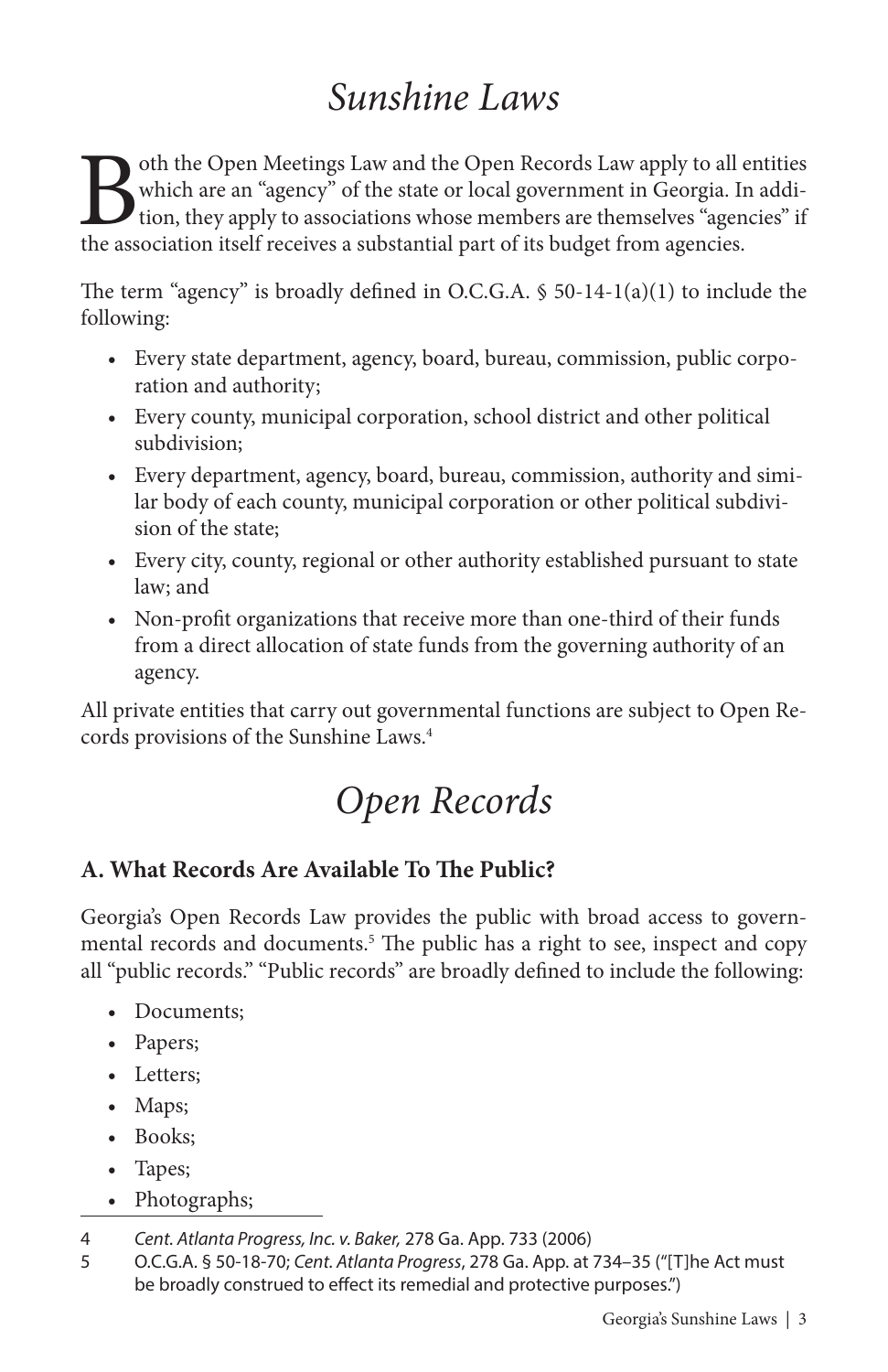## *Sunshine Laws*

Both the Open Meetings Law and the Open Records Law apply to all entities<br>which are an "agency" of the state or local government in Georgia. In addi-<br>tion, they apply to associations whose members are themselves "agencies" which are an "agency" of the state or local government in Georgia. In addition, they apply to associations whose members are themselves "agencies" if the association itself receives a substantial part of its budget from agencies.

The term "agency" is broadly defined in O.C.G.A. § 50-14-1(a)(1) to include the following:

- Every state department, agency, board, bureau, commission, public corporation and authority;
- Every county, municipal corporation, school district and other political subdivision;
- Every department, agency, board, bureau, commission, authority and similar body of each county, municipal corporation or other political subdivision of the state;
- Every city, county, regional or other authority established pursuant to state law; and
- Non-profit organizations that receive more than one-third of their funds from a direct allocation of state funds from the governing authority of an agency.

All private entities that carry out governmental functions are subject to Open Records provisions of the Sunshine Laws.4

## *Open Records*

### **A. What Records Are Available To The Public?**

Georgia's Open Records Law provides the public with broad access to governmental records and documents.5 The public has a right to see, inspect and copy all "public records." "Public records" are broadly defined to include the following:

- Documents;
- Papers;
- Letters:
- Maps;
- Books;
- Tapes;
- Photographs;

<sup>4</sup> *Cent. Atlanta Progress, Inc. v. Baker,* 278 Ga. App. 733 (2006)

<sup>5</sup> O.C.G.A. § 50-18-70; *Cent. Atlanta Progress*, 278 Ga. App. at 734–35 ("[T]he Act must be broadly construed to effect its remedial and protective purposes.")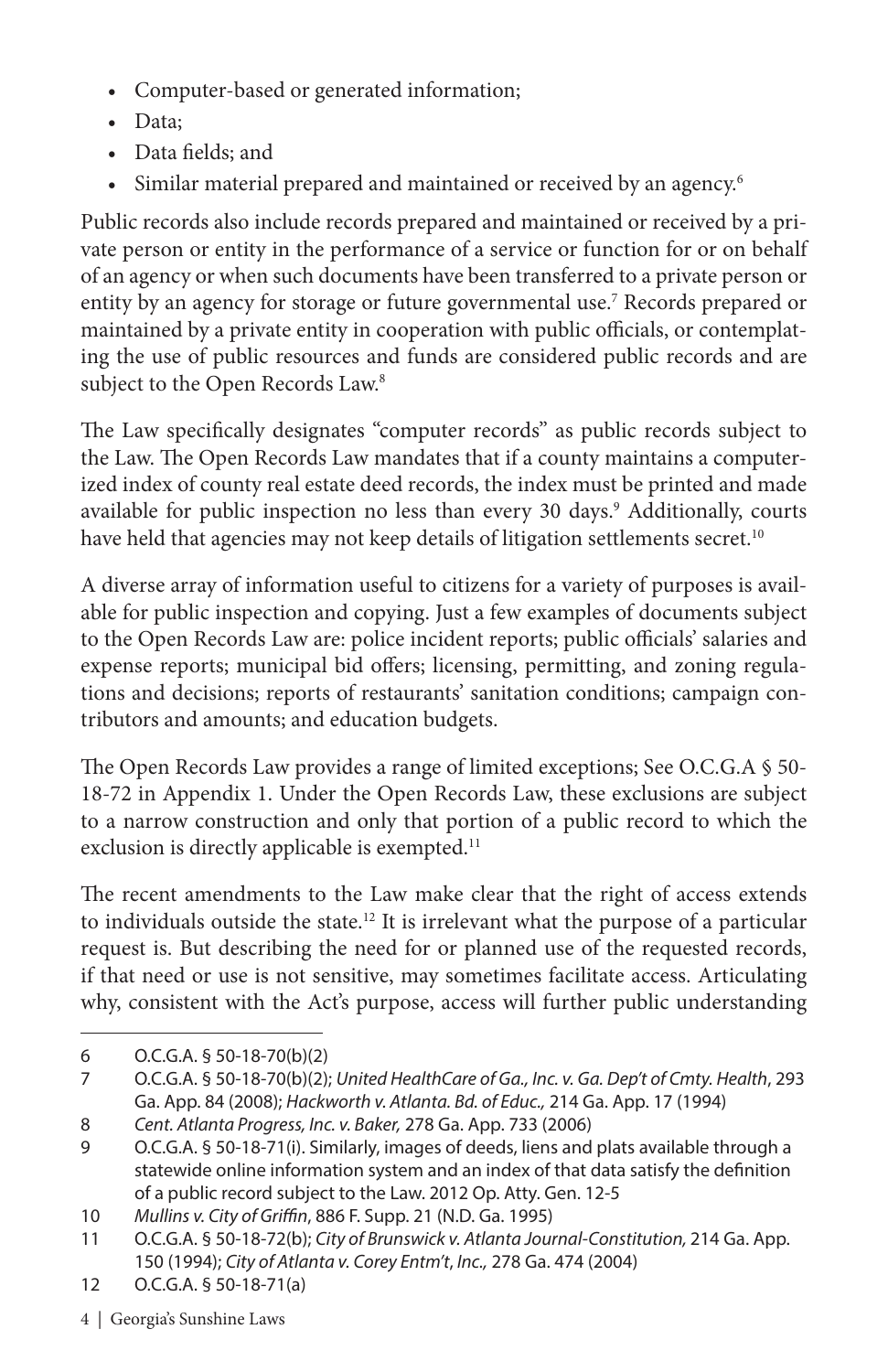- Computer-based or generated information;
- Data;
- Data fields; and
- Similar material prepared and maintained or received by an agency.6

Public records also include records prepared and maintained or received by a private person or entity in the performance of a service or function for or on behalf of an agency or when such documents have been transferred to a private person or entity by an agency for storage or future governmental use.<sup>7</sup> Records prepared or maintained by a private entity in cooperation with public officials, or contemplating the use of public resources and funds are considered public records and are subject to the Open Records Law.<sup>8</sup>

The Law specifically designates "computer records" as public records subject to the Law. The Open Records Law mandates that if a county maintains a computerized index of county real estate deed records, the index must be printed and made available for public inspection no less than every 30 days.<sup>9</sup> Additionally, courts have held that agencies may not keep details of litigation settlements secret.<sup>10</sup>

A diverse array of information useful to citizens for a variety of purposes is available for public inspection and copying. Just a few examples of documents subject to the Open Records Law are: police incident reports; public officials' salaries and expense reports; municipal bid offers; licensing, permitting, and zoning regulations and decisions; reports of restaurants' sanitation conditions; campaign contributors and amounts; and education budgets.

The Open Records Law provides a range of limited exceptions; See O.C.G.A § 50- 18-72 in Appendix 1. Under the Open Records Law, these exclusions are subject to a narrow construction and only that portion of a public record to which the exclusion is directly applicable is exempted.<sup>11</sup>

The recent amendments to the Law make clear that the right of access extends to individuals outside the state.<sup>12</sup> It is irrelevant what the purpose of a particular request is. But describing the need for or planned use of the requested records, if that need or use is not sensitive, may sometimes facilitate access. Articulating why, consistent with the Act's purpose, access will further public understanding

- 12 O.C.G.A. § 50-18-71(a)
- 4 | Georgia's Sunshine Laws

<sup>6</sup> O.C.G.A. § 50-18-70(b)(2)

<sup>7</sup> O.C.G.A. § 50-18-70(b)(2); *United HealthCare of Ga., Inc. v. Ga. Dep't of Cmty. Health*, 293 Ga. App. 84 (2008); *Hackworth v. Atlanta. Bd. of Educ.,* 214 Ga. App. 17 (1994)

<sup>8</sup> *Cent. Atlanta Progress, Inc. v. Baker,* 278 Ga. App. 733 (2006)

<sup>9</sup> O.C.G.A. § 50-18-71(i). Similarly, images of deeds, liens and plats available through a statewide online information system and an index of that data satisfy the definition of a public record subject to the Law. 2012 Op. Atty. Gen. 12-5

<sup>10</sup> *Mullins v. City of Griffin*, 886 F. Supp. 21 (N.D. Ga. 1995)

<sup>11</sup> O.C.G.A. § 50-18-72(b); *City of Brunswick v. Atlanta Journal-Constitution,* 214 Ga. App. 150 (1994); *City of Atlanta v. Corey Entm't*, *Inc.,* 278 Ga. 474 (2004)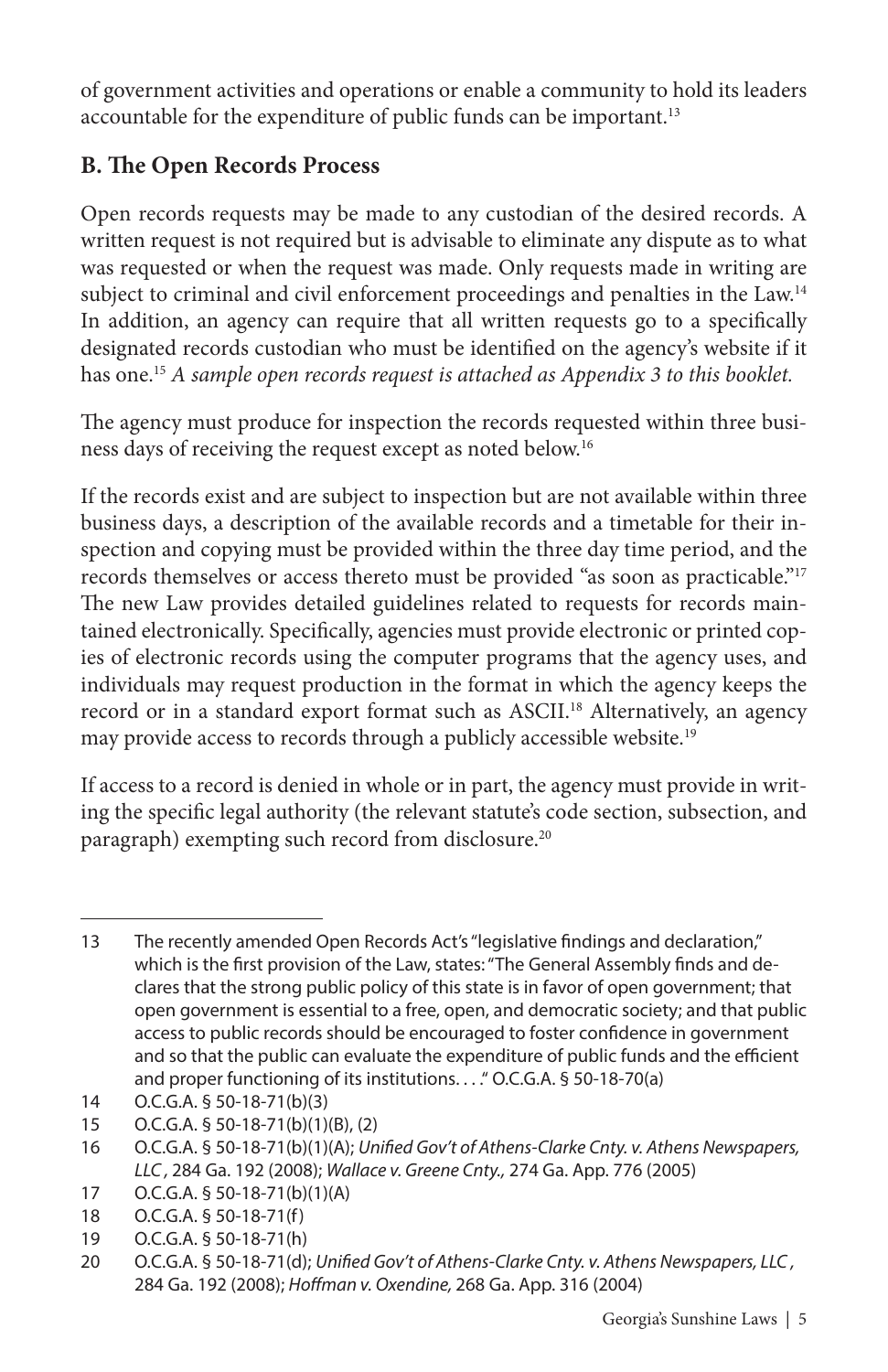of government activities and operations or enable a community to hold its leaders accountable for the expenditure of public funds can be important.<sup>13</sup>

### **B. The Open Records Process**

Open records requests may be made to any custodian of the desired records. A written request is not required but is advisable to eliminate any dispute as to what was requested or when the request was made. Only requests made in writing are subject to criminal and civil enforcement proceedings and penalties in the Law.<sup>14</sup> In addition, an agency can require that all written requests go to a specifically designated records custodian who must be identified on the agency's website if it has one.15 *A sample open records request is attached as Appendix 3 to this booklet.*

The agency must produce for inspection the records requested within three business days of receiving the request except as noted below.16

If the records exist and are subject to inspection but are not available within three business days, a description of the available records and a timetable for their inspection and copying must be provided within the three day time period, and the records themselves or access thereto must be provided "as soon as practicable."17 The new Law provides detailed guidelines related to requests for records maintained electronically. Specifically, agencies must provide electronic or printed copies of electronic records using the computer programs that the agency uses, and individuals may request production in the format in which the agency keeps the record or in a standard export format such as ASCII.18 Alternatively, an agency may provide access to records through a publicly accessible website.<sup>19</sup>

If access to a record is denied in whole or in part, the agency must provide in writing the specific legal authority (the relevant statute's code section, subsection, and paragraph) exempting such record from disclosure.<sup>20</sup>

<sup>13</sup> The recently amended Open Records Act's "legislative findings and declaration," which is the first provision of the Law, states: "The General Assembly finds and declares that the strong public policy of this state is in favor of open government; that open government is essential to a free, open, and democratic society; and that public access to public records should be encouraged to foster confidence in government and so that the public can evaluate the expenditure of public funds and the efficient and proper functioning of its institutions.... " O.C.G.A. § 50-18-70(a)

<sup>14</sup> O.C.G.A. § 50-18-71(b)(3)

<sup>15</sup> O.C.G.A. § 50-18-71(b)(1)(B), (2)

<sup>16</sup> O.C.G.A. § 50-18-71(b)(1)(A); *Unified Gov't of Athens-Clarke Cnty. v. Athens Newspapers, LLC ,* 284 Ga. 192 (2008); *Wallace v. Greene Cnty.,* 274 Ga. App. 776 (2005)

<sup>17</sup> O.C.G.A. § 50-18-71(b)(1)(A)

<sup>18</sup> O.C.G.A. § 50-18-71(f)

<sup>19</sup> O.C.G.A. § 50-18-71(h)

<sup>20</sup> O.C.G.A. § 50-18-71(d); *Unified Gov't of Athens-Clarke Cnty. v. Athens Newspapers, LLC ,* 284 Ga. 192 (2008); *Hoffman v. Oxendine,* 268 Ga. App. 316 (2004)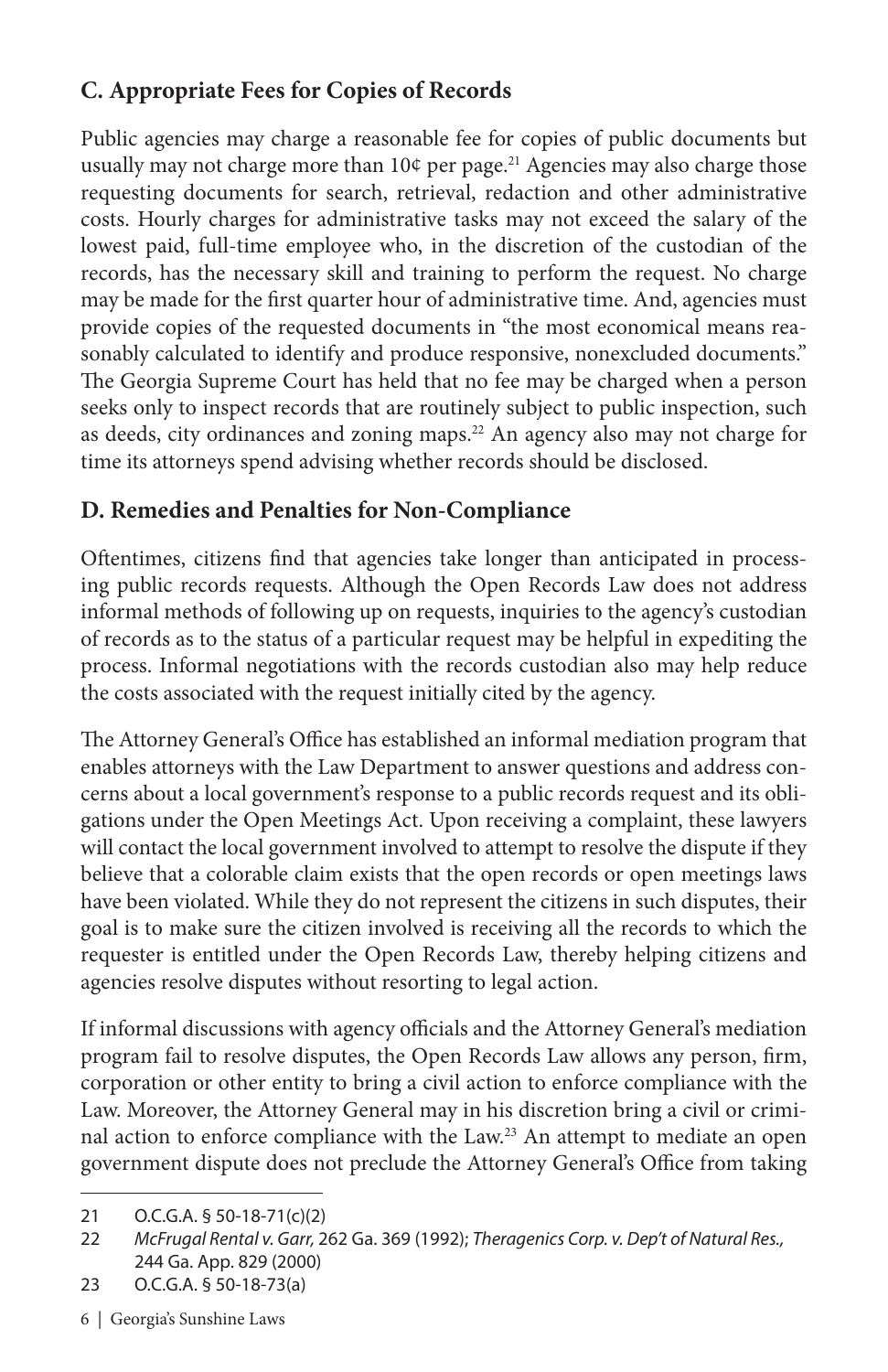### **C. Appropriate Fees for Copies of Records**

Public agencies may charge a reasonable fee for copies of public documents but usually may not charge more than 10¢ per page.<sup>21</sup> Agencies may also charge those requesting documents for search, retrieval, redaction and other administrative costs. Hourly charges for administrative tasks may not exceed the salary of the lowest paid, full-time employee who, in the discretion of the custodian of the records, has the necessary skill and training to perform the request. No charge may be made for the first quarter hour of administrative time. And, agencies must provide copies of the requested documents in "the most economical means reasonably calculated to identify and produce responsive, nonexcluded documents." The Georgia Supreme Court has held that no fee may be charged when a person seeks only to inspect records that are routinely subject to public inspection, such as deeds, city ordinances and zoning maps.<sup>22</sup> An agency also may not charge for time its attorneys spend advising whether records should be disclosed.

### **D. Remedies and Penalties for Non-Compliance**

Oftentimes, citizens find that agencies take longer than anticipated in processing public records requests. Although the Open Records Law does not address informal methods of following up on requests, inquiries to the agency's custodian of records as to the status of a particular request may be helpful in expediting the process. Informal negotiations with the records custodian also may help reduce the costs associated with the request initially cited by the agency.

The Attorney General's Office has established an informal mediation program that enables attorneys with the Law Department to answer questions and address concerns about a local government's response to a public records request and its obligations under the Open Meetings Act. Upon receiving a complaint, these lawyers will contact the local government involved to attempt to resolve the dispute if they believe that a colorable claim exists that the open records or open meetings laws have been violated. While they do not represent the citizens in such disputes, their goal is to make sure the citizen involved is receiving all the records to which the requester is entitled under the Open Records Law, thereby helping citizens and agencies resolve disputes without resorting to legal action.

If informal discussions with agency officials and the Attorney General's mediation program fail to resolve disputes, the Open Records Law allows any person, firm, corporation or other entity to bring a civil action to enforce compliance with the Law. Moreover, the Attorney General may in his discretion bring a civil or criminal action to enforce compliance with the Law.23 An attempt to mediate an open government dispute does not preclude the Attorney General's Office from taking

<sup>21</sup> O.C.G.A. § 50-18-71(c)(2)

<sup>22</sup> *McFrugal Rental v. Garr,* 262 Ga. 369 (1992); *Theragenics Corp. v. Dep't of Natural Res.,* 244 Ga. App. 829 (2000)

<sup>23</sup> O.C.G.A. § 50-18-73(a)

<sup>6 |</sup> Georgia's Sunshine Laws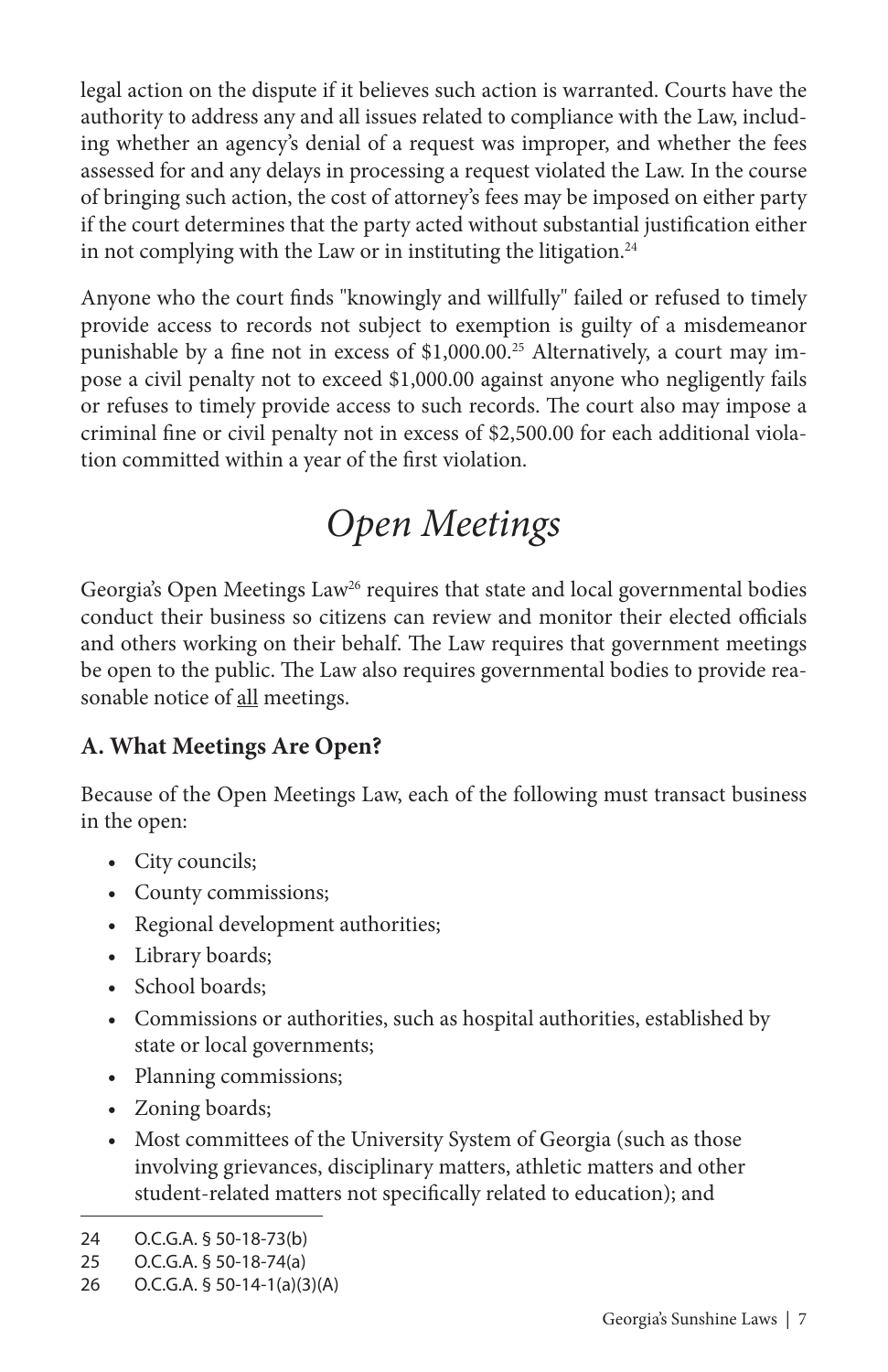legal action on the dispute if it believes such action is warranted. Courts have the authority to address any and all issues related to compliance with the Law, including whether an agency's denial of a request was improper, and whether the fees assessed for and any delays in processing a request violated the Law. In the course of bringing such action, the cost of attorney's fees may be imposed on either party if the court determines that the party acted without substantial justification either in not complying with the Law or in instituting the litigation.<sup>24</sup>

Anyone who the court finds "knowingly and willfully" failed or refused to timely provide access to records not subject to exemption is guilty of a misdemeanor punishable by a fine not in excess of \$1,000.00.25 Alternatively, a court may impose a civil penalty not to exceed \$1,000.00 against anyone who negligently fails or refuses to timely provide access to such records. The court also may impose a criminal fine or civil penalty not in excess of \$2,500.00 for each additional violation committed within a year of the first violation.

## *Open Meetings*

Georgia's Open Meetings Law<sup>26</sup> requires that state and local governmental bodies conduct their business so citizens can review and monitor their elected officials and others working on their behalf. The Law requires that government meetings be open to the public. The Law also requires governmental bodies to provide reasonable notice of all meetings.

### **A. What Meetings Are Open?**

Because of the Open Meetings Law, each of the following must transact business in the open:

- City councils;
- County commissions;
- Regional development authorities;
- Library boards;
- School boards:
- Commissions or authorities, such as hospital authorities, established by state or local governments;
- Planning commissions;
- Zoning boards;
- Most committees of the University System of Georgia (such as those involving grievances, disciplinary matters, athletic matters and other student-related matters not specifically related to education); and

<sup>24</sup> O.C.G.A. § 50-18-73(b)

<sup>25</sup> O.C.G.A. § 50-18-74(a)

<sup>26</sup> O.C.G.A. § 50-14-1(a)(3)(A)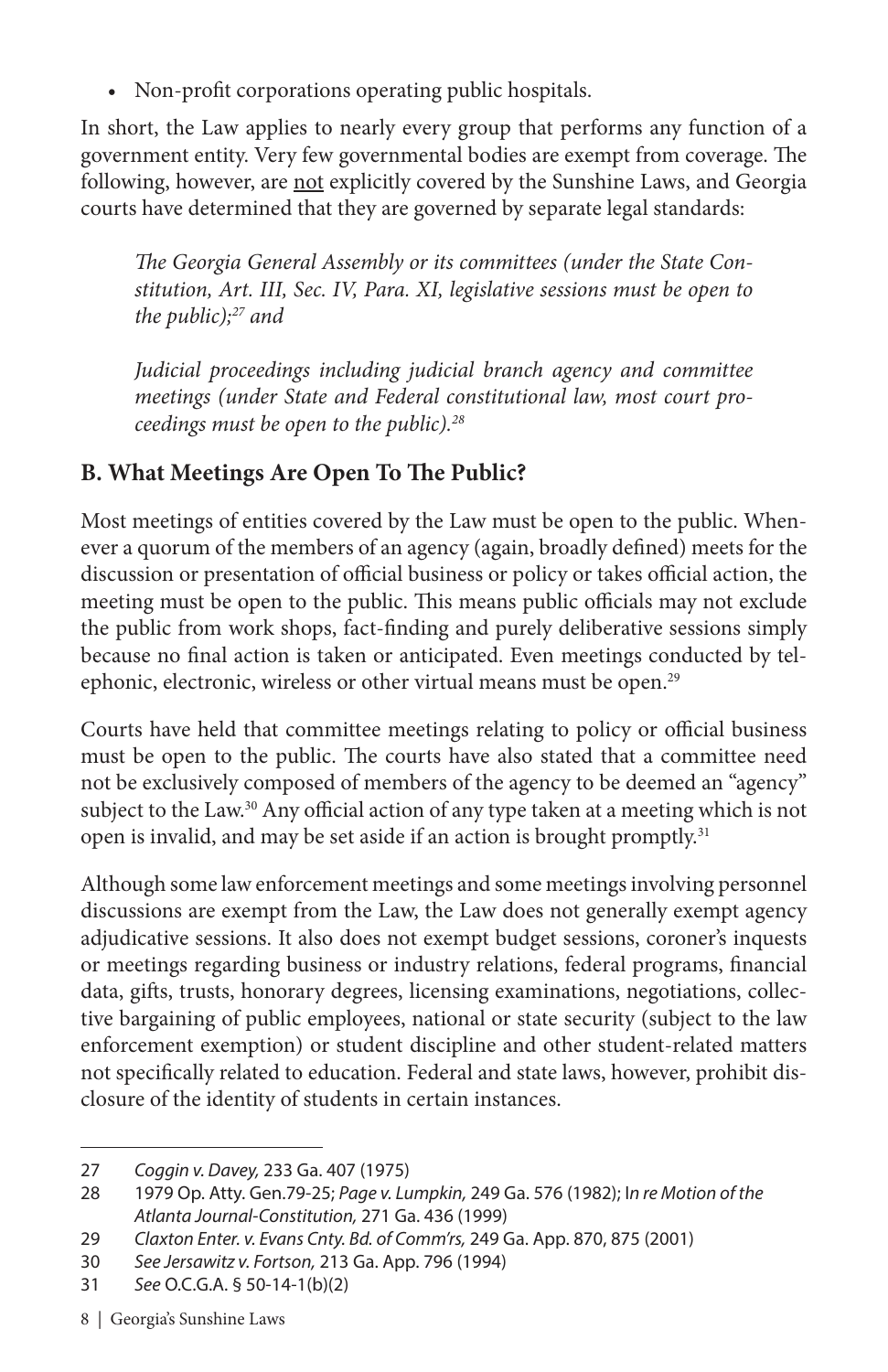• Non-profit corporations operating public hospitals.

In short, the Law applies to nearly every group that performs any function of a government entity. Very few governmental bodies are exempt from coverage. The following, however, are not explicitly covered by the Sunshine Laws, and Georgia courts have determined that they are governed by separate legal standards:

*The Georgia General Assembly or its committees (under the State Constitution, Art. III, Sec. IV, Para. XI, legislative sessions must be open to the public);27 and*

*Judicial proceedings including judicial branch agency and committee meetings (under State and Federal constitutional law, most court proceedings must be open to the public).28*

### **B. What Meetings Are Open To The Public?**

Most meetings of entities covered by the Law must be open to the public. Whenever a quorum of the members of an agency (again, broadly defined) meets for the discussion or presentation of official business or policy or takes official action, the meeting must be open to the public. This means public officials may not exclude the public from work shops, fact-finding and purely deliberative sessions simply because no final action is taken or anticipated. Even meetings conducted by telephonic, electronic, wireless or other virtual means must be open.<sup>29</sup>

Courts have held that committee meetings relating to policy or official business must be open to the public. The courts have also stated that a committee need not be exclusively composed of members of the agency to be deemed an "agency" subject to the Law.<sup>30</sup> Any official action of any type taken at a meeting which is not open is invalid, and may be set aside if an action is brought promptly.<sup>31</sup>

Although some law enforcement meetings and some meetings involving personnel discussions are exempt from the Law, the Law does not generally exempt agency adjudicative sessions. It also does not exempt budget sessions, coroner's inquests or meetings regarding business or industry relations, federal programs, financial data, gifts, trusts, honorary degrees, licensing examinations, negotiations, collective bargaining of public employees, national or state security (subject to the law enforcement exemption) or student discipline and other student-related matters not specifically related to education. Federal and state laws, however, prohibit disclosure of the identity of students in certain instances.

<sup>27</sup> *Coggin v. Davey,* 233 Ga. 407 (1975)

<sup>28</sup> 1979 Op. Atty. Gen.79-25; *Page v. Lumpkin,* 249 Ga. 576 (1982); I*n re Motion of the Atlanta Journal-Constitution,* 271 Ga. 436 (1999)

<sup>29</sup> *Claxton Enter. v. Evans Cnty. Bd. of Comm'rs,* 249 Ga. App. 870, 875 (2001)

<sup>30</sup> *See Jersawitz v. Fortson,* 213 Ga. App. 796 (1994)

<sup>31</sup> *See* O.C.G.A. § 50-14-1(b)(2)

<sup>8 |</sup> Georgia's Sunshine Laws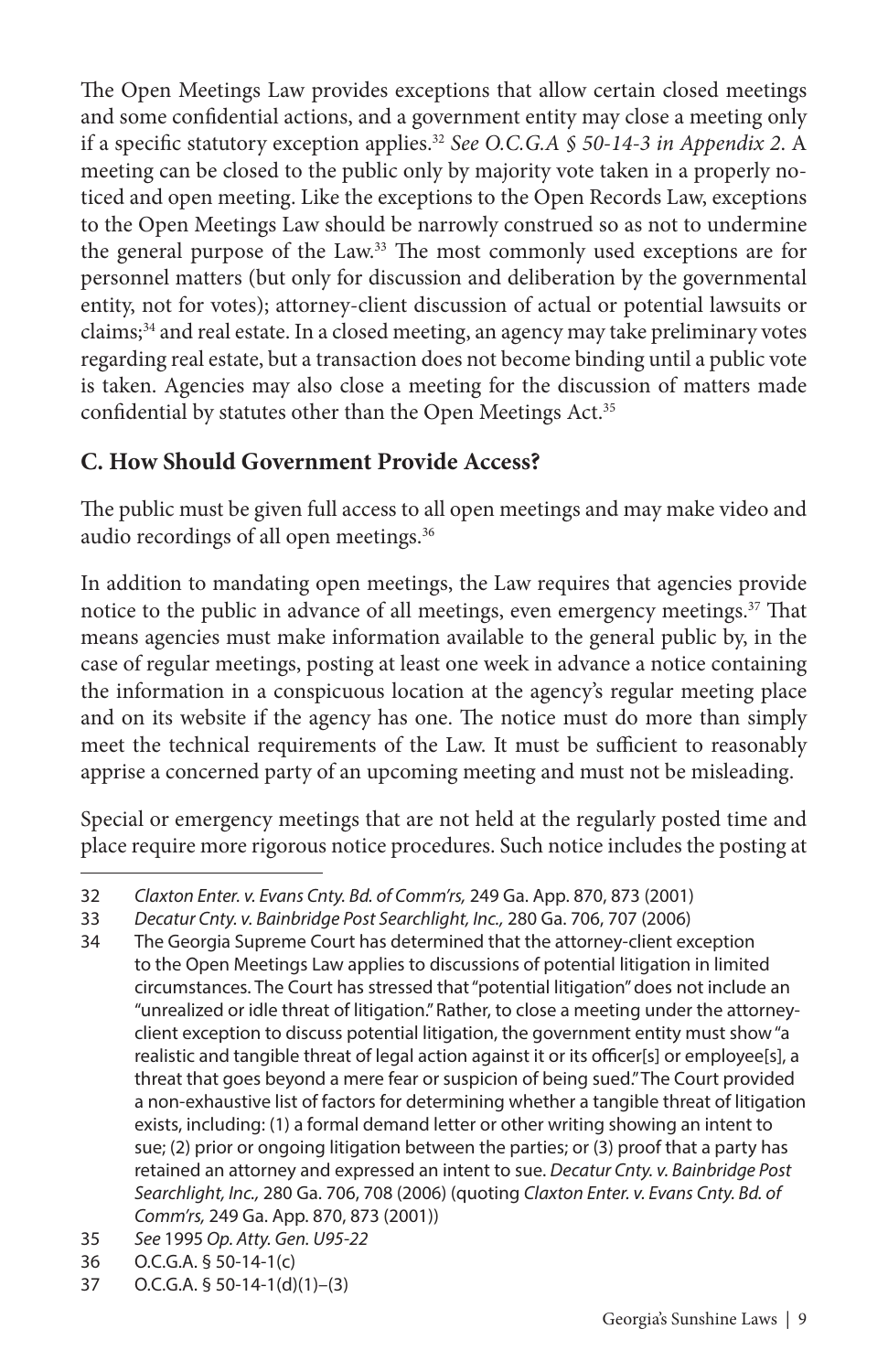The Open Meetings Law provides exceptions that allow certain closed meetings and some confidential actions, and a government entity may close a meeting only if a specific statutory exception applies.32 *See O.C.G.A § 50-14-3 in Appendix 2*. A meeting can be closed to the public only by majority vote taken in a properly noticed and open meeting. Like the exceptions to the Open Records Law, exceptions to the Open Meetings Law should be narrowly construed so as not to undermine the general purpose of the Law.33 The most commonly used exceptions are for personnel matters (but only for discussion and deliberation by the governmental entity, not for votes); attorney-client discussion of actual or potential lawsuits or claims;<sup>34</sup> and real estate. In a closed meeting, an agency may take preliminary votes regarding real estate, but a transaction does not become binding until a public vote is taken. Agencies may also close a meeting for the discussion of matters made confidential by statutes other than the Open Meetings Act.<sup>35</sup>

### **C. How Should Government Provide Access?**

The public must be given full access to all open meetings and may make video and audio recordings of all open meetings.<sup>36</sup>

In addition to mandating open meetings, the Law requires that agencies provide notice to the public in advance of all meetings, even emergency meetings.<sup>37</sup> That means agencies must make information available to the general public by, in the case of regular meetings, posting at least one week in advance a notice containing the information in a conspicuous location at the agency's regular meeting place and on its website if the agency has one. The notice must do more than simply meet the technical requirements of the Law. It must be sufficient to reasonably apprise a concerned party of an upcoming meeting and must not be misleading.

Special or emergency meetings that are not held at the regularly posted time and place require more rigorous notice procedures. Such notice includes the posting at

- 35 *See* 1995 *Op. Atty. Gen. U95-22*
- 36 O.C.G.A. § 50-14-1(c)
- 37 O.C.G.A. § 50-14-1(d)(1)–(3)

<sup>32</sup> *Claxton Enter. v. Evans Cnty. Bd. of Comm'rs,* 249 Ga. App. 870, 873 (2001)

<sup>33</sup> *Decatur Cnty. v. Bainbridge Post Searchlight, Inc.,* 280 Ga. 706, 707 (2006)

<sup>34</sup> The Georgia Supreme Court has determined that the attorney-client exception to the Open Meetings Law applies to discussions of potential litigation in limited circumstances. The Court has stressed that "potential litigation" does not include an "unrealized or idle threat of litigation." Rather, to close a meeting under the attorneyclient exception to discuss potential litigation, the government entity must show "a realistic and tangible threat of legal action against it or its officer[s] or employee[s], a threat that goes beyond a mere fear or suspicion of being sued." The Court provided a non-exhaustive list of factors for determining whether a tangible threat of litigation exists, including: (1) a formal demand letter or other writing showing an intent to sue; (2) prior or ongoing litigation between the parties; or (3) proof that a party has retained an attorney and expressed an intent to sue. *Decatur Cnty. v. Bainbridge Post Searchlight, Inc.,* 280 Ga. 706, 708 (2006) (quoting *Claxton Enter. v. Evans Cnty. Bd. of Comm'rs,* 249 Ga. App. 870, 873 (2001))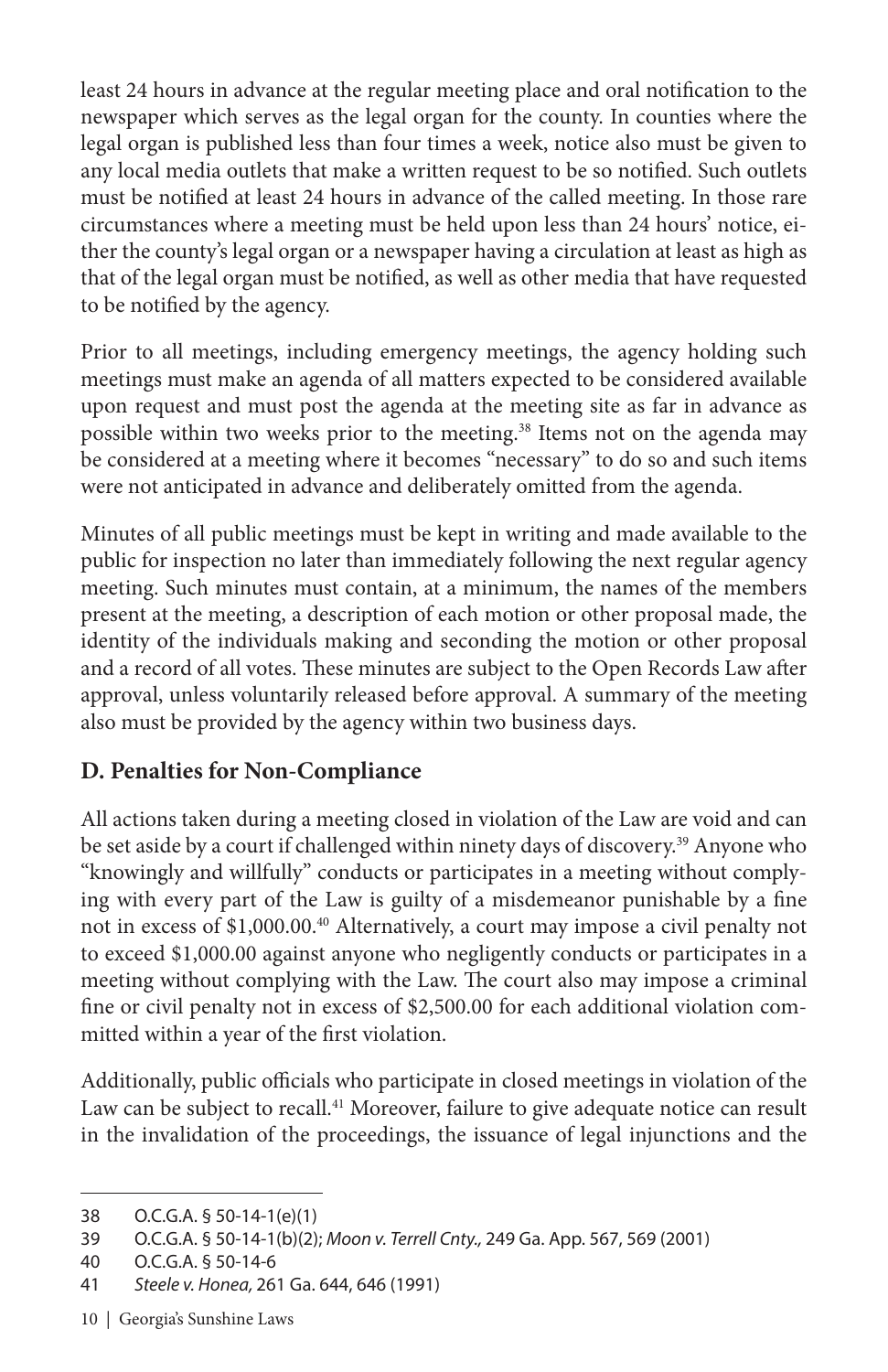least 24 hours in advance at the regular meeting place and oral notification to the newspaper which serves as the legal organ for the county. In counties where the legal organ is published less than four times a week, notice also must be given to any local media outlets that make a written request to be so notified. Such outlets must be notified at least 24 hours in advance of the called meeting. In those rare circumstances where a meeting must be held upon less than 24 hours' notice, either the county's legal organ or a newspaper having a circulation at least as high as that of the legal organ must be notified, as well as other media that have requested to be notified by the agency.

Prior to all meetings, including emergency meetings, the agency holding such meetings must make an agenda of all matters expected to be considered available upon request and must post the agenda at the meeting site as far in advance as possible within two weeks prior to the meeting.38 Items not on the agenda may be considered at a meeting where it becomes "necessary" to do so and such items were not anticipated in advance and deliberately omitted from the agenda.

Minutes of all public meetings must be kept in writing and made available to the public for inspection no later than immediately following the next regular agency meeting. Such minutes must contain, at a minimum, the names of the members present at the meeting, a description of each motion or other proposal made, the identity of the individuals making and seconding the motion or other proposal and a record of all votes. These minutes are subject to the Open Records Law after approval, unless voluntarily released before approval. A summary of the meeting also must be provided by the agency within two business days.

### **D. Penalties for Non-Compliance**

All actions taken during a meeting closed in violation of the Law are void and can be set aside by a court if challenged within ninety days of discovery.<sup>39</sup> Anyone who "knowingly and willfully" conducts or participates in a meeting without complying with every part of the Law is guilty of a misdemeanor punishable by a fine not in excess of \$1,000.00.40 Alternatively, a court may impose a civil penalty not to exceed \$1,000.00 against anyone who negligently conducts or participates in a meeting without complying with the Law. The court also may impose a criminal fine or civil penalty not in excess of \$2,500.00 for each additional violation committed within a year of the first violation.

Additionally, public officials who participate in closed meetings in violation of the Law can be subject to recall.<sup>41</sup> Moreover, failure to give adequate notice can result in the invalidation of the proceedings, the issuance of legal injunctions and the

10 | Georgia's Sunshine Laws

<sup>38</sup> O.C.G.A. § 50-14-1(e)(1)

<sup>39</sup> O.C.G.A. § 50-14-1(b)(2); *Moon v. Terrell Cnty.,* 249 Ga. App. 567, 569 (2001)

<sup>40</sup> O.C.G.A. § 50-14-6

<sup>41</sup> *Steele v. Honea,* 261 Ga. 644, 646 (1991)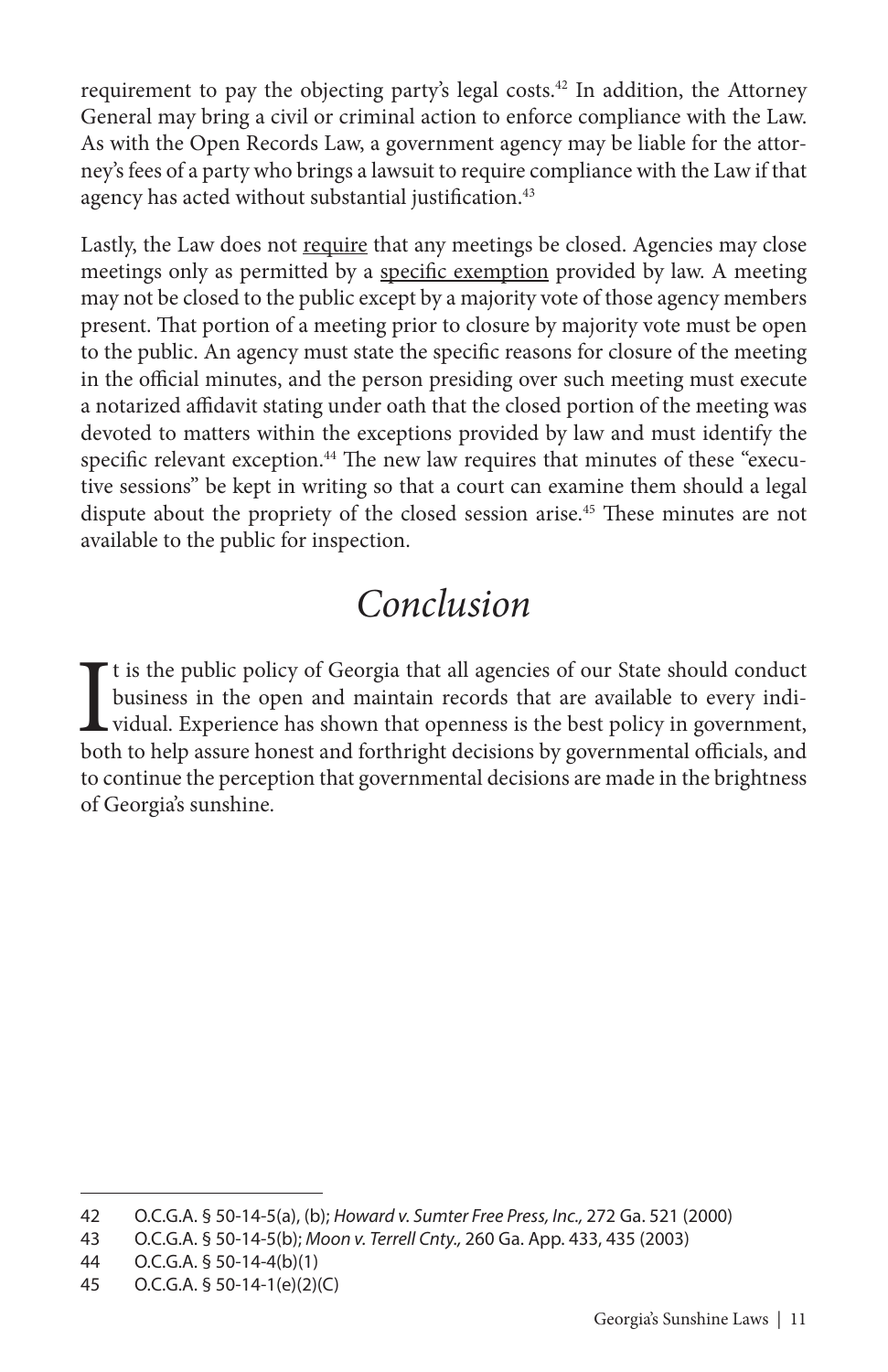requirement to pay the objecting party's legal costs.42 In addition, the Attorney General may bring a civil or criminal action to enforce compliance with the Law. As with the Open Records Law, a government agency may be liable for the attorney's fees of a party who brings a lawsuit to require compliance with the Law if that agency has acted without substantial justification.<sup>43</sup>

Lastly, the Law does not require that any meetings be closed. Agencies may close meetings only as permitted by a specific exemption provided by law. A meeting may not be closed to the public except by a majority vote of those agency members present. That portion of a meeting prior to closure by majority vote must be open to the public. An agency must state the specific reasons for closure of the meeting in the official minutes, and the person presiding over such meeting must execute a notarized affidavit stating under oath that the closed portion of the meeting was devoted to matters within the exceptions provided by law and must identify the specific relevant exception.<sup>44</sup> The new law requires that minutes of these "executive sessions" be kept in writing so that a court can examine them should a legal dispute about the propriety of the closed session arise.45 These minutes are not available to the public for inspection.

## *Conclusion*

It is the public policy of Georgia that all agencies of our State should conduct business in the open and maintain records that are available to every individual. Experience has shown that openness is the best policy in go  $\Gamma$ t is the public policy of Georgia that all agencies of our State should conduct business in the open and maintain records that are available to every individual. Experience has shown that openness is the best policy in government, to continue the perception that governmental decisions are made in the brightness of Georgia's sunshine.

<sup>42</sup> O.C.G.A. § 50-14-5(a), (b); *Howard v. Sumter Free Press, Inc.,* 272 Ga. 521 (2000)

<sup>43</sup> O.C.G.A. § 50-14-5(b); *Moon v. Terrell Cnty.,* 260 Ga. App. 433, 435 (2003)

<sup>44</sup> O.C.G.A. § 50-14-4(b)(1)

<sup>45</sup> O.C.G.A. § 50-14-1(e)(2)(C)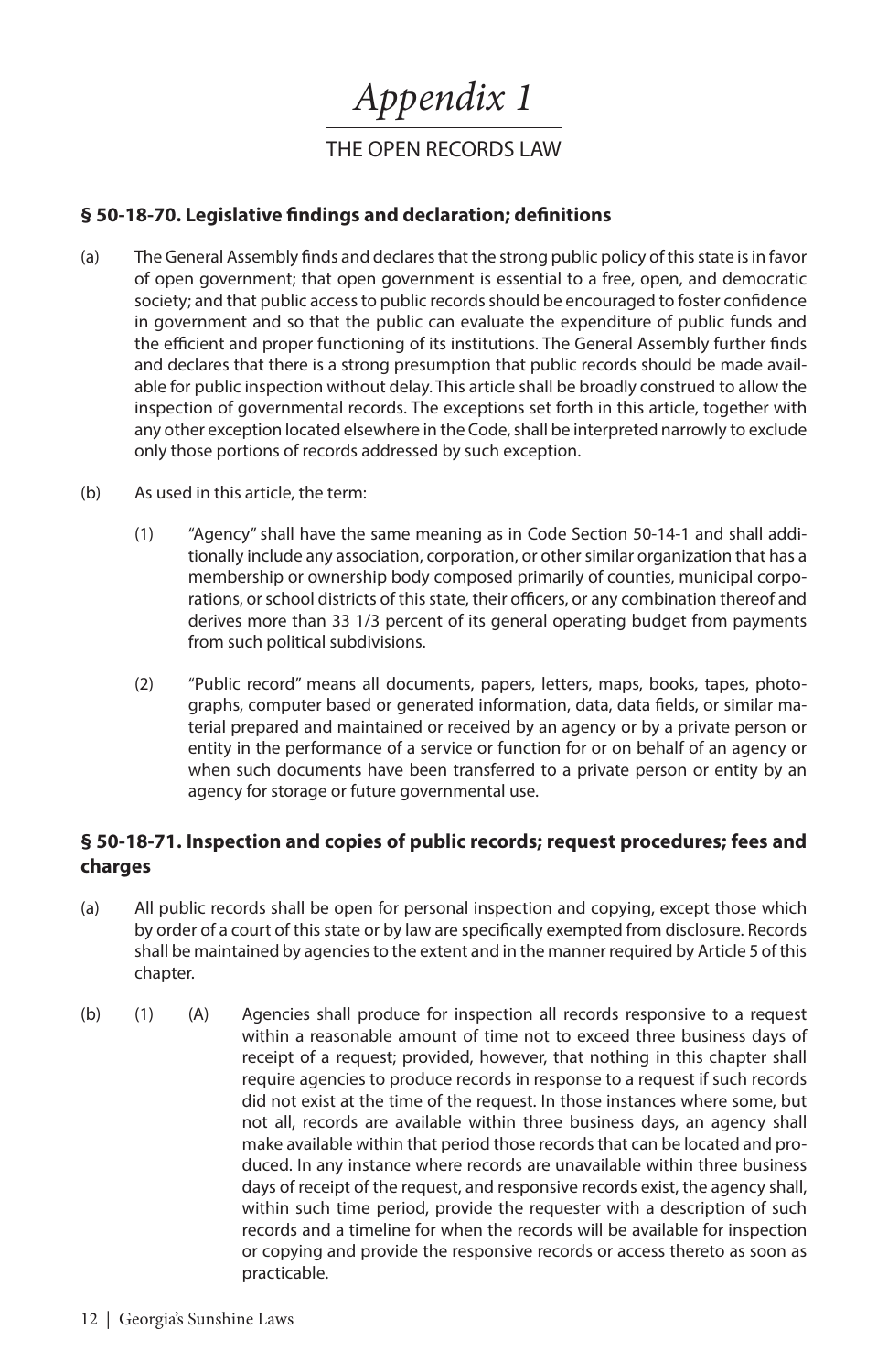*Appendix 1*

THE OPEN RECORDS LAW

#### **§ 50-18-70. Legislative findings and declaration; definitions**

- (a) The General Assembly finds and declares that the strong public policy of this state is in favor of open government; that open government is essential to a free, open, and democratic society; and that public access to public records should be encouraged to foster confidence in government and so that the public can evaluate the expenditure of public funds and the efficient and proper functioning of its institutions. The General Assembly further finds and declares that there is a strong presumption that public records should be made available for public inspection without delay. This article shall be broadly construed to allow the inspection of governmental records. The exceptions set forth in this article, together with any other exception located elsewhere in the Code, shall be interpreted narrowly to exclude only those portions of records addressed by such exception.
- (b) As used in this article, the term:
	- (1) "Agency" shall have the same meaning as in Code Section 50-14-1 and shall additionally include any association, corporation, or other similar organization that has a membership or ownership body composed primarily of counties, municipal corporations, or school districts of this state, their officers, or any combination thereof and derives more than 33 1/3 percent of its general operating budget from payments from such political subdivisions.
	- (2) "Public record" means all documents, papers, letters, maps, books, tapes, photographs, computer based or generated information, data, data fields, or similar material prepared and maintained or received by an agency or by a private person or entity in the performance of a service or function for or on behalf of an agency or when such documents have been transferred to a private person or entity by an agency for storage or future governmental use.

#### **§ 50-18-71. Inspection and copies of public records; request procedures; fees and charges**

- (a) All public records shall be open for personal inspection and copying, except those which by order of a court of this state or by law are specifically exempted from disclosure. Records shall be maintained by agencies to the extent and in the manner required by Article 5 of this chapter.
- (b) (1) (A) Agencies shall produce for inspection all records responsive to a request within a reasonable amount of time not to exceed three business days of receipt of a request; provided, however, that nothing in this chapter shall require agencies to produce records in response to a request if such records did not exist at the time of the request. In those instances where some, but not all, records are available within three business days, an agency shall make available within that period those records that can be located and produced. In any instance where records are unavailable within three business days of receipt of the request, and responsive records exist, the agency shall, within such time period, provide the requester with a description of such records and a timeline for when the records will be available for inspection or copying and provide the responsive records or access thereto as soon as practicable.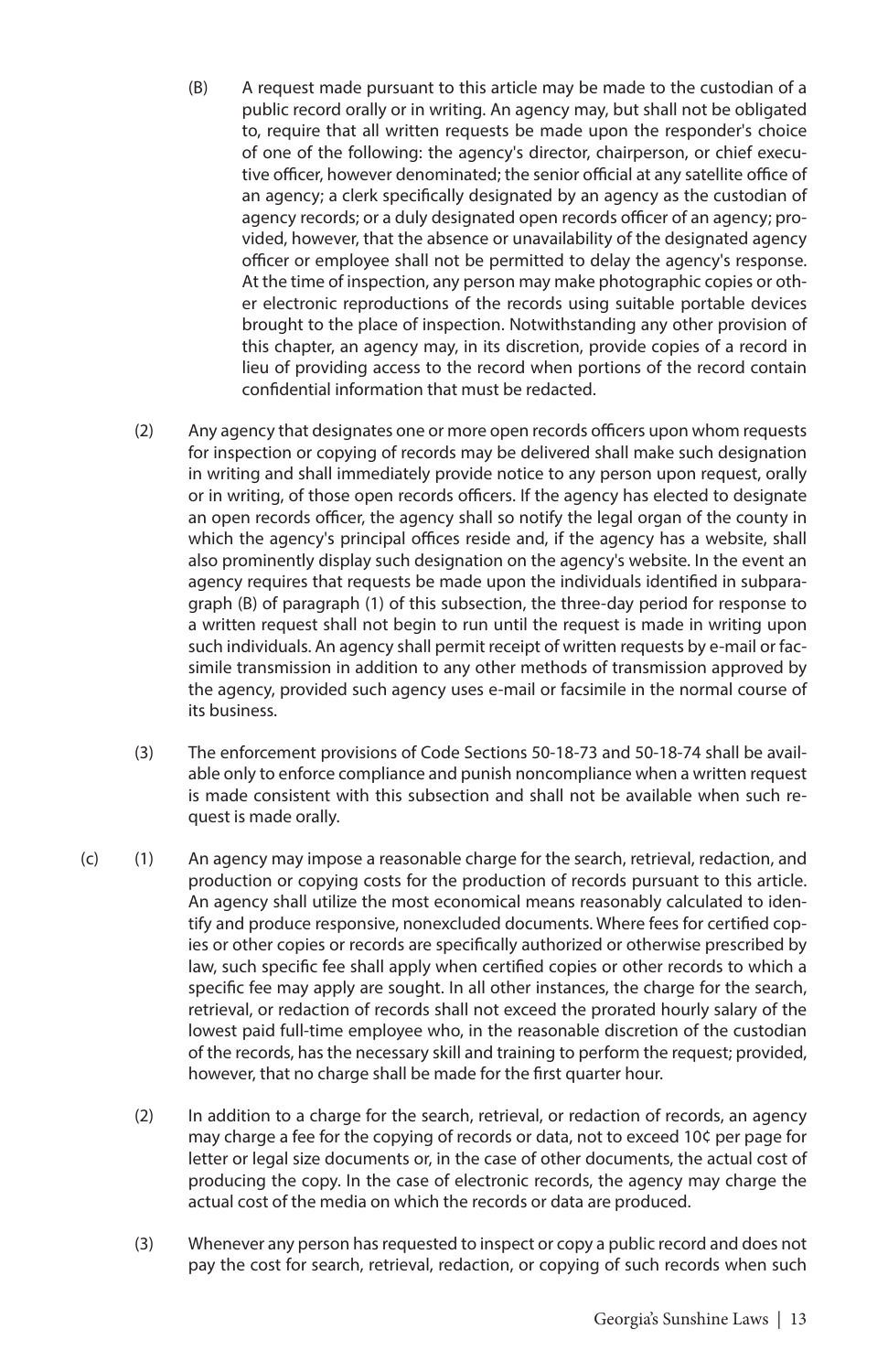- (B) A request made pursuant to this article may be made to the custodian of a public record orally or in writing. An agency may, but shall not be obligated to, require that all written requests be made upon the responder's choice of one of the following: the agency's director, chairperson, or chief executive officer, however denominated; the senior official at any satellite office of an agency; a clerk specifically designated by an agency as the custodian of agency records; or a duly designated open records officer of an agency; provided, however, that the absence or unavailability of the designated agency officer or employee shall not be permitted to delay the agency's response. At the time of inspection, any person may make photographic copies or other electronic reproductions of the records using suitable portable devices brought to the place of inspection. Notwithstanding any other provision of this chapter, an agency may, in its discretion, provide copies of a record in lieu of providing access to the record when portions of the record contain confidential information that must be redacted.
- (2) Any agency that designates one or more open records officers upon whom requests for inspection or copying of records may be delivered shall make such designation in writing and shall immediately provide notice to any person upon request, orally or in writing, of those open records officers. If the agency has elected to designate an open records officer, the agency shall so notify the legal organ of the county in which the agency's principal offices reside and, if the agency has a website, shall also prominently display such designation on the agency's website. In the event an agency requires that requests be made upon the individuals identified in subparagraph (B) of paragraph (1) of this subsection, the three-day period for response to a written request shall not begin to run until the request is made in writing upon such individuals. An agency shall permit receipt of written requests by e-mail or facsimile transmission in addition to any other methods of transmission approved by the agency, provided such agency uses e-mail or facsimile in the normal course of its business.
- (3) The enforcement provisions of Code Sections 50-18-73 and 50-18-74 shall be available only to enforce compliance and punish noncompliance when a written request is made consistent with this subsection and shall not be available when such request is made orally.
- (c) (1) An agency may impose a reasonable charge for the search, retrieval, redaction, and production or copying costs for the production of records pursuant to this article. An agency shall utilize the most economical means reasonably calculated to identify and produce responsive, nonexcluded documents. Where fees for certified copies or other copies or records are specifically authorized or otherwise prescribed by law, such specific fee shall apply when certified copies or other records to which a specific fee may apply are sought. In all other instances, the charge for the search, retrieval, or redaction of records shall not exceed the prorated hourly salary of the lowest paid full-time employee who, in the reasonable discretion of the custodian of the records, has the necessary skill and training to perform the request; provided, however, that no charge shall be made for the first quarter hour.
	- (2) In addition to a charge for the search, retrieval, or redaction of records, an agency may charge a fee for the copying of records or data, not to exceed 10¢ per page for letter or legal size documents or, in the case of other documents, the actual cost of producing the copy. In the case of electronic records, the agency may charge the actual cost of the media on which the records or data are produced.
	- (3) Whenever any person has requested to inspect or copy a public record and does not pay the cost for search, retrieval, redaction, or copying of such records when such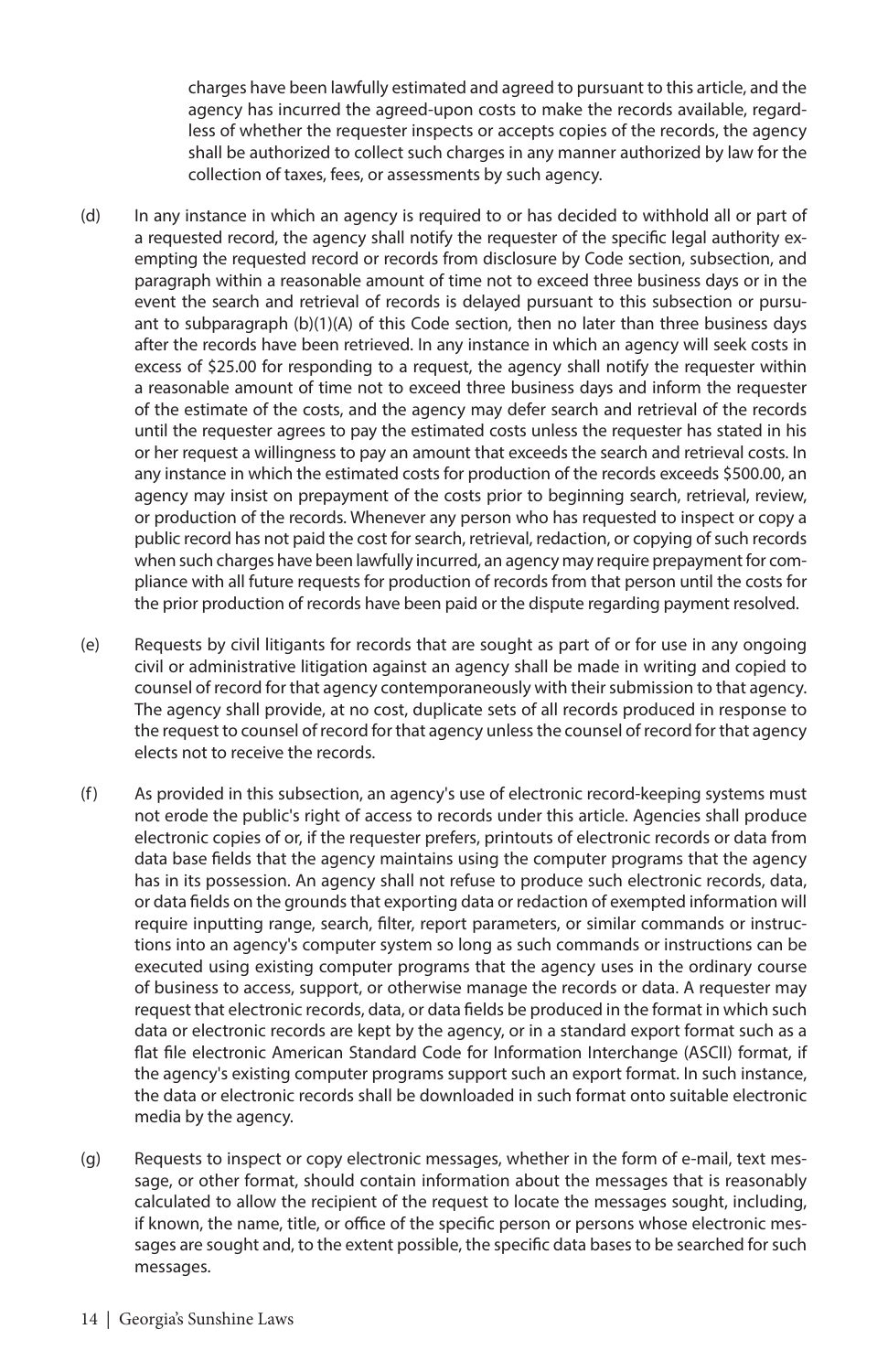charges have been lawfully estimated and agreed to pursuant to this article, and the agency has incurred the agreed-upon costs to make the records available, regardless of whether the requester inspects or accepts copies of the records, the agency shall be authorized to collect such charges in any manner authorized by law for the collection of taxes, fees, or assessments by such agency.

- (d) In any instance in which an agency is required to or has decided to withhold all or part of a requested record, the agency shall notify the requester of the specific legal authority exempting the requested record or records from disclosure by Code section, subsection, and paragraph within a reasonable amount of time not to exceed three business days or in the event the search and retrieval of records is delayed pursuant to this subsection or pursuant to subparagraph (b)(1)(A) of this Code section, then no later than three business days after the records have been retrieved. In any instance in which an agency will seek costs in excess of \$25.00 for responding to a request, the agency shall notify the requester within a reasonable amount of time not to exceed three business days and inform the requester of the estimate of the costs, and the agency may defer search and retrieval of the records until the requester agrees to pay the estimated costs unless the requester has stated in his or her request a willingness to pay an amount that exceeds the search and retrieval costs. In any instance in which the estimated costs for production of the records exceeds \$500.00, an agency may insist on prepayment of the costs prior to beginning search, retrieval, review, or production of the records. Whenever any person who has requested to inspect or copy a public record has not paid the cost for search, retrieval, redaction, or copying of such records when such charges have been lawfully incurred, an agency may require prepayment for compliance with all future requests for production of records from that person until the costs for the prior production of records have been paid or the dispute regarding payment resolved.
- (e) Requests by civil litigants for records that are sought as part of or for use in any ongoing civil or administrative litigation against an agency shall be made in writing and copied to counsel of record for that agency contemporaneously with their submission to that agency. The agency shall provide, at no cost, duplicate sets of all records produced in response to the request to counsel of record for that agency unless the counsel of record for that agency elects not to receive the records.
- (f) As provided in this subsection, an agency's use of electronic record-keeping systems must not erode the public's right of access to records under this article. Agencies shall produce electronic copies of or, if the requester prefers, printouts of electronic records or data from data base fields that the agency maintains using the computer programs that the agency has in its possession. An agency shall not refuse to produce such electronic records, data, or data fields on the grounds that exporting data or redaction of exempted information will require inputting range, search, filter, report parameters, or similar commands or instructions into an agency's computer system so long as such commands or instructions can be executed using existing computer programs that the agency uses in the ordinary course of business to access, support, or otherwise manage the records or data. A requester may request that electronic records, data, or data fields be produced in the format in which such data or electronic records are kept by the agency, or in a standard export format such as a flat file electronic American Standard Code for Information Interchange (ASCII) format, if the agency's existing computer programs support such an export format. In such instance, the data or electronic records shall be downloaded in such format onto suitable electronic media by the agency.
- (g) Requests to inspect or copy electronic messages, whether in the form of e-mail, text message, or other format, should contain information about the messages that is reasonably calculated to allow the recipient of the request to locate the messages sought, including, if known, the name, title, or office of the specific person or persons whose electronic messages are sought and, to the extent possible, the specific data bases to be searched for such messages.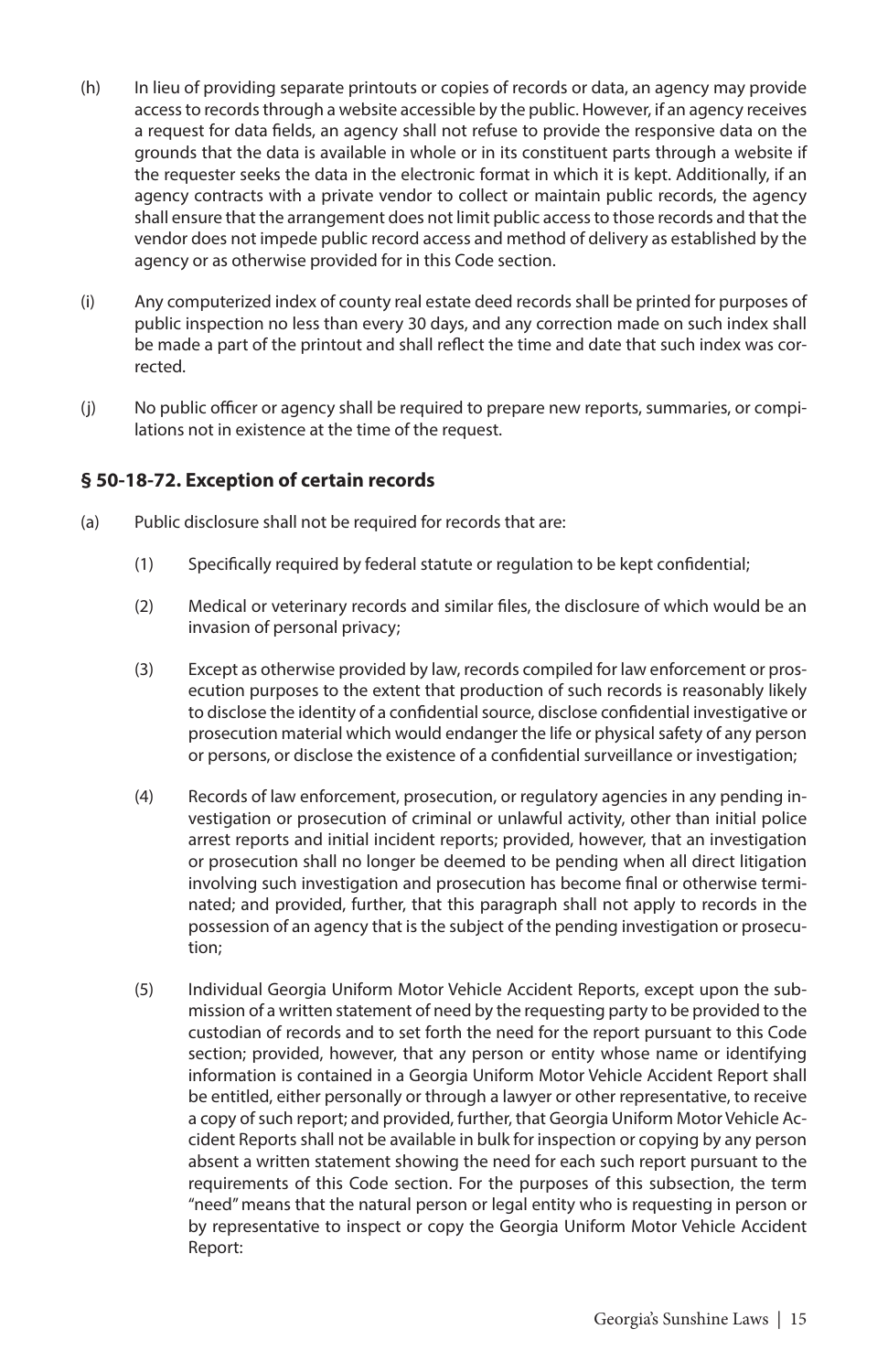- (h) In lieu of providing separate printouts or copies of records or data, an agency may provide access to records through a website accessible by the public. However, if an agency receives a request for data fields, an agency shall not refuse to provide the responsive data on the grounds that the data is available in whole or in its constituent parts through a website if the requester seeks the data in the electronic format in which it is kept. Additionally, if an agency contracts with a private vendor to collect or maintain public records, the agency shall ensure that the arrangement does not limit public access to those records and that the vendor does not impede public record access and method of delivery as established by the agency or as otherwise provided for in this Code section.
- (i) Any computerized index of county real estate deed records shall be printed for purposes of public inspection no less than every 30 days, and any correction made on such index shall be made a part of the printout and shall reflect the time and date that such index was corrected.
- (j) No public officer or agency shall be required to prepare new reports, summaries, or compilations not in existence at the time of the request.

#### **§ 50-18-72. Exception of certain records**

- (a) Public disclosure shall not be required for records that are:
	- (1) Specifically required by federal statute or regulation to be kept confidential;
	- (2) Medical or veterinary records and similar files, the disclosure of which would be an invasion of personal privacy;
	- (3) Except as otherwise provided by law, records compiled for law enforcement or prosecution purposes to the extent that production of such records is reasonably likely to disclose the identity of a confidential source, disclose confidential investigative or prosecution material which would endanger the life or physical safety of any person or persons, or disclose the existence of a confidential surveillance or investigation;
	- (4) Records of law enforcement, prosecution, or regulatory agencies in any pending investigation or prosecution of criminal or unlawful activity, other than initial police arrest reports and initial incident reports; provided, however, that an investigation or prosecution shall no longer be deemed to be pending when all direct litigation involving such investigation and prosecution has become final or otherwise terminated; and provided, further, that this paragraph shall not apply to records in the possession of an agency that is the subject of the pending investigation or prosecution;
	- (5) Individual Georgia Uniform Motor Vehicle Accident Reports, except upon the submission of a written statement of need by the requesting party to be provided to the custodian of records and to set forth the need for the report pursuant to this Code section; provided, however, that any person or entity whose name or identifying information is contained in a Georgia Uniform Motor Vehicle Accident Report shall be entitled, either personally or through a lawyer or other representative, to receive a copy of such report; and provided, further, that Georgia Uniform Motor Vehicle Accident Reports shall not be available in bulk for inspection or copying by any person absent a written statement showing the need for each such report pursuant to the requirements of this Code section. For the purposes of this subsection, the term "need" means that the natural person or legal entity who is requesting in person or by representative to inspect or copy the Georgia Uniform Motor Vehicle Accident Report: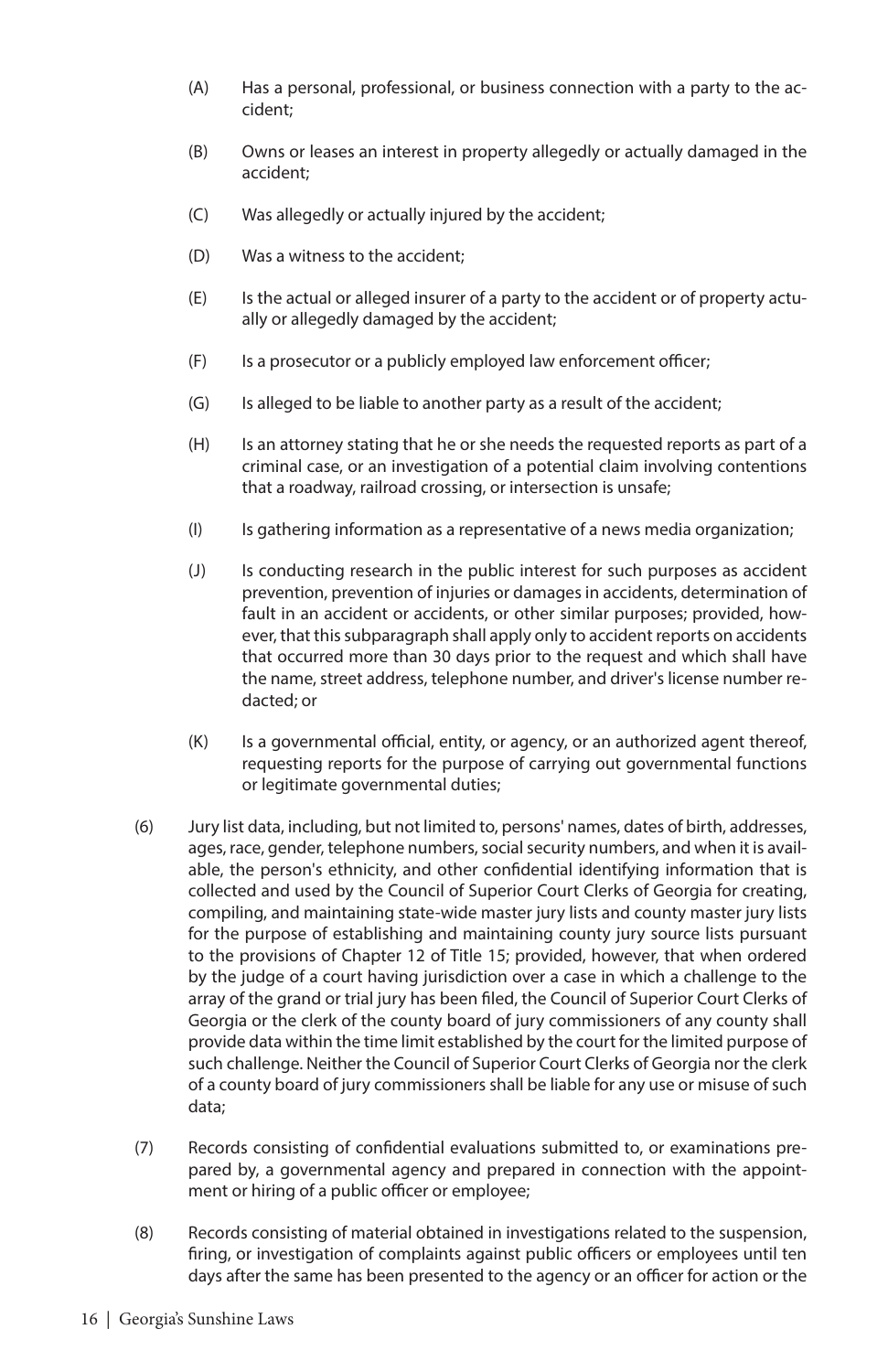- (A) Has a personal, professional, or business connection with a party to the accident;
- (B) Owns or leases an interest in property allegedly or actually damaged in the accident;
- (C) Was allegedly or actually injured by the accident;
- (D) Was a witness to the accident;
- (E) Is the actual or alleged insurer of a party to the accident or of property actually or allegedly damaged by the accident;
- (F) Is a prosecutor or a publicly employed law enforcement officer;
- (G) Is alleged to be liable to another party as a result of the accident;
- (H) Is an attorney stating that he or she needs the requested reports as part of a criminal case, or an investigation of a potential claim involving contentions that a roadway, railroad crossing, or intersection is unsafe;
- (I) Is gathering information as a representative of a news media organization;
- (J) Is conducting research in the public interest for such purposes as accident prevention, prevention of injuries or damages in accidents, determination of fault in an accident or accidents, or other similar purposes; provided, however, that this subparagraph shall apply only to accident reports on accidents that occurred more than 30 days prior to the request and which shall have the name, street address, telephone number, and driver's license number redacted; or
- (K) Is a governmental official, entity, or agency, or an authorized agent thereof, requesting reports for the purpose of carrying out governmental functions or legitimate governmental duties;
- (6) Jury list data, including, but not limited to, persons' names, dates of birth, addresses, ages, race, gender, telephone numbers, social security numbers, and when it is available, the person's ethnicity, and other confidential identifying information that is collected and used by the Council of Superior Court Clerks of Georgia for creating, compiling, and maintaining state-wide master jury lists and county master jury lists for the purpose of establishing and maintaining county jury source lists pursuant to the provisions of Chapter 12 of Title 15; provided, however, that when ordered by the judge of a court having jurisdiction over a case in which a challenge to the array of the grand or trial jury has been filed, the Council of Superior Court Clerks of Georgia or the clerk of the county board of jury commissioners of any county shall provide data within the time limit established by the court for the limited purpose of such challenge. Neither the Council of Superior Court Clerks of Georgia nor the clerk of a county board of jury commissioners shall be liable for any use or misuse of such data;
- (7) Records consisting of confidential evaluations submitted to, or examinations prepared by, a governmental agency and prepared in connection with the appointment or hiring of a public officer or employee;
- (8) Records consisting of material obtained in investigations related to the suspension, firing, or investigation of complaints against public officers or employees until ten days after the same has been presented to the agency or an officer for action or the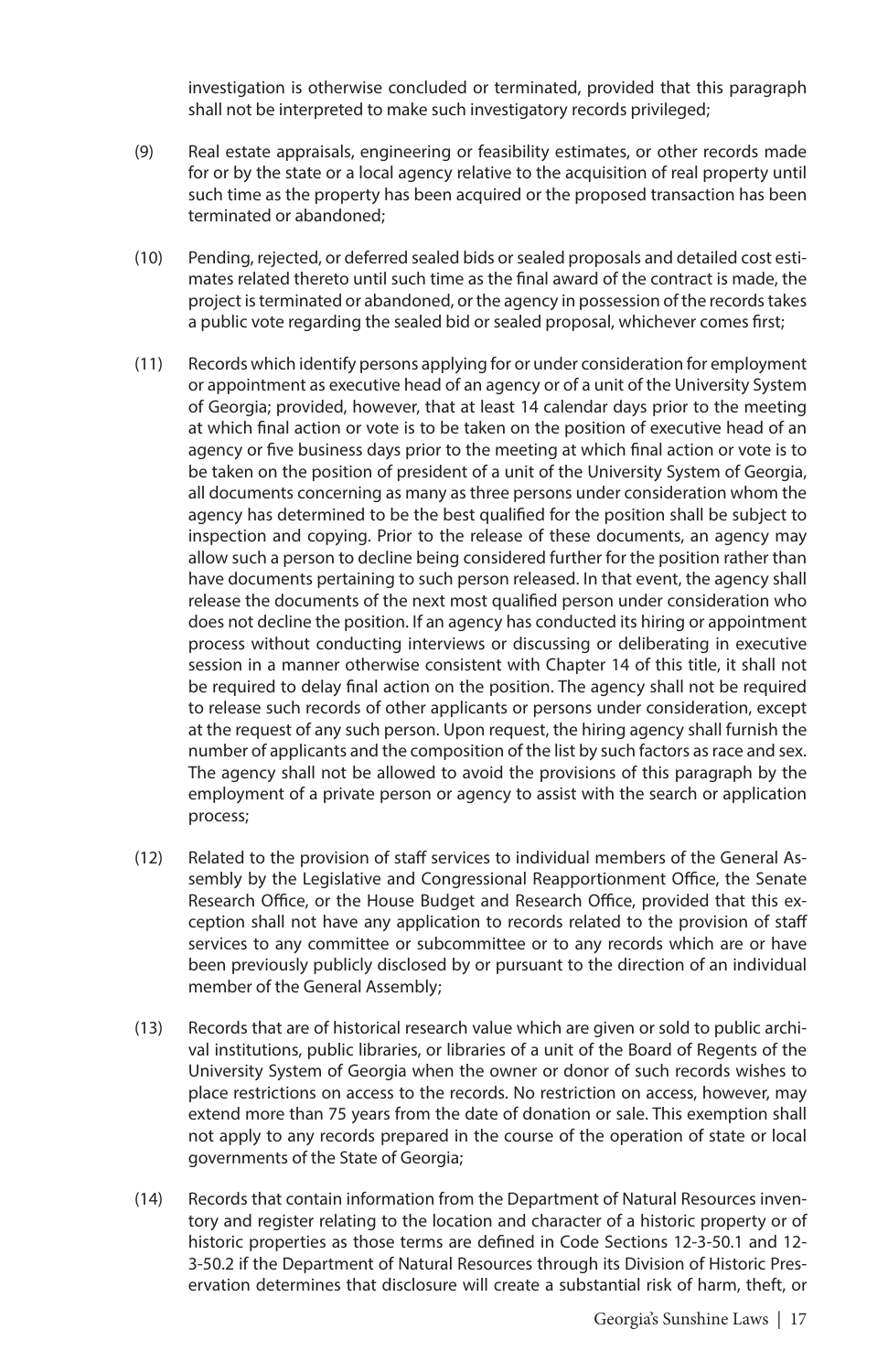investigation is otherwise concluded or terminated, provided that this paragraph shall not be interpreted to make such investigatory records privileged;

- (9) Real estate appraisals, engineering or feasibility estimates, or other records made for or by the state or a local agency relative to the acquisition of real property until such time as the property has been acquired or the proposed transaction has been terminated or abandoned;
- (10) Pending, rejected, or deferred sealed bids or sealed proposals and detailed cost estimates related thereto until such time as the final award of the contract is made, the project is terminated or abandoned, or the agency in possession of the records takes a public vote regarding the sealed bid or sealed proposal, whichever comes first;
- (11) Records which identify persons applying for or under consideration for employment or appointment as executive head of an agency or of a unit of the University System of Georgia; provided, however, that at least 14 calendar days prior to the meeting at which final action or vote is to be taken on the position of executive head of an agency or five business days prior to the meeting at which final action or vote is to be taken on the position of president of a unit of the University System of Georgia, all documents concerning as many as three persons under consideration whom the agency has determined to be the best qualified for the position shall be subject to inspection and copying. Prior to the release of these documents, an agency may allow such a person to decline being considered further for the position rather than have documents pertaining to such person released. In that event, the agency shall release the documents of the next most qualified person under consideration who does not decline the position. If an agency has conducted its hiring or appointment process without conducting interviews or discussing or deliberating in executive session in a manner otherwise consistent with Chapter 14 of this title, it shall not be required to delay final action on the position. The agency shall not be required to release such records of other applicants or persons under consideration, except at the request of any such person. Upon request, the hiring agency shall furnish the number of applicants and the composition of the list by such factors as race and sex. The agency shall not be allowed to avoid the provisions of this paragraph by the employment of a private person or agency to assist with the search or application process;
- (12) Related to the provision of staff services to individual members of the General Assembly by the Legislative and Congressional Reapportionment Office, the Senate Research Office, or the House Budget and Research Office, provided that this exception shall not have any application to records related to the provision of staff services to any committee or subcommittee or to any records which are or have been previously publicly disclosed by or pursuant to the direction of an individual member of the General Assembly;
- (13) Records that are of historical research value which are given or sold to public archival institutions, public libraries, or libraries of a unit of the Board of Regents of the University System of Georgia when the owner or donor of such records wishes to place restrictions on access to the records. No restriction on access, however, may extend more than 75 years from the date of donation or sale. This exemption shall not apply to any records prepared in the course of the operation of state or local governments of the State of Georgia;
- (14) Records that contain information from the Department of Natural Resources inventory and register relating to the location and character of a historic property or of historic properties as those terms are defined in Code Sections 12-3-50.1 and 12- 3-50.2 if the Department of Natural Resources through its Division of Historic Preservation determines that disclosure will create a substantial risk of harm, theft, or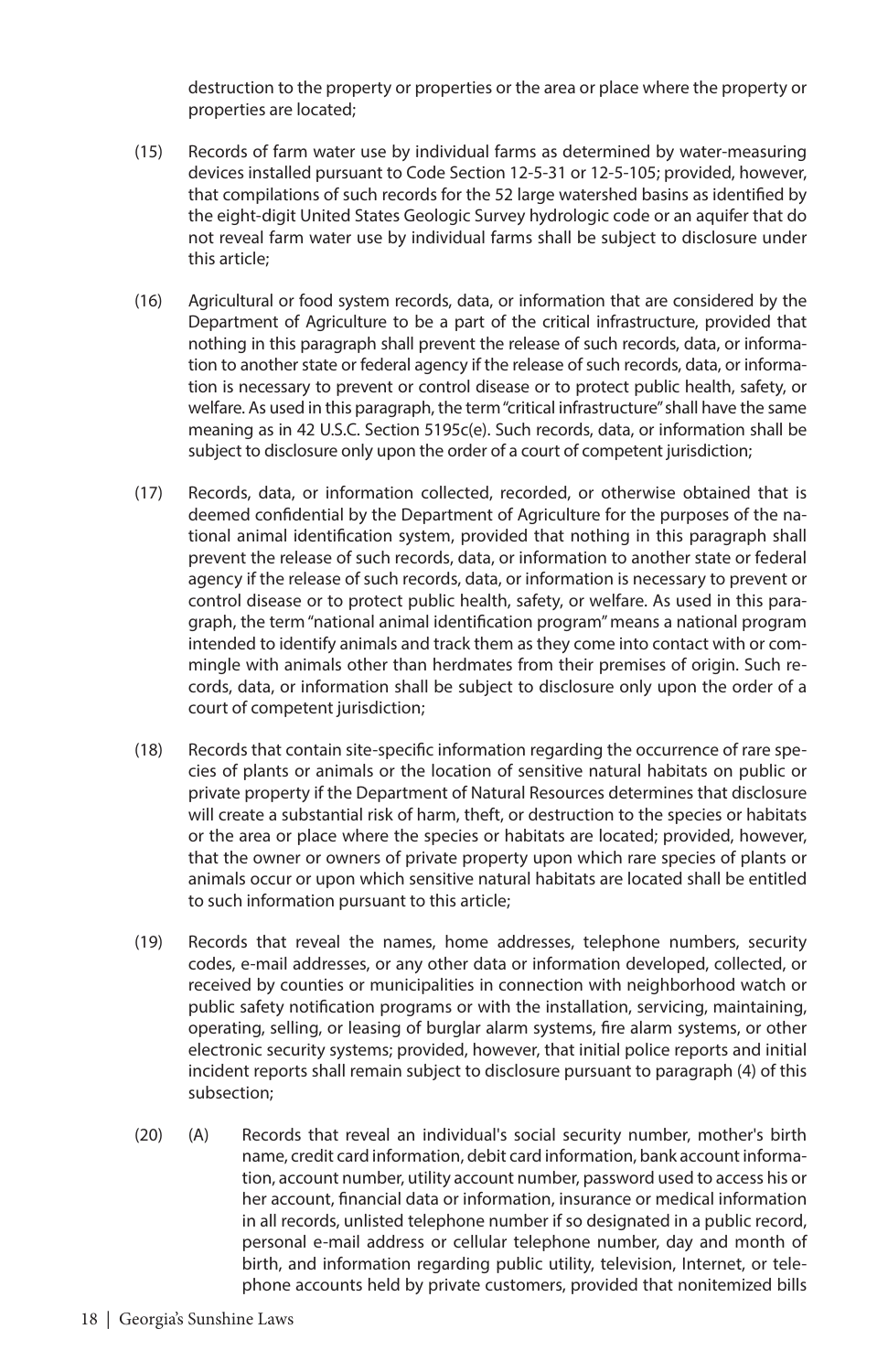destruction to the property or properties or the area or place where the property or properties are located;

- (15) Records of farm water use by individual farms as determined by water-measuring devices installed pursuant to Code Section 12-5-31 or 12-5-105; provided, however, that compilations of such records for the 52 large watershed basins as identified by the eight-digit United States Geologic Survey hydrologic code or an aquifer that do not reveal farm water use by individual farms shall be subject to disclosure under this article;
- (16) Agricultural or food system records, data, or information that are considered by the Department of Agriculture to be a part of the critical infrastructure, provided that nothing in this paragraph shall prevent the release of such records, data, or information to another state or federal agency if the release of such records, data, or information is necessary to prevent or control disease or to protect public health, safety, or welfare. As used in this paragraph, the term "critical infrastructure" shall have the same meaning as in 42 U.S.C. Section 5195c(e). Such records, data, or information shall be subject to disclosure only upon the order of a court of competent jurisdiction;
- (17) Records, data, or information collected, recorded, or otherwise obtained that is deemed confidential by the Department of Agriculture for the purposes of the national animal identification system, provided that nothing in this paragraph shall prevent the release of such records, data, or information to another state or federal agency if the release of such records, data, or information is necessary to prevent or control disease or to protect public health, safety, or welfare. As used in this paragraph, the term "national animal identification program" means a national program intended to identify animals and track them as they come into contact with or commingle with animals other than herdmates from their premises of origin. Such records, data, or information shall be subject to disclosure only upon the order of a court of competent jurisdiction;
- (18) Records that contain site-specific information regarding the occurrence of rare species of plants or animals or the location of sensitive natural habitats on public or private property if the Department of Natural Resources determines that disclosure will create a substantial risk of harm, theft, or destruction to the species or habitats or the area or place where the species or habitats are located; provided, however, that the owner or owners of private property upon which rare species of plants or animals occur or upon which sensitive natural habitats are located shall be entitled to such information pursuant to this article;
- (19) Records that reveal the names, home addresses, telephone numbers, security codes, e-mail addresses, or any other data or information developed, collected, or received by counties or municipalities in connection with neighborhood watch or public safety notification programs or with the installation, servicing, maintaining, operating, selling, or leasing of burglar alarm systems, fire alarm systems, or other electronic security systems; provided, however, that initial police reports and initial incident reports shall remain subject to disclosure pursuant to paragraph (4) of this subsection;
- (20) (A) Records that reveal an individual's social security number, mother's birth name, credit card information, debit card information, bank account information, account number, utility account number, password used to access his or her account, financial data or information, insurance or medical information in all records, unlisted telephone number if so designated in a public record, personal e-mail address or cellular telephone number, day and month of birth, and information regarding public utility, television, Internet, or telephone accounts held by private customers, provided that nonitemized bills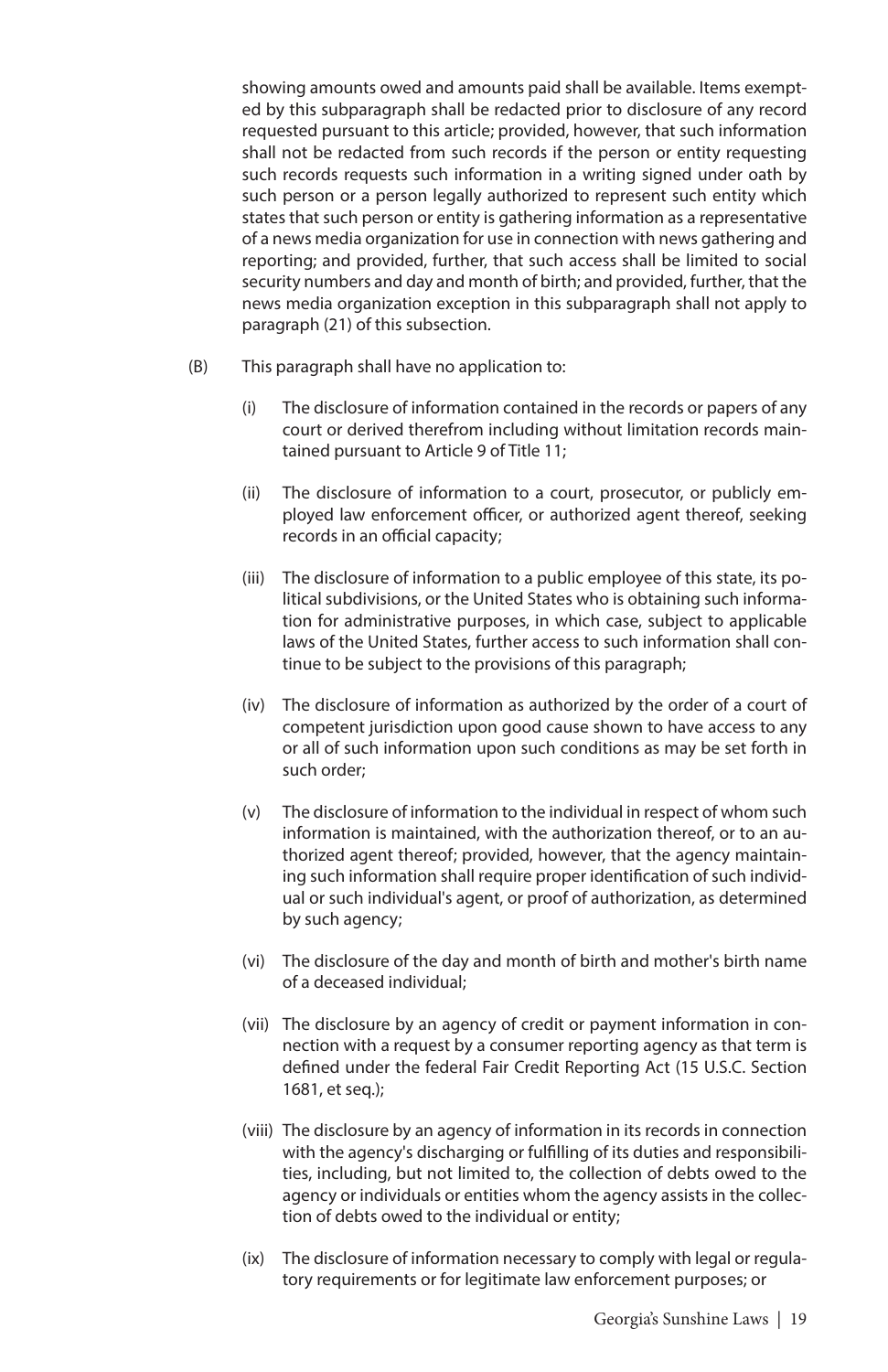showing amounts owed and amounts paid shall be available. Items exempted by this subparagraph shall be redacted prior to disclosure of any record requested pursuant to this article; provided, however, that such information shall not be redacted from such records if the person or entity requesting such records requests such information in a writing signed under oath by such person or a person legally authorized to represent such entity which states that such person or entity is gathering information as a representative of a news media organization for use in connection with news gathering and reporting; and provided, further, that such access shall be limited to social security numbers and day and month of birth; and provided, further, that the news media organization exception in this subparagraph shall not apply to paragraph (21) of this subsection.

- (B) This paragraph shall have no application to:
	- (i) The disclosure of information contained in the records or papers of any court or derived therefrom including without limitation records maintained pursuant to Article 9 of Title 11;
	- (ii) The disclosure of information to a court, prosecutor, or publicly employed law enforcement officer, or authorized agent thereof, seeking records in an official capacity;
	- (iii) The disclosure of information to a public employee of this state, its political subdivisions, or the United States who is obtaining such information for administrative purposes, in which case, subject to applicable laws of the United States, further access to such information shall continue to be subject to the provisions of this paragraph;
	- (iv) The disclosure of information as authorized by the order of a court of competent jurisdiction upon good cause shown to have access to any or all of such information upon such conditions as may be set forth in such order;
	- (v) The disclosure of information to the individual in respect of whom such information is maintained, with the authorization thereof, or to an authorized agent thereof; provided, however, that the agency maintaining such information shall require proper identification of such individual or such individual's agent, or proof of authorization, as determined by such agency;
	- (vi) The disclosure of the day and month of birth and mother's birth name of a deceased individual;
	- (vii) The disclosure by an agency of credit or payment information in connection with a request by a consumer reporting agency as that term is defined under the federal Fair Credit Reporting Act (15 U.S.C. Section 1681, et seq.);
	- (viii) The disclosure by an agency of information in its records in connection with the agency's discharging or fulfilling of its duties and responsibilities, including, but not limited to, the collection of debts owed to the agency or individuals or entities whom the agency assists in the collection of debts owed to the individual or entity;
	- (ix) The disclosure of information necessary to comply with legal or regulatory requirements or for legitimate law enforcement purposes; or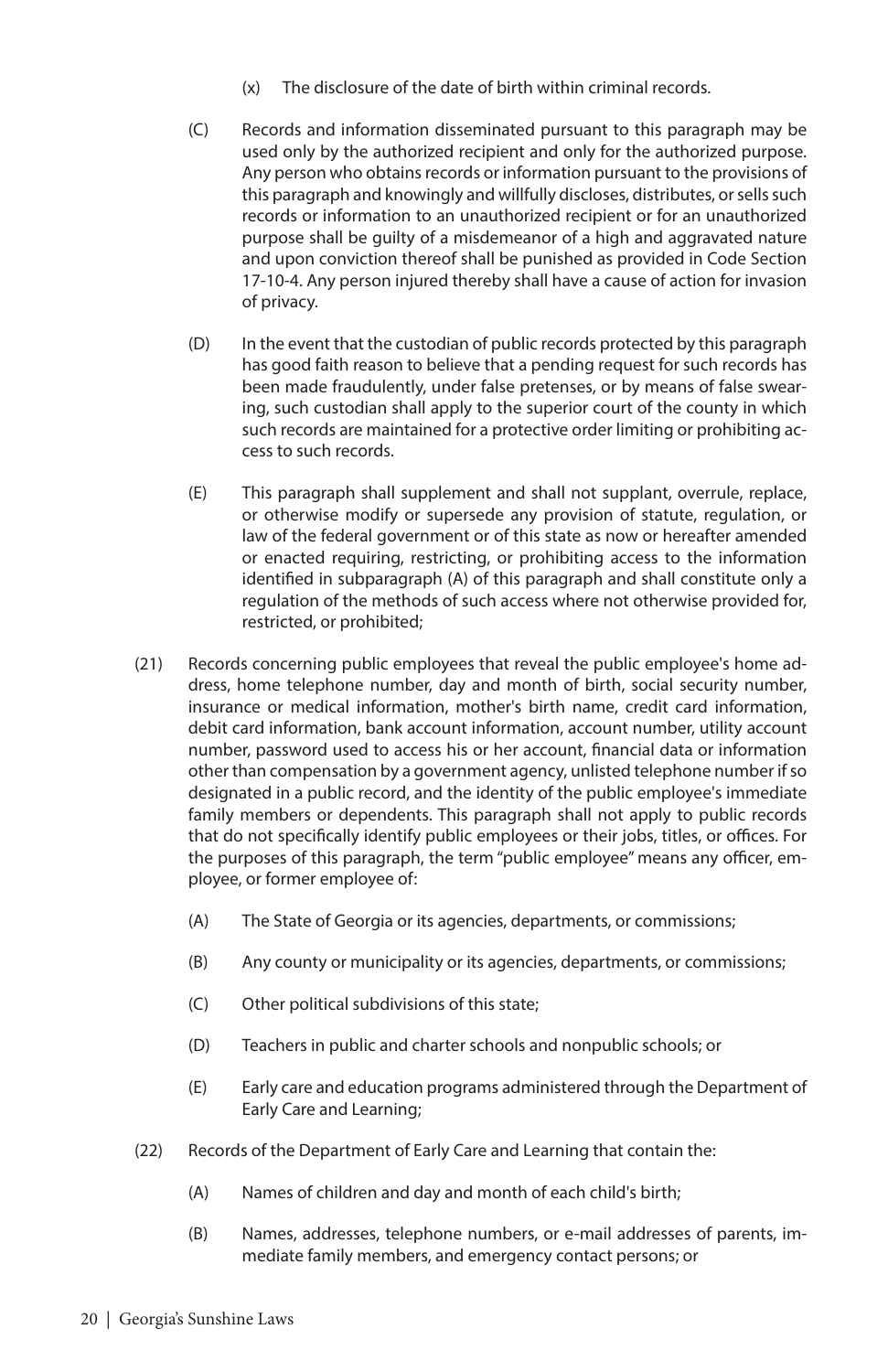- (x) The disclosure of the date of birth within criminal records.
- (C) Records and information disseminated pursuant to this paragraph may be used only by the authorized recipient and only for the authorized purpose. Any person who obtains records or information pursuant to the provisions of this paragraph and knowingly and willfully discloses, distributes, or sells such records or information to an unauthorized recipient or for an unauthorized purpose shall be guilty of a misdemeanor of a high and aggravated nature and upon conviction thereof shall be punished as provided in Code Section 17-10-4. Any person injured thereby shall have a cause of action for invasion of privacy.
- (D) In the event that the custodian of public records protected by this paragraph has good faith reason to believe that a pending request for such records has been made fraudulently, under false pretenses, or by means of false swearing, such custodian shall apply to the superior court of the county in which such records are maintained for a protective order limiting or prohibiting access to such records.
- (E) This paragraph shall supplement and shall not supplant, overrule, replace, or otherwise modify or supersede any provision of statute, regulation, or law of the federal government or of this state as now or hereafter amended or enacted requiring, restricting, or prohibiting access to the information identified in subparagraph (A) of this paragraph and shall constitute only a regulation of the methods of such access where not otherwise provided for, restricted, or prohibited;
- (21) Records concerning public employees that reveal the public employee's home address, home telephone number, day and month of birth, social security number, insurance or medical information, mother's birth name, credit card information, debit card information, bank account information, account number, utility account number, password used to access his or her account, financial data or information other than compensation by a government agency, unlisted telephone number if so designated in a public record, and the identity of the public employee's immediate family members or dependents. This paragraph shall not apply to public records that do not specifically identify public employees or their jobs, titles, or offices. For the purposes of this paragraph, the term "public employee" means any officer, employee, or former employee of:
	- (A) The State of Georgia or its agencies, departments, or commissions;
	- (B) Any county or municipality or its agencies, departments, or commissions;
	- (C) Other political subdivisions of this state;
	- (D) Teachers in public and charter schools and nonpublic schools; or
	- (E) Early care and education programs administered through the Department of Early Care and Learning;
- (22) Records of the Department of Early Care and Learning that contain the:
	- (A) Names of children and day and month of each child's birth;
	- (B) Names, addresses, telephone numbers, or e-mail addresses of parents, immediate family members, and emergency contact persons; or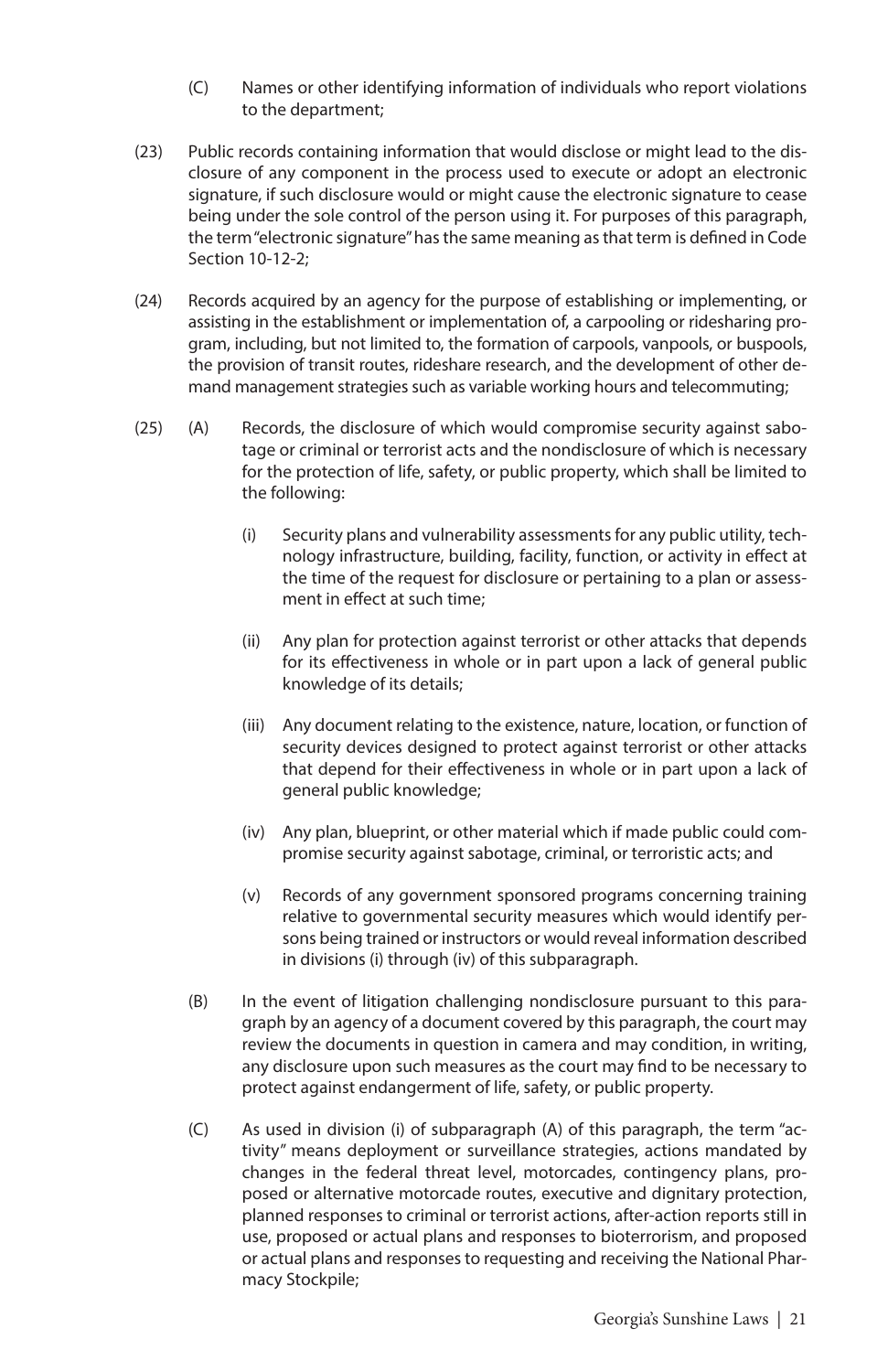- (C) Names or other identifying information of individuals who report violations to the department;
- (23) Public records containing information that would disclose or might lead to the disclosure of any component in the process used to execute or adopt an electronic signature, if such disclosure would or might cause the electronic signature to cease being under the sole control of the person using it. For purposes of this paragraph, the term "electronic signature" has the same meaning as that term is defined in Code Section 10-12-2;
- (24) Records acquired by an agency for the purpose of establishing or implementing, or assisting in the establishment or implementation of, a carpooling or ridesharing program, including, but not limited to, the formation of carpools, vanpools, or buspools, the provision of transit routes, rideshare research, and the development of other demand management strategies such as variable working hours and telecommuting;
- (25) (A) Records, the disclosure of which would compromise security against sabotage or criminal or terrorist acts and the nondisclosure of which is necessary for the protection of life, safety, or public property, which shall be limited to the following:
	- (i) Security plans and vulnerability assessments for any public utility, technology infrastructure, building, facility, function, or activity in effect at the time of the request for disclosure or pertaining to a plan or assessment in effect at such time;
	- (ii) Any plan for protection against terrorist or other attacks that depends for its effectiveness in whole or in part upon a lack of general public knowledge of its details;
	- (iii) Any document relating to the existence, nature, location, or function of security devices designed to protect against terrorist or other attacks that depend for their effectiveness in whole or in part upon a lack of general public knowledge;
	- (iv) Any plan, blueprint, or other material which if made public could compromise security against sabotage, criminal, or terroristic acts; and
	- (v) Records of any government sponsored programs concerning training relative to governmental security measures which would identify persons being trained or instructors or would reveal information described in divisions (i) through (iv) of this subparagraph.
	- (B) In the event of litigation challenging nondisclosure pursuant to this paragraph by an agency of a document covered by this paragraph, the court may review the documents in question in camera and may condition, in writing, any disclosure upon such measures as the court may find to be necessary to protect against endangerment of life, safety, or public property.
	- (C) As used in division (i) of subparagraph (A) of this paragraph, the term "activity" means deployment or surveillance strategies, actions mandated by changes in the federal threat level, motorcades, contingency plans, proposed or alternative motorcade routes, executive and dignitary protection, planned responses to criminal or terrorist actions, after-action reports still in use, proposed or actual plans and responses to bioterrorism, and proposed or actual plans and responses to requesting and receiving the National Pharmacy Stockpile;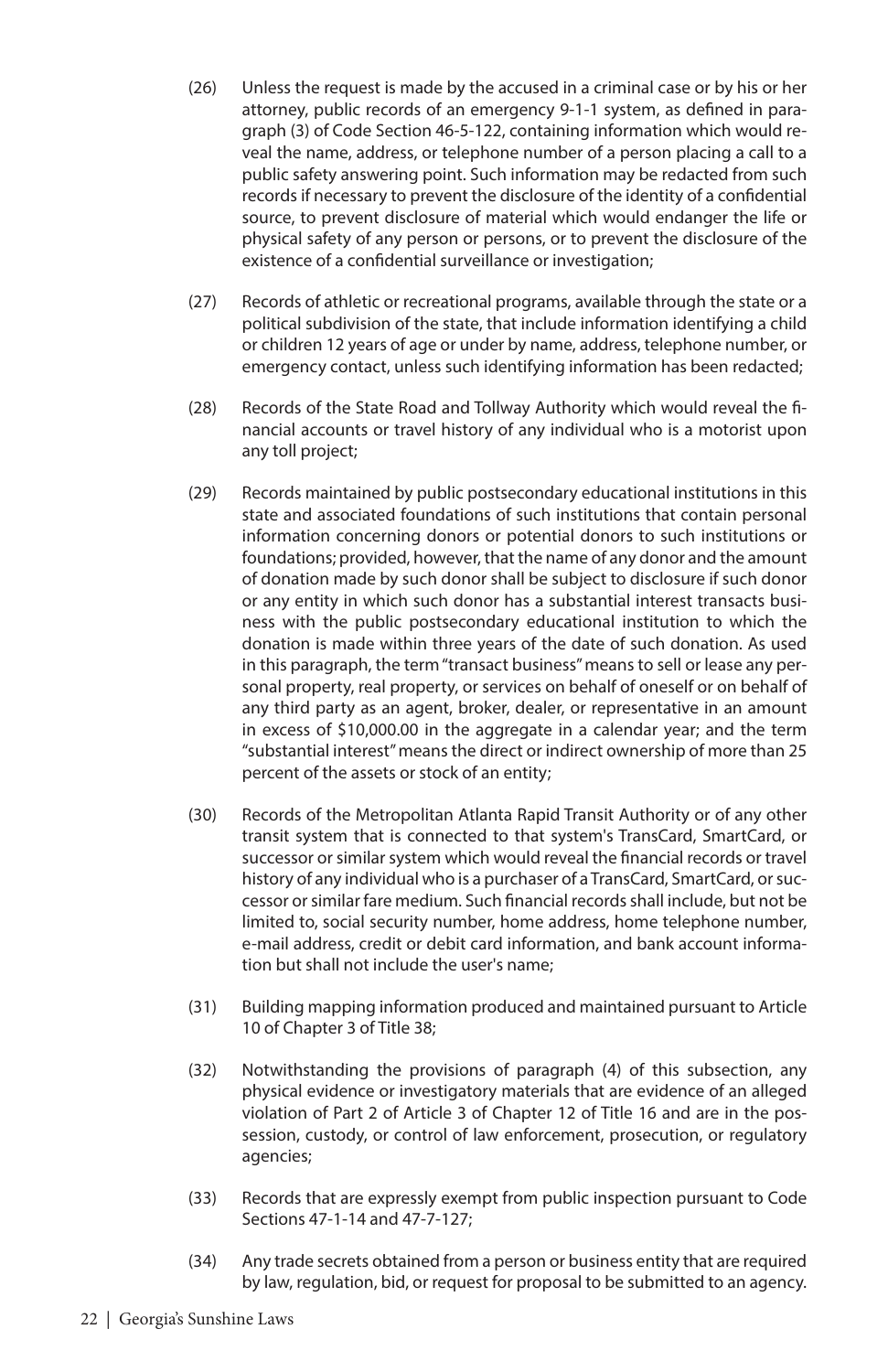- (26) Unless the request is made by the accused in a criminal case or by his or her attorney, public records of an emergency 9-1-1 system, as defined in paragraph (3) of Code Section 46-5-122, containing information which would reveal the name, address, or telephone number of a person placing a call to a public safety answering point. Such information may be redacted from such records if necessary to prevent the disclosure of the identity of a confidential source, to prevent disclosure of material which would endanger the life or physical safety of any person or persons, or to prevent the disclosure of the existence of a confidential surveillance or investigation;
- (27) Records of athletic or recreational programs, available through the state or a political subdivision of the state, that include information identifying a child or children 12 years of age or under by name, address, telephone number, or emergency contact, unless such identifying information has been redacted;
- (28) Records of the State Road and Tollway Authority which would reveal the financial accounts or travel history of any individual who is a motorist upon any toll project;
- (29) Records maintained by public postsecondary educational institutions in this state and associated foundations of such institutions that contain personal information concerning donors or potential donors to such institutions or foundations; provided, however, that the name of any donor and the amount of donation made by such donor shall be subject to disclosure if such donor or any entity in which such donor has a substantial interest transacts business with the public postsecondary educational institution to which the donation is made within three years of the date of such donation. As used in this paragraph, the term "transact business" means to sell or lease any personal property, real property, or services on behalf of oneself or on behalf of any third party as an agent, broker, dealer, or representative in an amount in excess of \$10,000.00 in the aggregate in a calendar year; and the term "substantial interest" means the direct or indirect ownership of more than 25 percent of the assets or stock of an entity;
- (30) Records of the Metropolitan Atlanta Rapid Transit Authority or of any other transit system that is connected to that system's TransCard, SmartCard, or successor or similar system which would reveal the financial records or travel history of any individual who is a purchaser of a TransCard, SmartCard, or successor or similar fare medium. Such financial records shall include, but not be limited to, social security number, home address, home telephone number, e-mail address, credit or debit card information, and bank account information but shall not include the user's name;
- (31) Building mapping information produced and maintained pursuant to Article 10 of Chapter 3 of Title 38;
- (32) Notwithstanding the provisions of paragraph (4) of this subsection, any physical evidence or investigatory materials that are evidence of an alleged violation of Part 2 of Article 3 of Chapter 12 of Title 16 and are in the possession, custody, or control of law enforcement, prosecution, or regulatory agencies;
- (33) Records that are expressly exempt from public inspection pursuant to Code Sections 47-1-14 and 47-7-127;
- (34) Any trade secrets obtained from a person or business entity that are required by law, regulation, bid, or request for proposal to be submitted to an agency.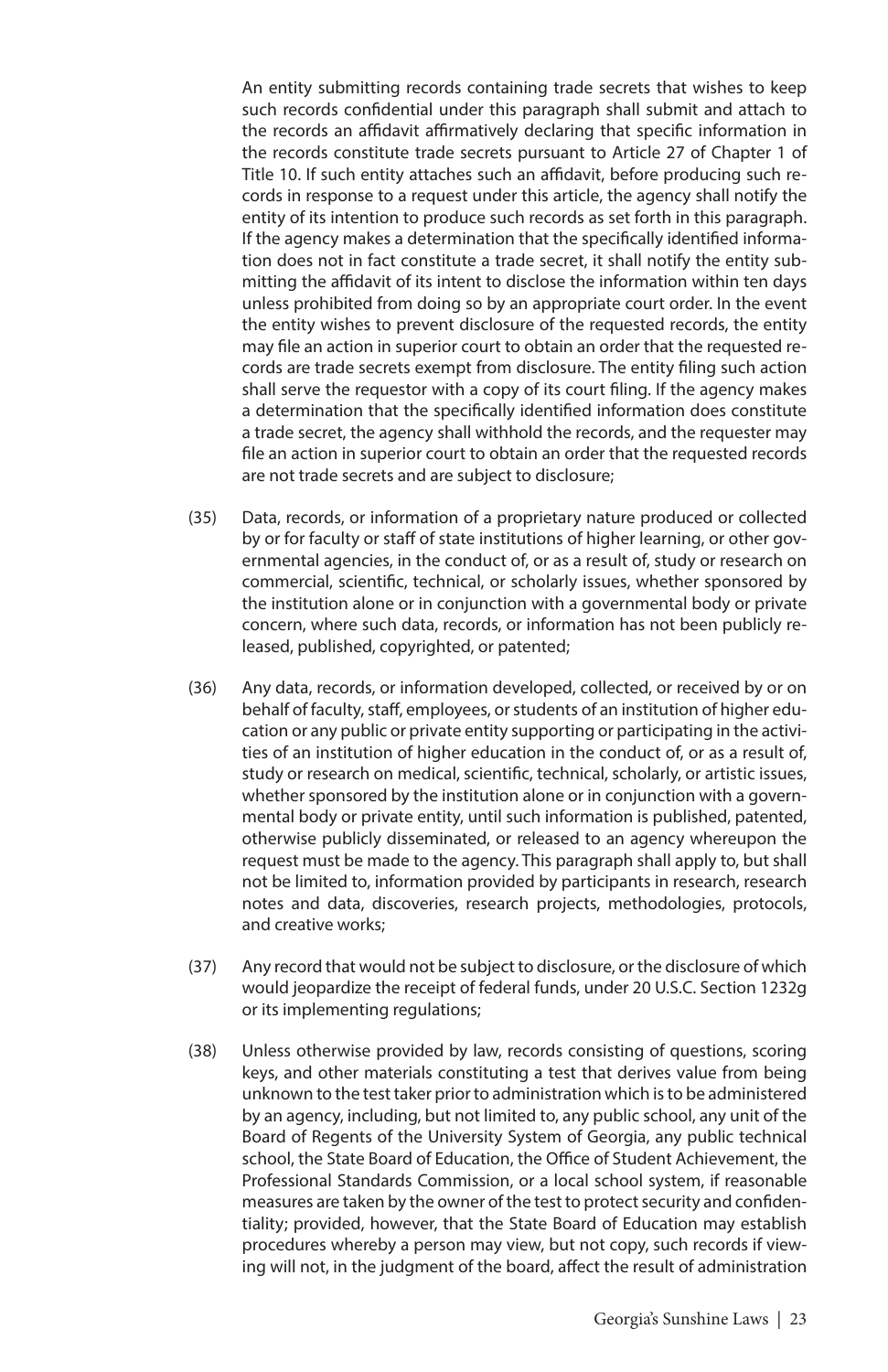An entity submitting records containing trade secrets that wishes to keep such records confidential under this paragraph shall submit and attach to the records an affidavit affirmatively declaring that specific information in the records constitute trade secrets pursuant to Article 27 of Chapter 1 of Title 10. If such entity attaches such an affidavit, before producing such records in response to a request under this article, the agency shall notify the entity of its intention to produce such records as set forth in this paragraph. If the agency makes a determination that the specifically identified information does not in fact constitute a trade secret, it shall notify the entity submitting the affidavit of its intent to disclose the information within ten days unless prohibited from doing so by an appropriate court order. In the event the entity wishes to prevent disclosure of the requested records, the entity may file an action in superior court to obtain an order that the requested records are trade secrets exempt from disclosure. The entity filing such action shall serve the requestor with a copy of its court filing. If the agency makes a determination that the specifically identified information does constitute a trade secret, the agency shall withhold the records, and the requester may file an action in superior court to obtain an order that the requested records are not trade secrets and are subject to disclosure;

- (35) Data, records, or information of a proprietary nature produced or collected by or for faculty or staff of state institutions of higher learning, or other governmental agencies, in the conduct of, or as a result of, study or research on commercial, scientific, technical, or scholarly issues, whether sponsored by the institution alone or in conjunction with a governmental body or private concern, where such data, records, or information has not been publicly released, published, copyrighted, or patented;
- (36) Any data, records, or information developed, collected, or received by or on behalf of faculty, staff, employees, or students of an institution of higher education or any public or private entity supporting or participating in the activities of an institution of higher education in the conduct of, or as a result of, study or research on medical, scientific, technical, scholarly, or artistic issues, whether sponsored by the institution alone or in conjunction with a governmental body or private entity, until such information is published, patented, otherwise publicly disseminated, or released to an agency whereupon the request must be made to the agency. This paragraph shall apply to, but shall not be limited to, information provided by participants in research, research notes and data, discoveries, research projects, methodologies, protocols, and creative works;
- (37) Any record that would not be subject to disclosure, or the disclosure of which would jeopardize the receipt of federal funds, under 20 U.S.C. Section 1232g or its implementing regulations;
- (38) Unless otherwise provided by law, records consisting of questions, scoring keys, and other materials constituting a test that derives value from being unknown to the test taker prior to administration which is to be administered by an agency, including, but not limited to, any public school, any unit of the Board of Regents of the University System of Georgia, any public technical school, the State Board of Education, the Office of Student Achievement, the Professional Standards Commission, or a local school system, if reasonable measures are taken by the owner of the test to protect security and confidentiality; provided, however, that the State Board of Education may establish procedures whereby a person may view, but not copy, such records if viewing will not, in the judgment of the board, affect the result of administration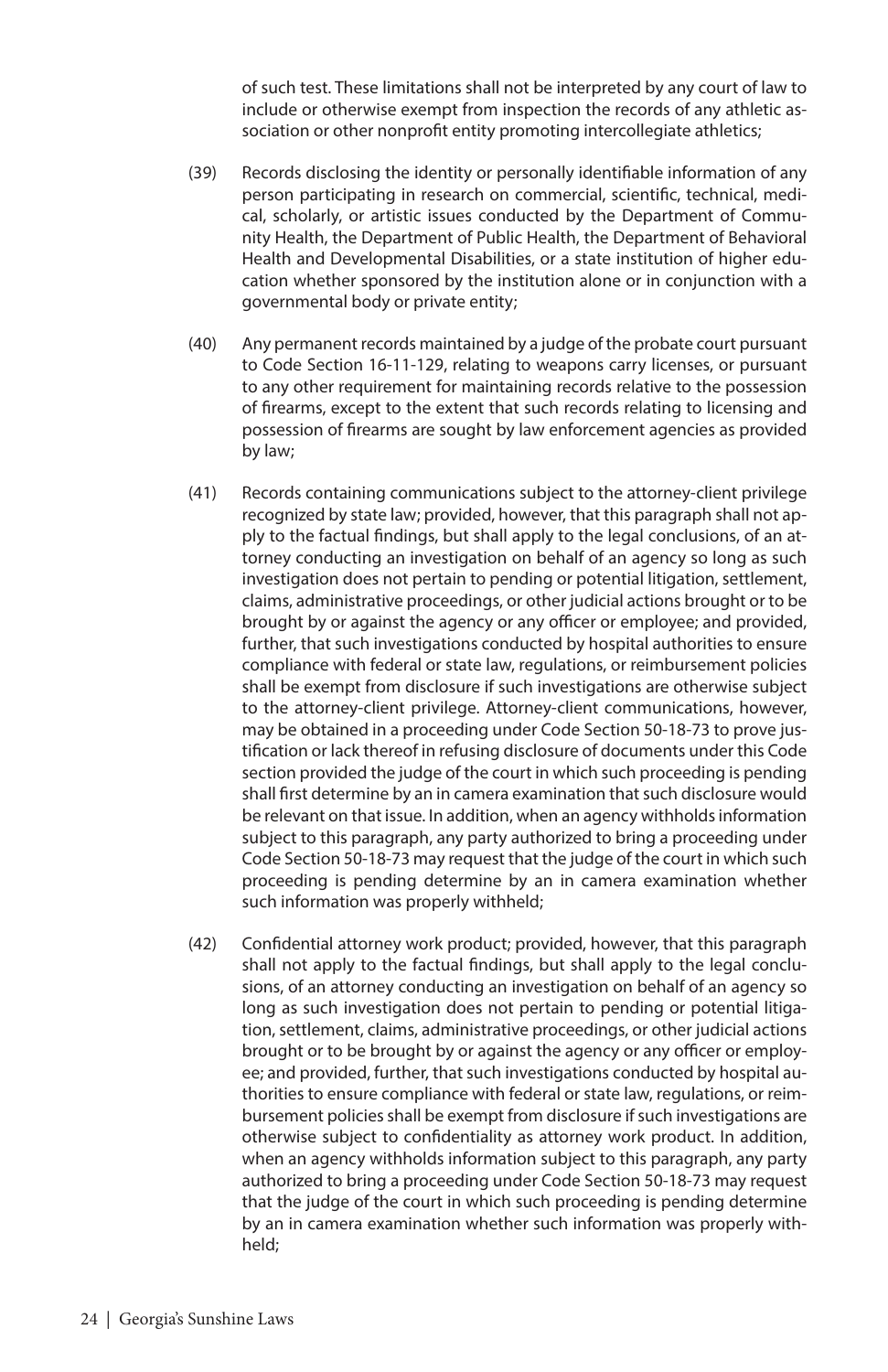of such test. These limitations shall not be interpreted by any court of law to include or otherwise exempt from inspection the records of any athletic association or other nonprofit entity promoting intercollegiate athletics;

- (39) Records disclosing the identity or personally identifiable information of any person participating in research on commercial, scientific, technical, medical, scholarly, or artistic issues conducted by the Department of Community Health, the Department of Public Health, the Department of Behavioral Health and Developmental Disabilities, or a state institution of higher education whether sponsored by the institution alone or in conjunction with a governmental body or private entity;
- (40) Any permanent records maintained by a judge of the probate court pursuant to Code Section 16-11-129, relating to weapons carry licenses, or pursuant to any other requirement for maintaining records relative to the possession of firearms, except to the extent that such records relating to licensing and possession of firearms are sought by law enforcement agencies as provided by law;
- (41) Records containing communications subject to the attorney-client privilege recognized by state law; provided, however, that this paragraph shall not apply to the factual findings, but shall apply to the legal conclusions, of an attorney conducting an investigation on behalf of an agency so long as such investigation does not pertain to pending or potential litigation, settlement, claims, administrative proceedings, or other judicial actions brought or to be brought by or against the agency or any officer or employee; and provided, further, that such investigations conducted by hospital authorities to ensure compliance with federal or state law, regulations, or reimbursement policies shall be exempt from disclosure if such investigations are otherwise subject to the attorney-client privilege. Attorney-client communications, however, may be obtained in a proceeding under Code Section 50-18-73 to prove justification or lack thereof in refusing disclosure of documents under this Code section provided the judge of the court in which such proceeding is pending shall first determine by an in camera examination that such disclosure would be relevant on that issue. In addition, when an agency withholds information subject to this paragraph, any party authorized to bring a proceeding under Code Section 50-18-73 may request that the judge of the court in which such proceeding is pending determine by an in camera examination whether such information was properly withheld;
- (42) Confidential attorney work product; provided, however, that this paragraph shall not apply to the factual findings, but shall apply to the legal conclusions, of an attorney conducting an investigation on behalf of an agency so long as such investigation does not pertain to pending or potential litigation, settlement, claims, administrative proceedings, or other judicial actions brought or to be brought by or against the agency or any officer or employee; and provided, further, that such investigations conducted by hospital authorities to ensure compliance with federal or state law, regulations, or reimbursement policies shall be exempt from disclosure if such investigations are otherwise subject to confidentiality as attorney work product. In addition, when an agency withholds information subject to this paragraph, any party authorized to bring a proceeding under Code Section 50-18-73 may request that the judge of the court in which such proceeding is pending determine by an in camera examination whether such information was properly withheld;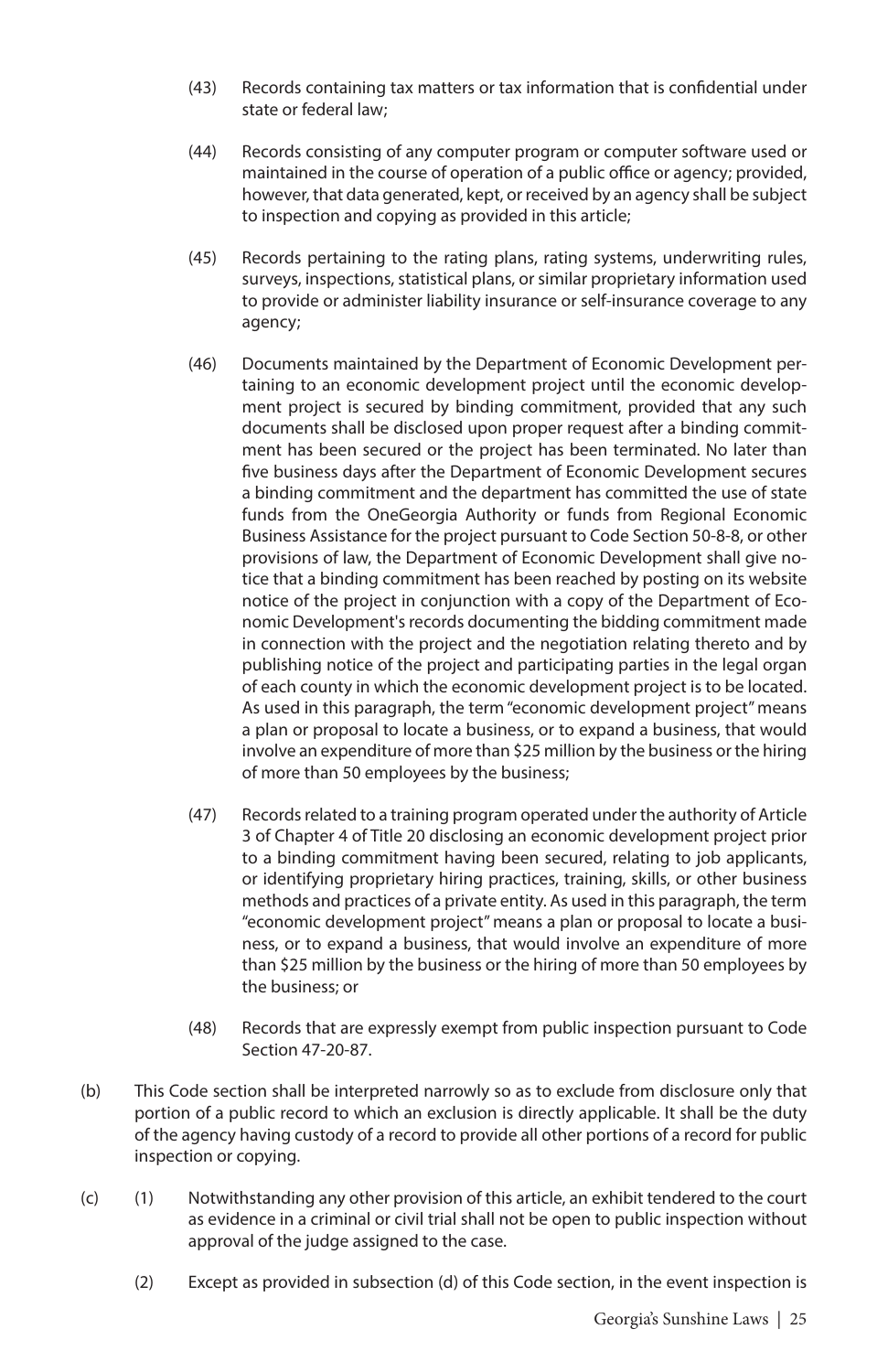- (43) Records containing tax matters or tax information that is confidential under state or federal law;
- (44) Records consisting of any computer program or computer software used or maintained in the course of operation of a public office or agency; provided, however, that data generated, kept, or received by an agency shall be subject to inspection and copying as provided in this article;
- (45) Records pertaining to the rating plans, rating systems, underwriting rules, surveys, inspections, statistical plans, or similar proprietary information used to provide or administer liability insurance or self-insurance coverage to any agency;
- (46) Documents maintained by the Department of Economic Development pertaining to an economic development project until the economic development project is secured by binding commitment, provided that any such documents shall be disclosed upon proper request after a binding commitment has been secured or the project has been terminated. No later than five business days after the Department of Economic Development secures a binding commitment and the department has committed the use of state funds from the OneGeorgia Authority or funds from Regional Economic Business Assistance for the project pursuant to Code Section 50-8-8, or other provisions of law, the Department of Economic Development shall give notice that a binding commitment has been reached by posting on its website notice of the project in conjunction with a copy of the Department of Economic Development's records documenting the bidding commitment made in connection with the project and the negotiation relating thereto and by publishing notice of the project and participating parties in the legal organ of each county in which the economic development project is to be located. As used in this paragraph, the term "economic development project" means a plan or proposal to locate a business, or to expand a business, that would involve an expenditure of more than \$25 million by the business or the hiring of more than 50 employees by the business;
- (47) Records related to a training program operated under the authority of Article 3 of Chapter 4 of Title 20 disclosing an economic development project prior to a binding commitment having been secured, relating to job applicants, or identifying proprietary hiring practices, training, skills, or other business methods and practices of a private entity. As used in this paragraph, the term "economic development project" means a plan or proposal to locate a business, or to expand a business, that would involve an expenditure of more than \$25 million by the business or the hiring of more than 50 employees by the business; or
- (48) Records that are expressly exempt from public inspection pursuant to Code Section 47-20-87.
- (b) This Code section shall be interpreted narrowly so as to exclude from disclosure only that portion of a public record to which an exclusion is directly applicable. It shall be the duty of the agency having custody of a record to provide all other portions of a record for public inspection or copying.
- (c) (1) Notwithstanding any other provision of this article, an exhibit tendered to the court as evidence in a criminal or civil trial shall not be open to public inspection without approval of the judge assigned to the case.
	- (2) Except as provided in subsection (d) of this Code section, in the event inspection is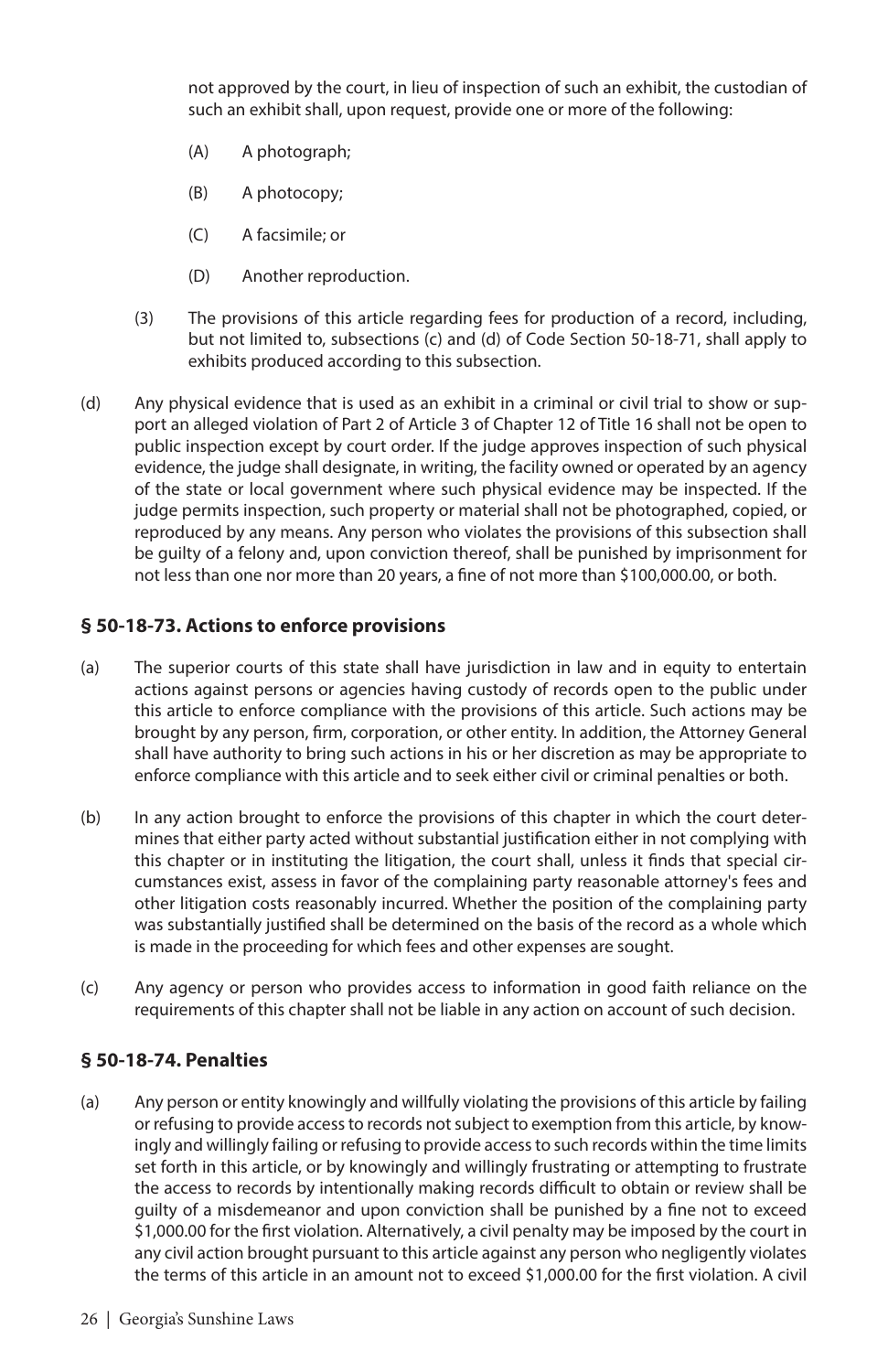not approved by the court, in lieu of inspection of such an exhibit, the custodian of such an exhibit shall, upon request, provide one or more of the following:

- (A) A photograph;
- (B) A photocopy;
- (C) A facsimile; or
- (D) Another reproduction.
- (3) The provisions of this article regarding fees for production of a record, including, but not limited to, subsections (c) and (d) of Code Section 50-18-71, shall apply to exhibits produced according to this subsection.
- (d) Any physical evidence that is used as an exhibit in a criminal or civil trial to show or support an alleged violation of Part 2 of Article 3 of Chapter 12 of Title 16 shall not be open to public inspection except by court order. If the judge approves inspection of such physical evidence, the judge shall designate, in writing, the facility owned or operated by an agency of the state or local government where such physical evidence may be inspected. If the judge permits inspection, such property or material shall not be photographed, copied, or reproduced by any means. Any person who violates the provisions of this subsection shall be guilty of a felony and, upon conviction thereof, shall be punished by imprisonment for not less than one nor more than 20 years, a fine of not more than \$100,000.00, or both.

#### **§ 50-18-73. Actions to enforce provisions**

- (a) The superior courts of this state shall have jurisdiction in law and in equity to entertain actions against persons or agencies having custody of records open to the public under this article to enforce compliance with the provisions of this article. Such actions may be brought by any person, firm, corporation, or other entity. In addition, the Attorney General shall have authority to bring such actions in his or her discretion as may be appropriate to enforce compliance with this article and to seek either civil or criminal penalties or both.
- (b) In any action brought to enforce the provisions of this chapter in which the court determines that either party acted without substantial justification either in not complying with this chapter or in instituting the litigation, the court shall, unless it finds that special circumstances exist, assess in favor of the complaining party reasonable attorney's fees and other litigation costs reasonably incurred. Whether the position of the complaining party was substantially justified shall be determined on the basis of the record as a whole which is made in the proceeding for which fees and other expenses are sought.
- (c) Any agency or person who provides access to information in good faith reliance on the requirements of this chapter shall not be liable in any action on account of such decision.

#### **§ 50-18-74. Penalties**

(a) Any person or entity knowingly and willfully violating the provisions of this article by failing or refusing to provide access to records not subject to exemption from this article, by knowingly and willingly failing or refusing to provide access to such records within the time limits set forth in this article, or by knowingly and willingly frustrating or attempting to frustrate the access to records by intentionally making records difficult to obtain or review shall be guilty of a misdemeanor and upon conviction shall be punished by a fine not to exceed \$1,000.00 for the first violation. Alternatively, a civil penalty may be imposed by the court in any civil action brought pursuant to this article against any person who negligently violates the terms of this article in an amount not to exceed \$1,000.00 for the first violation. A civil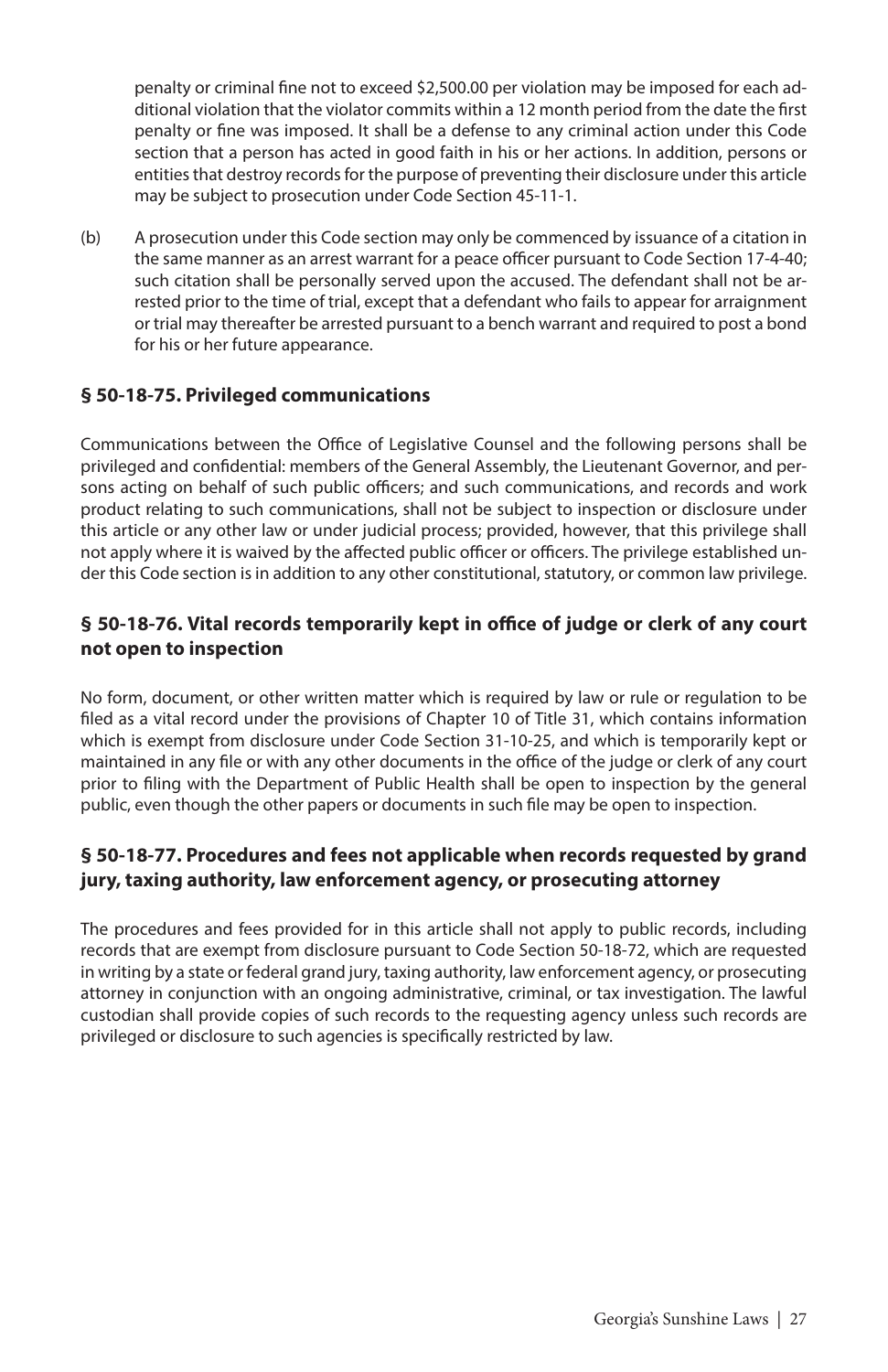penalty or criminal fine not to exceed \$2,500.00 per violation may be imposed for each additional violation that the violator commits within a 12 month period from the date the first penalty or fine was imposed. It shall be a defense to any criminal action under this Code section that a person has acted in good faith in his or her actions. In addition, persons or entities that destroy records for the purpose of preventing their disclosure under this article may be subject to prosecution under Code Section 45-11-1.

(b) A prosecution under this Code section may only be commenced by issuance of a citation in the same manner as an arrest warrant for a peace officer pursuant to Code Section 17-4-40; such citation shall be personally served upon the accused. The defendant shall not be arrested prior to the time of trial, except that a defendant who fails to appear for arraignment or trial may thereafter be arrested pursuant to a bench warrant and required to post a bond for his or her future appearance.

#### **§ 50-18-75. Privileged communications**

Communications between the Office of Legislative Counsel and the following persons shall be privileged and confidential: members of the General Assembly, the Lieutenant Governor, and persons acting on behalf of such public officers; and such communications, and records and work product relating to such communications, shall not be subject to inspection or disclosure under this article or any other law or under judicial process; provided, however, that this privilege shall not apply where it is waived by the affected public officer or officers. The privilege established under this Code section is in addition to any other constitutional, statutory, or common law privilege.

#### **§ 50-18-76. Vital records temporarily kept in office of judge or clerk of any court not open to inspection**

No form, document, or other written matter which is required by law or rule or regulation to be filed as a vital record under the provisions of Chapter 10 of Title 31, which contains information which is exempt from disclosure under Code Section 31-10-25, and which is temporarily kept or maintained in any file or with any other documents in the office of the judge or clerk of any court prior to filing with the Department of Public Health shall be open to inspection by the general public, even though the other papers or documents in such file may be open to inspection.

#### **§ 50-18-77. Procedures and fees not applicable when records requested by grand jury, taxing authority, law enforcement agency, or prosecuting attorney**

The procedures and fees provided for in this article shall not apply to public records, including records that are exempt from disclosure pursuant to Code Section 50-18-72, which are requested in writing by a state or federal grand jury, taxing authority, law enforcement agency, or prosecuting attorney in conjunction with an ongoing administrative, criminal, or tax investigation. The lawful custodian shall provide copies of such records to the requesting agency unless such records are privileged or disclosure to such agencies is specifically restricted by law.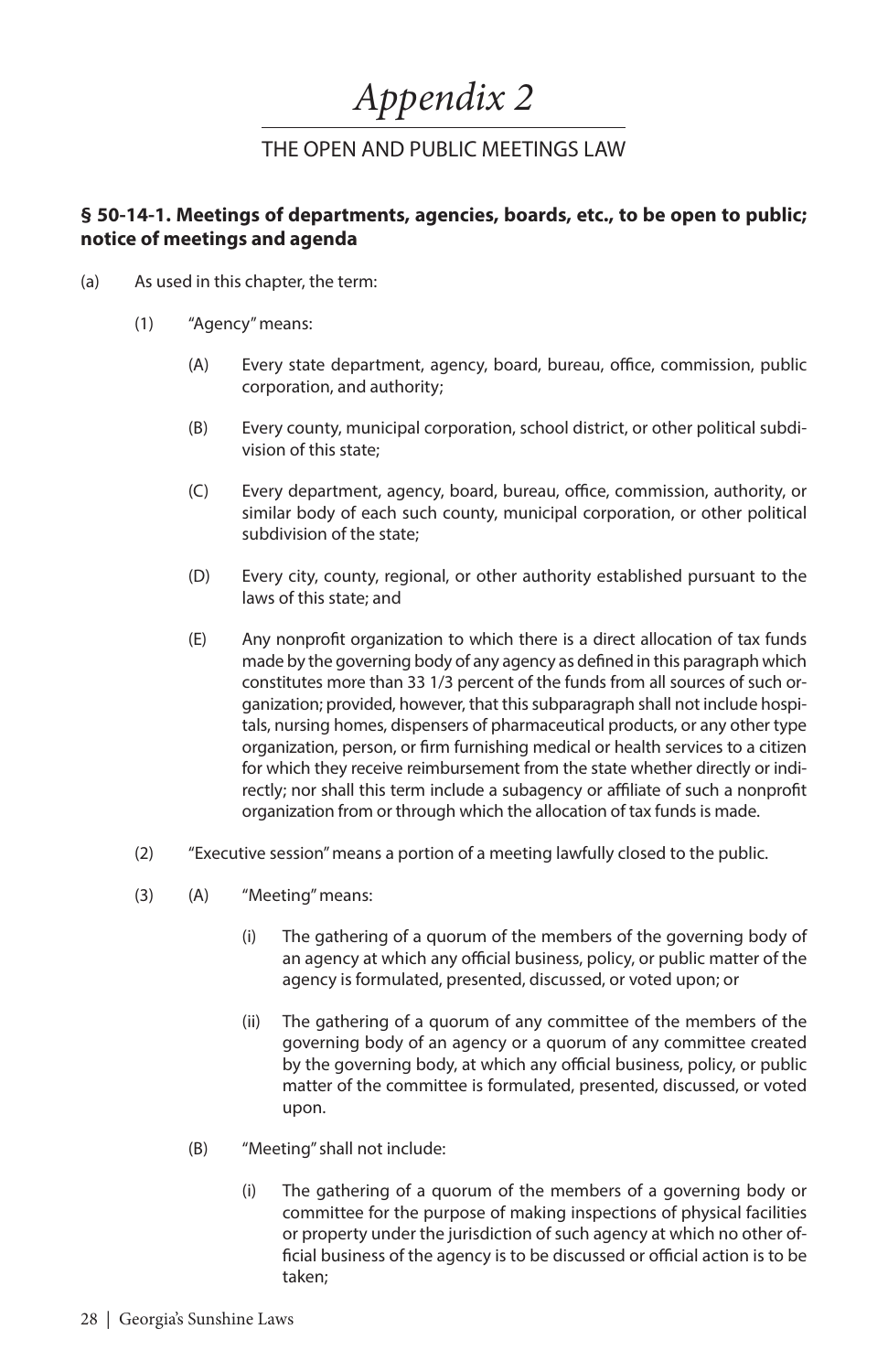## *Appendix 2*

### THE OPEN AND PUBLIC MEETINGS LAW

#### **§ 50-14-1. Meetings of departments, agencies, boards, etc., to be open to public; notice of meetings and agenda**

- (a) As used in this chapter, the term:
	- (1) "Agency" means:
		- (A) Every state department, agency, board, bureau, office, commission, public corporation, and authority;
		- (B) Every county, municipal corporation, school district, or other political subdivision of this state;
		- (C) Every department, agency, board, bureau, office, commission, authority, or similar body of each such county, municipal corporation, or other political subdivision of the state;
		- (D) Every city, county, regional, or other authority established pursuant to the laws of this state; and
		- (E) Any nonprofit organization to which there is a direct allocation of tax funds made by the governing body of any agency as defined in this paragraph which constitutes more than 33 1/3 percent of the funds from all sources of such organization; provided, however, that this subparagraph shall not include hospitals, nursing homes, dispensers of pharmaceutical products, or any other type organization, person, or firm furnishing medical or health services to a citizen for which they receive reimbursement from the state whether directly or indirectly; nor shall this term include a subagency or affiliate of such a nonprofit organization from or through which the allocation of tax funds is made.
	- (2) "Executive session" means a portion of a meeting lawfully closed to the public.
	- (3) (A) "Meeting" means:
		- (i) The gathering of a quorum of the members of the governing body of an agency at which any official business, policy, or public matter of the agency is formulated, presented, discussed, or voted upon; or
		- (ii) The gathering of a quorum of any committee of the members of the governing body of an agency or a quorum of any committee created by the governing body, at which any official business, policy, or public matter of the committee is formulated, presented, discussed, or voted upon.
		- (B) "Meeting" shall not include:
			- (i) The gathering of a quorum of the members of a governing body or committee for the purpose of making inspections of physical facilities or property under the jurisdiction of such agency at which no other official business of the agency is to be discussed or official action is to be taken;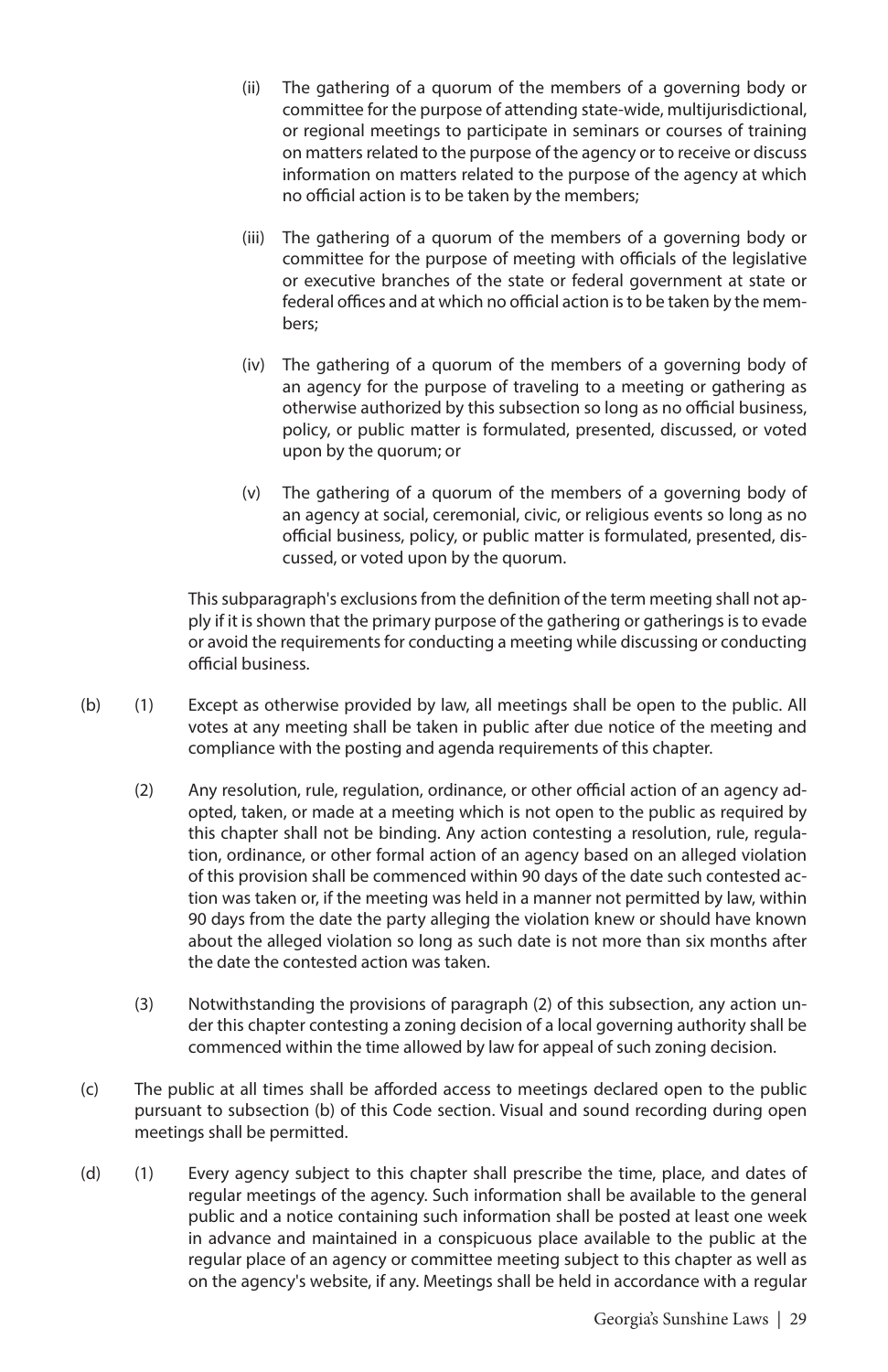- (ii) The gathering of a quorum of the members of a governing body or committee for the purpose of attending state-wide, multijurisdictional, or regional meetings to participate in seminars or courses of training on matters related to the purpose of the agency or to receive or discuss information on matters related to the purpose of the agency at which no official action is to be taken by the members;
- (iii) The gathering of a quorum of the members of a governing body or committee for the purpose of meeting with officials of the legislative or executive branches of the state or federal government at state or federal offices and at which no official action is to be taken by the members;
- (iv) The gathering of a quorum of the members of a governing body of an agency for the purpose of traveling to a meeting or gathering as otherwise authorized by this subsection so long as no official business, policy, or public matter is formulated, presented, discussed, or voted upon by the quorum; or
- (v) The gathering of a quorum of the members of a governing body of an agency at social, ceremonial, civic, or religious events so long as no official business, policy, or public matter is formulated, presented, discussed, or voted upon by the quorum.

This subparagraph's exclusions from the definition of the term meeting shall not apply if it is shown that the primary purpose of the gathering or gatherings is to evade or avoid the requirements for conducting a meeting while discussing or conducting official business.

- (b) (1) Except as otherwise provided by law, all meetings shall be open to the public. All votes at any meeting shall be taken in public after due notice of the meeting and compliance with the posting and agenda requirements of this chapter.
	- (2) Any resolution, rule, regulation, ordinance, or other official action of an agency adopted, taken, or made at a meeting which is not open to the public as required by this chapter shall not be binding. Any action contesting a resolution, rule, regulation, ordinance, or other formal action of an agency based on an alleged violation of this provision shall be commenced within 90 days of the date such contested action was taken or, if the meeting was held in a manner not permitted by law, within 90 days from the date the party alleging the violation knew or should have known about the alleged violation so long as such date is not more than six months after the date the contested action was taken.
	- (3) Notwithstanding the provisions of paragraph (2) of this subsection, any action under this chapter contesting a zoning decision of a local governing authority shall be commenced within the time allowed by law for appeal of such zoning decision.
- (c) The public at all times shall be afforded access to meetings declared open to the public pursuant to subsection (b) of this Code section. Visual and sound recording during open meetings shall be permitted.
- (d) (1) Every agency subject to this chapter shall prescribe the time, place, and dates of regular meetings of the agency. Such information shall be available to the general public and a notice containing such information shall be posted at least one week in advance and maintained in a conspicuous place available to the public at the regular place of an agency or committee meeting subject to this chapter as well as on the agency's website, if any. Meetings shall be held in accordance with a regular

Georgia's Sunshine Laws | 29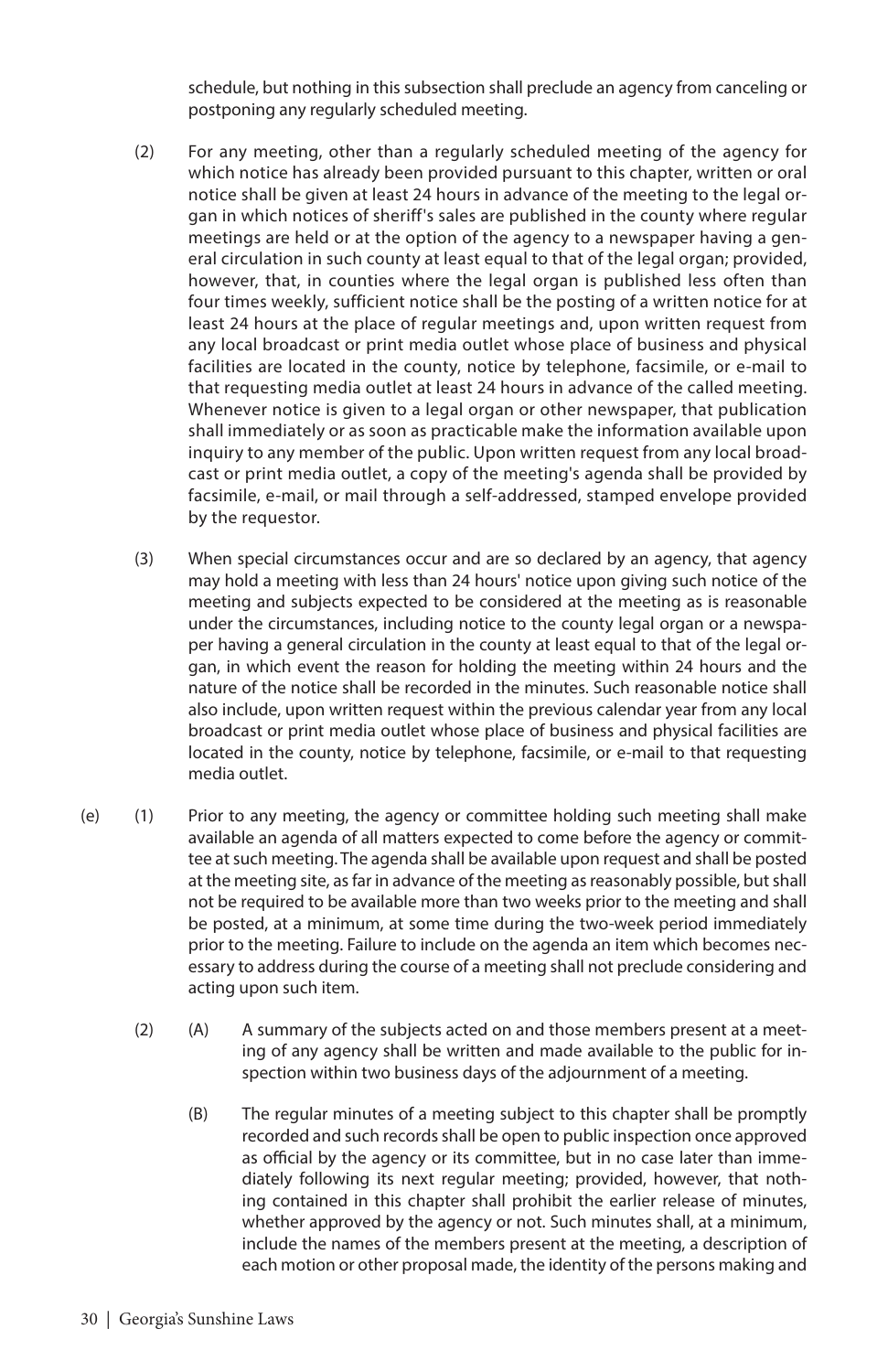schedule, but nothing in this subsection shall preclude an agency from canceling or postponing any regularly scheduled meeting.

- (2) For any meeting, other than a regularly scheduled meeting of the agency for which notice has already been provided pursuant to this chapter, written or oral notice shall be given at least 24 hours in advance of the meeting to the legal organ in which notices of sheriff's sales are published in the county where regular meetings are held or at the option of the agency to a newspaper having a general circulation in such county at least equal to that of the legal organ; provided, however, that, in counties where the legal organ is published less often than four times weekly, sufficient notice shall be the posting of a written notice for at least 24 hours at the place of regular meetings and, upon written request from any local broadcast or print media outlet whose place of business and physical facilities are located in the county, notice by telephone, facsimile, or e-mail to that requesting media outlet at least 24 hours in advance of the called meeting. Whenever notice is given to a legal organ or other newspaper, that publication shall immediately or as soon as practicable make the information available upon inquiry to any member of the public. Upon written request from any local broadcast or print media outlet, a copy of the meeting's agenda shall be provided by facsimile, e-mail, or mail through a self-addressed, stamped envelope provided by the requestor.
- (3) When special circumstances occur and are so declared by an agency, that agency may hold a meeting with less than 24 hours' notice upon giving such notice of the meeting and subjects expected to be considered at the meeting as is reasonable under the circumstances, including notice to the county legal organ or a newspaper having a general circulation in the county at least equal to that of the legal organ, in which event the reason for holding the meeting within 24 hours and the nature of the notice shall be recorded in the minutes. Such reasonable notice shall also include, upon written request within the previous calendar year from any local broadcast or print media outlet whose place of business and physical facilities are located in the county, notice by telephone, facsimile, or e-mail to that requesting media outlet.
- (e) (1) Prior to any meeting, the agency or committee holding such meeting shall make available an agenda of all matters expected to come before the agency or committee at such meeting. The agenda shall be available upon request and shall be posted at the meeting site, as far in advance of the meeting as reasonably possible, but shall not be required to be available more than two weeks prior to the meeting and shall be posted, at a minimum, at some time during the two-week period immediately prior to the meeting. Failure to include on the agenda an item which becomes necessary to address during the course of a meeting shall not preclude considering and acting upon such item.
	- (2) (A) A summary of the subjects acted on and those members present at a meeting of any agency shall be written and made available to the public for inspection within two business days of the adjournment of a meeting.
		- (B) The regular minutes of a meeting subject to this chapter shall be promptly recorded and such records shall be open to public inspection once approved as official by the agency or its committee, but in no case later than immediately following its next regular meeting; provided, however, that nothing contained in this chapter shall prohibit the earlier release of minutes, whether approved by the agency or not. Such minutes shall, at a minimum, include the names of the members present at the meeting, a description of each motion or other proposal made, the identity of the persons making and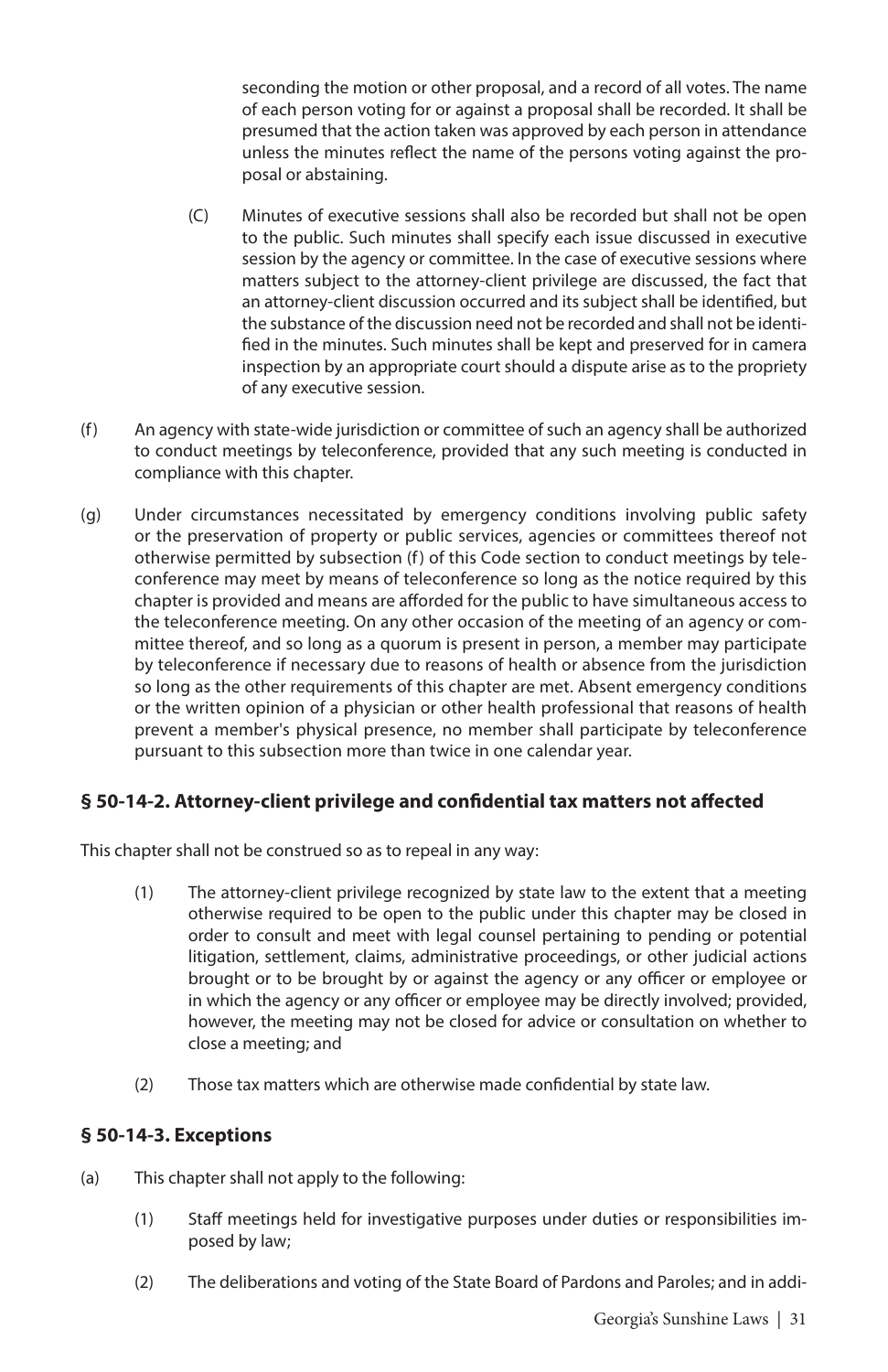seconding the motion or other proposal, and a record of all votes. The name of each person voting for or against a proposal shall be recorded. It shall be presumed that the action taken was approved by each person in attendance unless the minutes reflect the name of the persons voting against the proposal or abstaining.

- (C) Minutes of executive sessions shall also be recorded but shall not be open to the public. Such minutes shall specify each issue discussed in executive session by the agency or committee. In the case of executive sessions where matters subject to the attorney-client privilege are discussed, the fact that an attorney-client discussion occurred and its subject shall be identified, but the substance of the discussion need not be recorded and shall not be identified in the minutes. Such minutes shall be kept and preserved for in camera inspection by an appropriate court should a dispute arise as to the propriety of any executive session.
- (f) An agency with state-wide jurisdiction or committee of such an agency shall be authorized to conduct meetings by teleconference, provided that any such meeting is conducted in compliance with this chapter.
- (g) Under circumstances necessitated by emergency conditions involving public safety or the preservation of property or public services, agencies or committees thereof not otherwise permitted by subsection (f) of this Code section to conduct meetings by teleconference may meet by means of teleconference so long as the notice required by this chapter is provided and means are afforded for the public to have simultaneous access to the teleconference meeting. On any other occasion of the meeting of an agency or committee thereof, and so long as a quorum is present in person, a member may participate by teleconference if necessary due to reasons of health or absence from the jurisdiction so long as the other requirements of this chapter are met. Absent emergency conditions or the written opinion of a physician or other health professional that reasons of health prevent a member's physical presence, no member shall participate by teleconference pursuant to this subsection more than twice in one calendar year.

#### **§ 50-14-2. Attorney-client privilege and confidential tax matters not affected**

This chapter shall not be construed so as to repeal in any way:

- (1) The attorney-client privilege recognized by state law to the extent that a meeting otherwise required to be open to the public under this chapter may be closed in order to consult and meet with legal counsel pertaining to pending or potential litigation, settlement, claims, administrative proceedings, or other judicial actions brought or to be brought by or against the agency or any officer or employee or in which the agency or any officer or employee may be directly involved; provided, however, the meeting may not be closed for advice or consultation on whether to close a meeting; and
- (2) Those tax matters which are otherwise made confidential by state law.

#### **§ 50-14-3. Exceptions**

- (a) This chapter shall not apply to the following:
	- (1) Staff meetings held for investigative purposes under duties or responsibilities imposed by law;
	- (2) The deliberations and voting of the State Board of Pardons and Paroles; and in addi-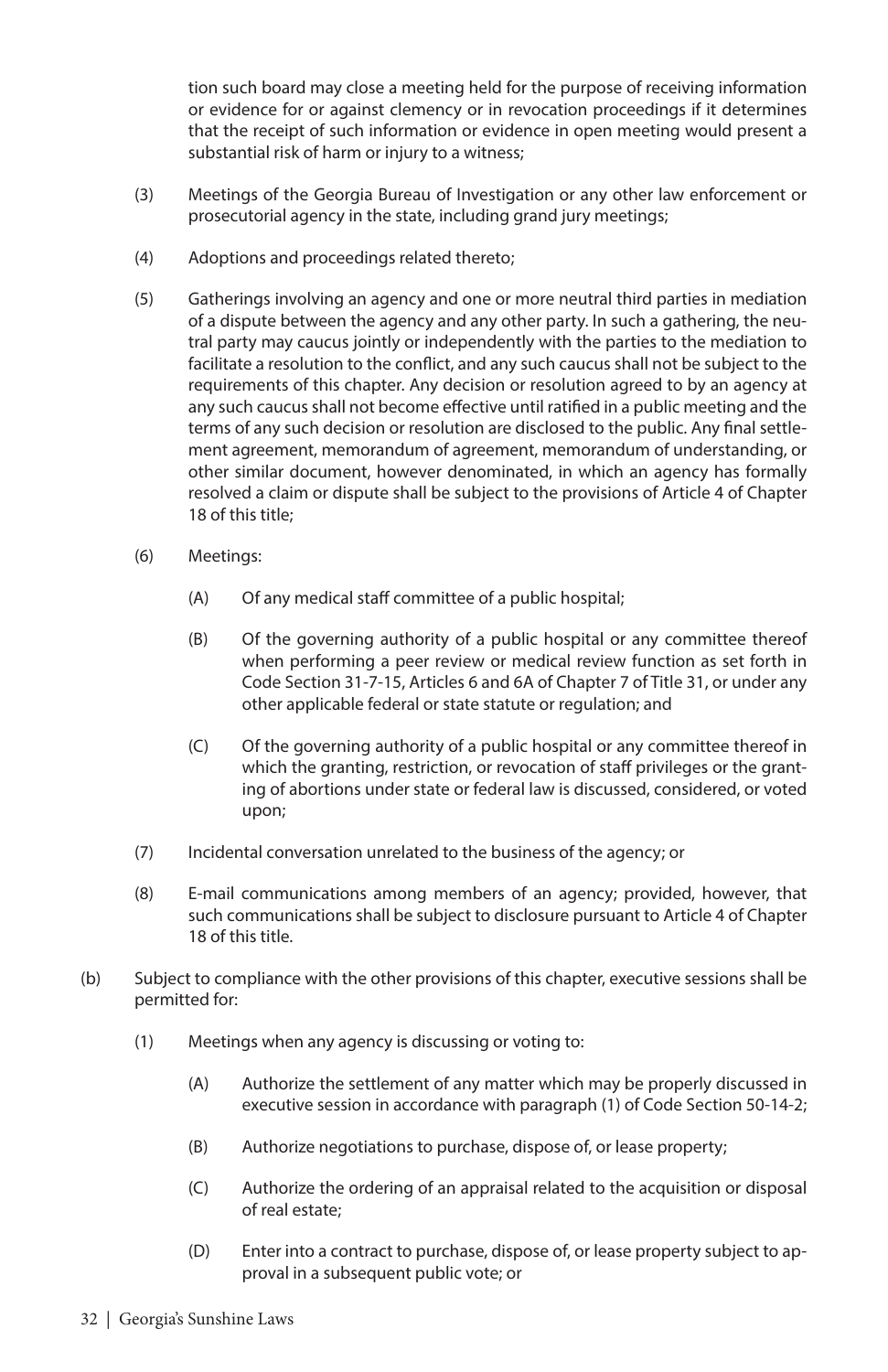tion such board may close a meeting held for the purpose of receiving information or evidence for or against clemency or in revocation proceedings if it determines that the receipt of such information or evidence in open meeting would present a substantial risk of harm or injury to a witness;

- (3) Meetings of the Georgia Bureau of Investigation or any other law enforcement or prosecutorial agency in the state, including grand jury meetings;
- (4) Adoptions and proceedings related thereto;
- (5) Gatherings involving an agency and one or more neutral third parties in mediation of a dispute between the agency and any other party. In such a gathering, the neutral party may caucus jointly or independently with the parties to the mediation to facilitate a resolution to the conflict, and any such caucus shall not be subject to the requirements of this chapter. Any decision or resolution agreed to by an agency at any such caucus shall not become effective until ratified in a public meeting and the terms of any such decision or resolution are disclosed to the public. Any final settlement agreement, memorandum of agreement, memorandum of understanding, or other similar document, however denominated, in which an agency has formally resolved a claim or dispute shall be subject to the provisions of Article 4 of Chapter 18 of this title;
- (6) Meetings:
	- (A) Of any medical staff committee of a public hospital;
	- (B) Of the governing authority of a public hospital or any committee thereof when performing a peer review or medical review function as set forth in Code Section 31-7-15, Articles 6 and 6A of Chapter 7 of Title 31, or under any other applicable federal or state statute or regulation; and
	- (C) Of the governing authority of a public hospital or any committee thereof in which the granting, restriction, or revocation of staff privileges or the granting of abortions under state or federal law is discussed, considered, or voted upon;
- (7) Incidental conversation unrelated to the business of the agency; or
- (8) E-mail communications among members of an agency; provided, however, that such communications shall be subject to disclosure pursuant to Article 4 of Chapter 18 of this title.
- (b) Subject to compliance with the other provisions of this chapter, executive sessions shall be permitted for:
	- (1) Meetings when any agency is discussing or voting to:
		- (A) Authorize the settlement of any matter which may be properly discussed in executive session in accordance with paragraph (1) of Code Section 50-14-2;
		- (B) Authorize negotiations to purchase, dispose of, or lease property;
		- (C) Authorize the ordering of an appraisal related to the acquisition or disposal of real estate;
		- (D) Enter into a contract to purchase, dispose of, or lease property subject to approval in a subsequent public vote; or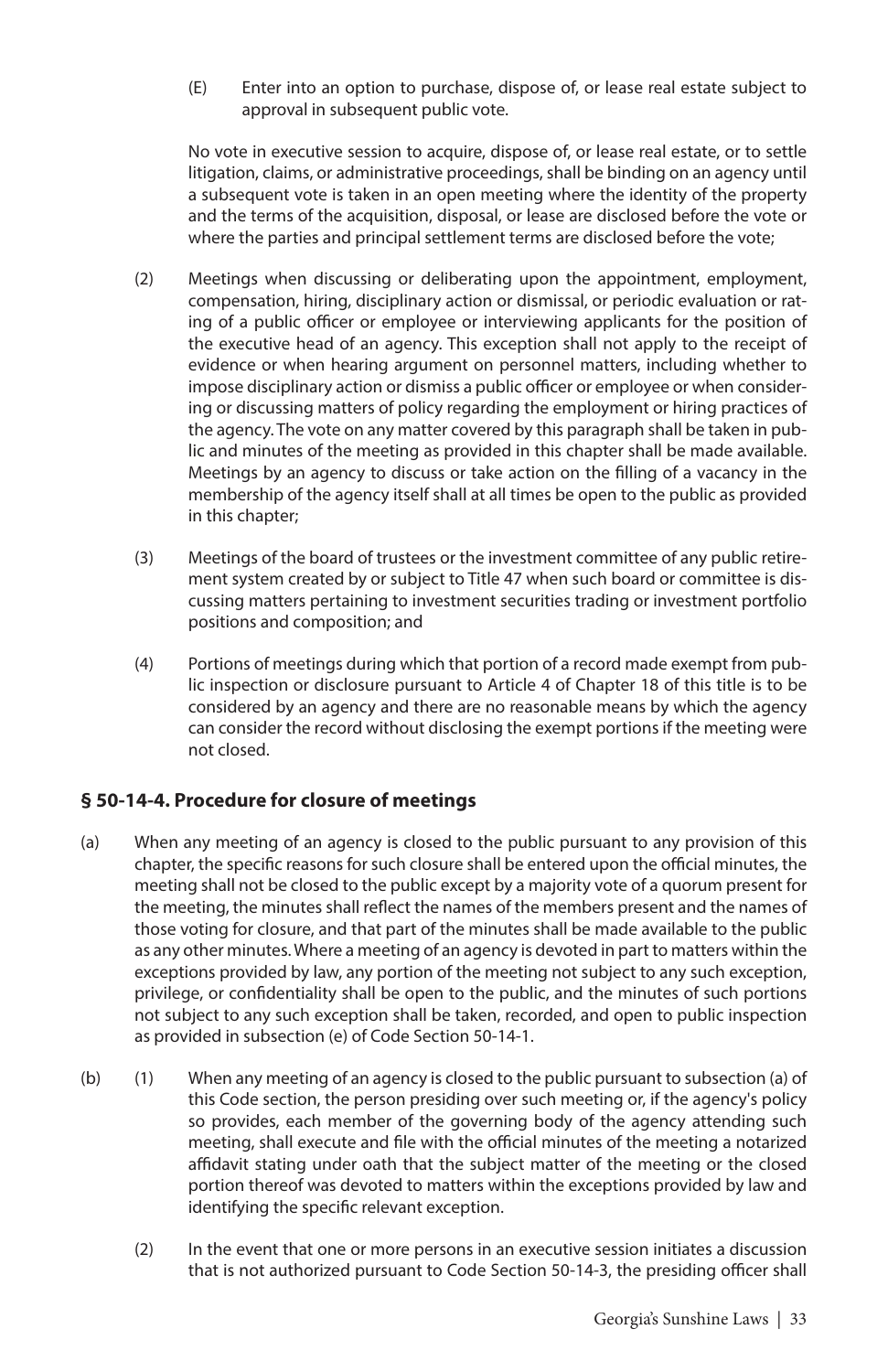(E) Enter into an option to purchase, dispose of, or lease real estate subject to approval in subsequent public vote.

No vote in executive session to acquire, dispose of, or lease real estate, or to settle litigation, claims, or administrative proceedings, shall be binding on an agency until a subsequent vote is taken in an open meeting where the identity of the property and the terms of the acquisition, disposal, or lease are disclosed before the vote or where the parties and principal settlement terms are disclosed before the vote;

- (2) Meetings when discussing or deliberating upon the appointment, employment, compensation, hiring, disciplinary action or dismissal, or periodic evaluation or rating of a public officer or employee or interviewing applicants for the position of the executive head of an agency. This exception shall not apply to the receipt of evidence or when hearing argument on personnel matters, including whether to impose disciplinary action or dismiss a public officer or employee or when considering or discussing matters of policy regarding the employment or hiring practices of the agency. The vote on any matter covered by this paragraph shall be taken in public and minutes of the meeting as provided in this chapter shall be made available. Meetings by an agency to discuss or take action on the filling of a vacancy in the membership of the agency itself shall at all times be open to the public as provided in this chapter;
- (3) Meetings of the board of trustees or the investment committee of any public retirement system created by or subject to Title 47 when such board or committee is discussing matters pertaining to investment securities trading or investment portfolio positions and composition; and
- (4) Portions of meetings during which that portion of a record made exempt from public inspection or disclosure pursuant to Article 4 of Chapter 18 of this title is to be considered by an agency and there are no reasonable means by which the agency can consider the record without disclosing the exempt portions if the meeting were not closed.

#### **§ 50-14-4. Procedure for closure of meetings**

- (a) When any meeting of an agency is closed to the public pursuant to any provision of this chapter, the specific reasons for such closure shall be entered upon the official minutes, the meeting shall not be closed to the public except by a majority vote of a quorum present for the meeting, the minutes shall reflect the names of the members present and the names of those voting for closure, and that part of the minutes shall be made available to the public as any other minutes. Where a meeting of an agency is devoted in part to matters within the exceptions provided by law, any portion of the meeting not subject to any such exception, privilege, or confidentiality shall be open to the public, and the minutes of such portions not subject to any such exception shall be taken, recorded, and open to public inspection as provided in subsection (e) of Code Section 50-14-1.
- (b) (1) When any meeting of an agency is closed to the public pursuant to subsection (a) of this Code section, the person presiding over such meeting or, if the agency's policy so provides, each member of the governing body of the agency attending such meeting, shall execute and file with the official minutes of the meeting a notarized affidavit stating under oath that the subject matter of the meeting or the closed portion thereof was devoted to matters within the exceptions provided by law and identifying the specific relevant exception.
	- (2) In the event that one or more persons in an executive session initiates a discussion that is not authorized pursuant to Code Section 50-14-3, the presiding officer shall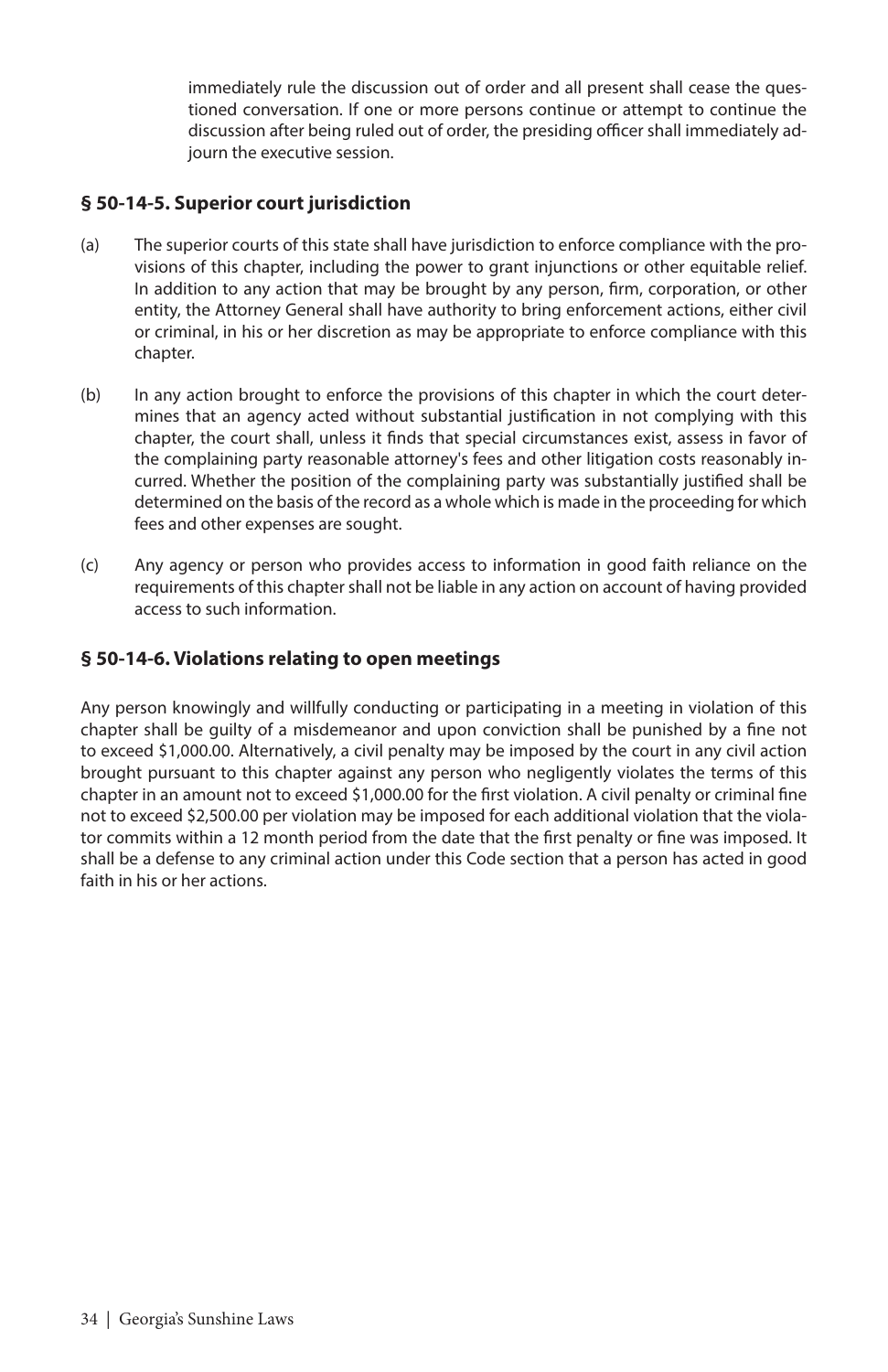immediately rule the discussion out of order and all present shall cease the questioned conversation. If one or more persons continue or attempt to continue the discussion after being ruled out of order, the presiding officer shall immediately adjourn the executive session.

#### **§ 50-14-5. Superior court jurisdiction**

- (a) The superior courts of this state shall have jurisdiction to enforce compliance with the provisions of this chapter, including the power to grant injunctions or other equitable relief. In addition to any action that may be brought by any person, firm, corporation, or other entity, the Attorney General shall have authority to bring enforcement actions, either civil or criminal, in his or her discretion as may be appropriate to enforce compliance with this chapter.
- (b) In any action brought to enforce the provisions of this chapter in which the court determines that an agency acted without substantial justification in not complying with this chapter, the court shall, unless it finds that special circumstances exist, assess in favor of the complaining party reasonable attorney's fees and other litigation costs reasonably incurred. Whether the position of the complaining party was substantially justified shall be determined on the basis of the record as a whole which is made in the proceeding for which fees and other expenses are sought.
- (c) Any agency or person who provides access to information in good faith reliance on the requirements of this chapter shall not be liable in any action on account of having provided access to such information.

#### **§ 50-14-6. Violations relating to open meetings**

Any person knowingly and willfully conducting or participating in a meeting in violation of this chapter shall be guilty of a misdemeanor and upon conviction shall be punished by a fine not to exceed \$1,000.00. Alternatively, a civil penalty may be imposed by the court in any civil action brought pursuant to this chapter against any person who negligently violates the terms of this chapter in an amount not to exceed \$1,000.00 for the first violation. A civil penalty or criminal fine not to exceed \$2,500.00 per violation may be imposed for each additional violation that the violator commits within a 12 month period from the date that the first penalty or fine was imposed. It shall be a defense to any criminal action under this Code section that a person has acted in good faith in his or her actions.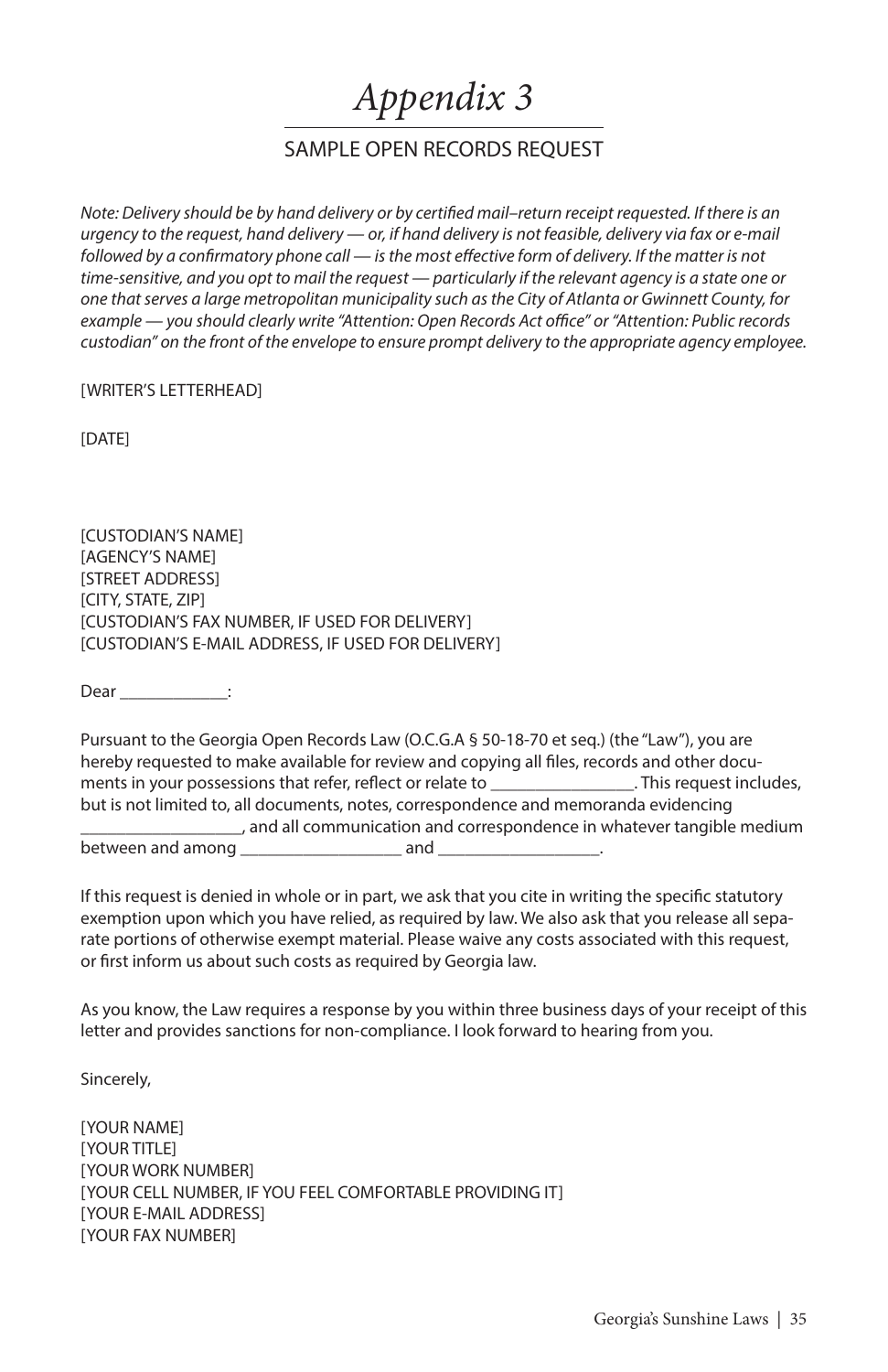## *Appendix 3*

#### SAMPLE OPEN RECORDS REQUEST

*Note: Delivery should be by hand delivery or by certified mail–return receipt requested. If there is an urgency to the request, hand delivery — or, if hand delivery is not feasible, delivery via fax or e-mail*  followed by a confirmatory phone call — is the most effective form of delivery. If the matter is not *time-sensitive, and you opt to mail the request — particularly if the relevant agency is a state one or one that serves a large metropolitan municipality such as the City of Atlanta or Gwinnett County, for example — you should clearly write "Attention: Open Records Act office" or "Attention: Public records custodian" on the front of the envelope to ensure prompt delivery to the appropriate agency employee.* 

[WRITER'S LETTERHEAD]

[DATE]

[CUSTODIAN'S NAME] [AGENCY'S NAME] [STREET ADDRESS] [CITY, STATE, ZIP] [CUSTODIAN'S FAX NUMBER, IF USED FOR DELIVERY] [CUSTODIAN'S E-MAIL ADDRESS, IF USED FOR DELIVERY]

Dear \_\_\_\_\_\_\_\_\_\_\_\_:

Pursuant to the Georgia Open Records Law (O.C.G.A § 50-18-70 et seq.) (the "Law"), you are hereby requested to make available for review and copying all files, records and other documents in your possessions that refer, reflect or relate to election of the sequest includes, but is not limited to, all documents, notes, correspondence and memoranda evidencing \_\_\_\_\_\_\_\_\_\_\_\_\_\_\_\_\_\_, and all communication and correspondence in whatever tangible medium between and among \_\_\_\_\_\_\_\_\_\_\_\_\_\_\_\_\_\_ and \_\_\_\_\_\_\_\_\_\_\_\_\_\_\_\_\_\_.

If this request is denied in whole or in part, we ask that you cite in writing the specific statutory exemption upon which you have relied, as required by law. We also ask that you release all separate portions of otherwise exempt material. Please waive any costs associated with this request, or first inform us about such costs as required by Georgia law.

As you know, the Law requires a response by you within three business days of your receipt of this letter and provides sanctions for non-compliance. I look forward to hearing from you.

Sincerely,

[YOUR NAME] [YOUR TITLE] [YOUR WORK NUMBER] [YOUR CELL NUMBER, IF YOU FEEL COMFORTABLE PROVIDING IT] [YOUR E-MAIL ADDRESS] [YOUR FAX NUMBER]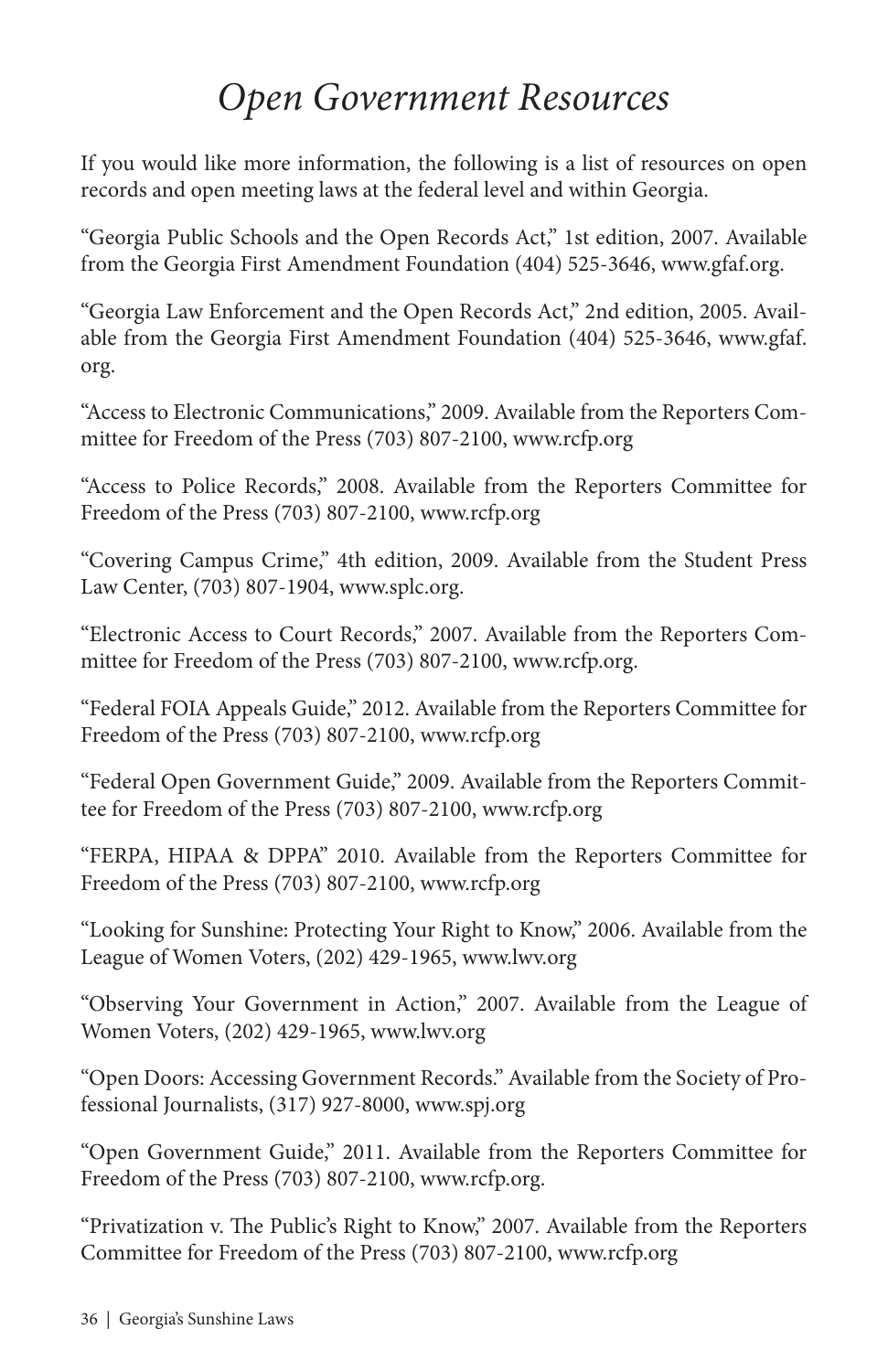## *Open Government Resources*

If you would like more information, the following is a list of resources on open records and open meeting laws at the federal level and within Georgia.

"Georgia Public Schools and the Open Records Act," 1st edition, 2007. Available from the Georgia First Amendment Foundation (404) 525-3646, www.gfaf.org.

"Georgia Law Enforcement and the Open Records Act," 2nd edition, 2005. Available from the Georgia First Amendment Foundation (404) 525-3646, www.gfaf. org.

"Access to Electronic Communications," 2009. Available from the Reporters Committee for Freedom of the Press (703) 807-2100, www.rcfp.org

"Access to Police Records," 2008. Available from the Reporters Committee for Freedom of the Press (703) 807-2100, www.rcfp.org

"Covering Campus Crime," 4th edition, 2009. Available from the Student Press Law Center, (703) 807-1904, www.splc.org.

"Electronic Access to Court Records," 2007. Available from the Reporters Committee for Freedom of the Press (703) 807-2100, www.rcfp.org.

"Federal FOIA Appeals Guide," 2012. Available from the Reporters Committee for Freedom of the Press (703) 807-2100, www.rcfp.org

"Federal Open Government Guide," 2009. Available from the Reporters Committee for Freedom of the Press (703) 807-2100, www.rcfp.org

"FERPA, HIPAA & DPPA" 2010. Available from the Reporters Committee for Freedom of the Press (703) 807-2100, www.rcfp.org

"Looking for Sunshine: Protecting Your Right to Know," 2006. Available from the League of Women Voters, (202) 429-1965, www.lwv.org

"Observing Your Government in Action," 2007. Available from the League of Women Voters, (202) 429-1965, www.lwv.org

"Open Doors: Accessing Government Records." Available from the Society of Professional Journalists, (317) 927-8000, www.spj.org

"Open Government Guide," 2011. Available from the Reporters Committee for Freedom of the Press (703) 807-2100, www.rcfp.org.

"Privatization v. The Public's Right to Know," 2007. Available from the Reporters Committee for Freedom of the Press (703) 807-2100, www.rcfp.org